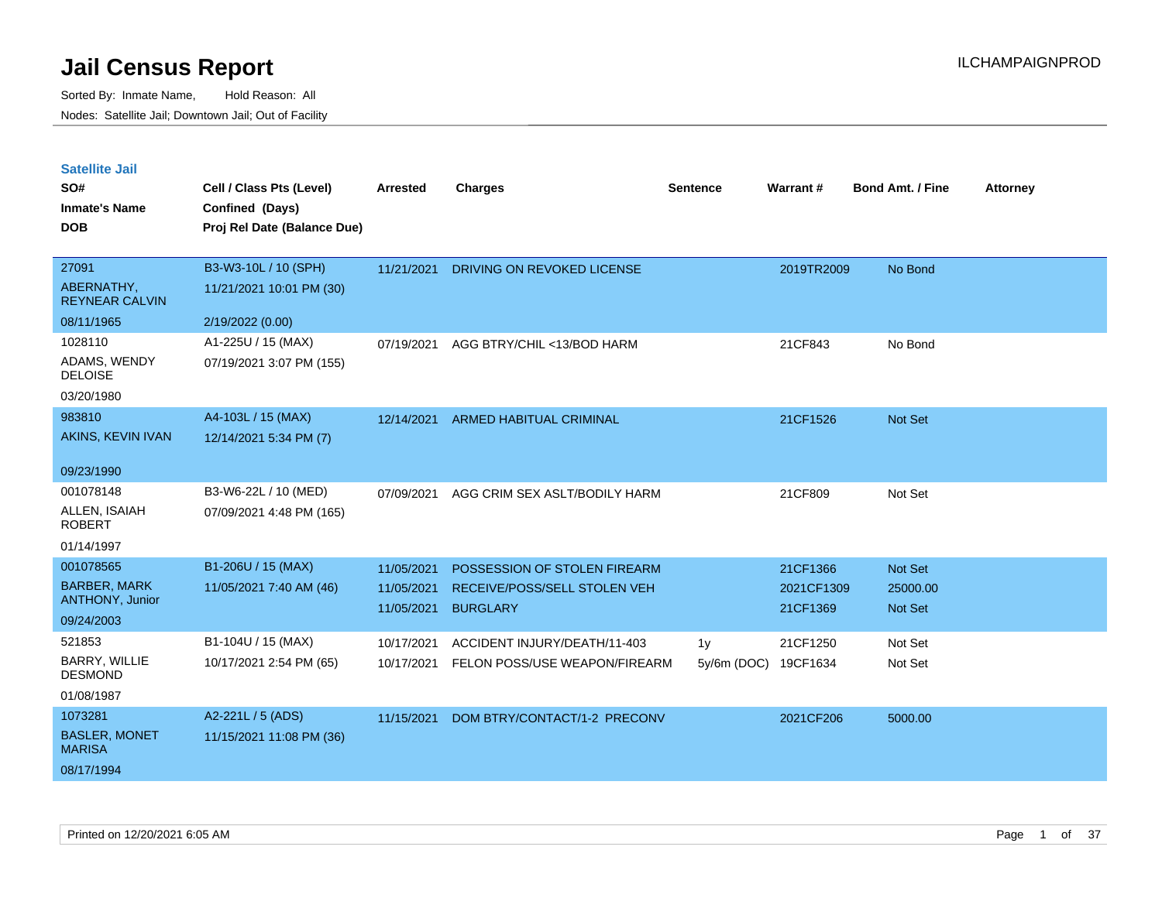| <b>Satellite Jail</b> |  |  |
|-----------------------|--|--|
|-----------------------|--|--|

| SO#<br><b>Inmate's Name</b><br><b>DOB</b> | Cell / Class Pts (Level)<br>Confined (Days)<br>Proj Rel Date (Balance Due) | <b>Arrested</b> | <b>Charges</b>                    | <b>Sentence</b> | Warrant#   | <b>Bond Amt. / Fine</b> | <b>Attorney</b> |
|-------------------------------------------|----------------------------------------------------------------------------|-----------------|-----------------------------------|-----------------|------------|-------------------------|-----------------|
|                                           |                                                                            |                 |                                   |                 |            |                         |                 |
| 27091                                     | B3-W3-10L / 10 (SPH)                                                       | 11/21/2021      | <b>DRIVING ON REVOKED LICENSE</b> |                 | 2019TR2009 | No Bond                 |                 |
| ABERNATHY,<br><b>REYNEAR CALVIN</b>       | 11/21/2021 10:01 PM (30)                                                   |                 |                                   |                 |            |                         |                 |
| 08/11/1965                                | 2/19/2022 (0.00)                                                           |                 |                                   |                 |            |                         |                 |
| 1028110                                   | A1-225U / 15 (MAX)                                                         | 07/19/2021      | AGG BTRY/CHIL <13/BOD HARM        |                 | 21CF843    | No Bond                 |                 |
| ADAMS, WENDY<br><b>DELOISE</b>            | 07/19/2021 3:07 PM (155)                                                   |                 |                                   |                 |            |                         |                 |
| 03/20/1980                                |                                                                            |                 |                                   |                 |            |                         |                 |
| 983810                                    | A4-103L / 15 (MAX)                                                         | 12/14/2021      | ARMED HABITUAL CRIMINAL           |                 | 21CF1526   | Not Set                 |                 |
| AKINS, KEVIN IVAN                         | 12/14/2021 5:34 PM (7)                                                     |                 |                                   |                 |            |                         |                 |
| 09/23/1990                                |                                                                            |                 |                                   |                 |            |                         |                 |
| 001078148                                 | B3-W6-22L / 10 (MED)                                                       | 07/09/2021      | AGG CRIM SEX ASLT/BODILY HARM     |                 | 21CF809    | Not Set                 |                 |
| ALLEN, ISAIAH<br><b>ROBERT</b>            | 07/09/2021 4:48 PM (165)                                                   |                 |                                   |                 |            |                         |                 |
| 01/14/1997                                |                                                                            |                 |                                   |                 |            |                         |                 |
| 001078565                                 | B1-206U / 15 (MAX)                                                         | 11/05/2021      | POSSESSION OF STOLEN FIREARM      |                 | 21CF1366   | Not Set                 |                 |
| <b>BARBER, MARK</b>                       | 11/05/2021 7:40 AM (46)                                                    | 11/05/2021      | RECEIVE/POSS/SELL STOLEN VEH      |                 | 2021CF1309 | 25000.00                |                 |
| ANTHONY, Junior                           |                                                                            | 11/05/2021      | <b>BURGLARY</b>                   |                 | 21CF1369   | Not Set                 |                 |
| 09/24/2003                                |                                                                            |                 |                                   |                 |            |                         |                 |
| 521853                                    | B1-104U / 15 (MAX)                                                         | 10/17/2021      | ACCIDENT INJURY/DEATH/11-403      | 1 <sub>y</sub>  | 21CF1250   | Not Set                 |                 |
| BARRY, WILLIE<br><b>DESMOND</b>           | 10/17/2021 2:54 PM (65)                                                    | 10/17/2021      | FELON POSS/USE WEAPON/FIREARM     | 5y/6m (DOC)     | 19CF1634   | Not Set                 |                 |
| 01/08/1987                                |                                                                            |                 |                                   |                 |            |                         |                 |
| 1073281                                   | A2-221L / 5 (ADS)                                                          | 11/15/2021      | DOM BTRY/CONTACT/1-2 PRECONV      |                 | 2021CF206  | 5000.00                 |                 |
| <b>BASLER, MONET</b><br><b>MARISA</b>     | 11/15/2021 11:08 PM (36)                                                   |                 |                                   |                 |            |                         |                 |
| 08/17/1994                                |                                                                            |                 |                                   |                 |            |                         |                 |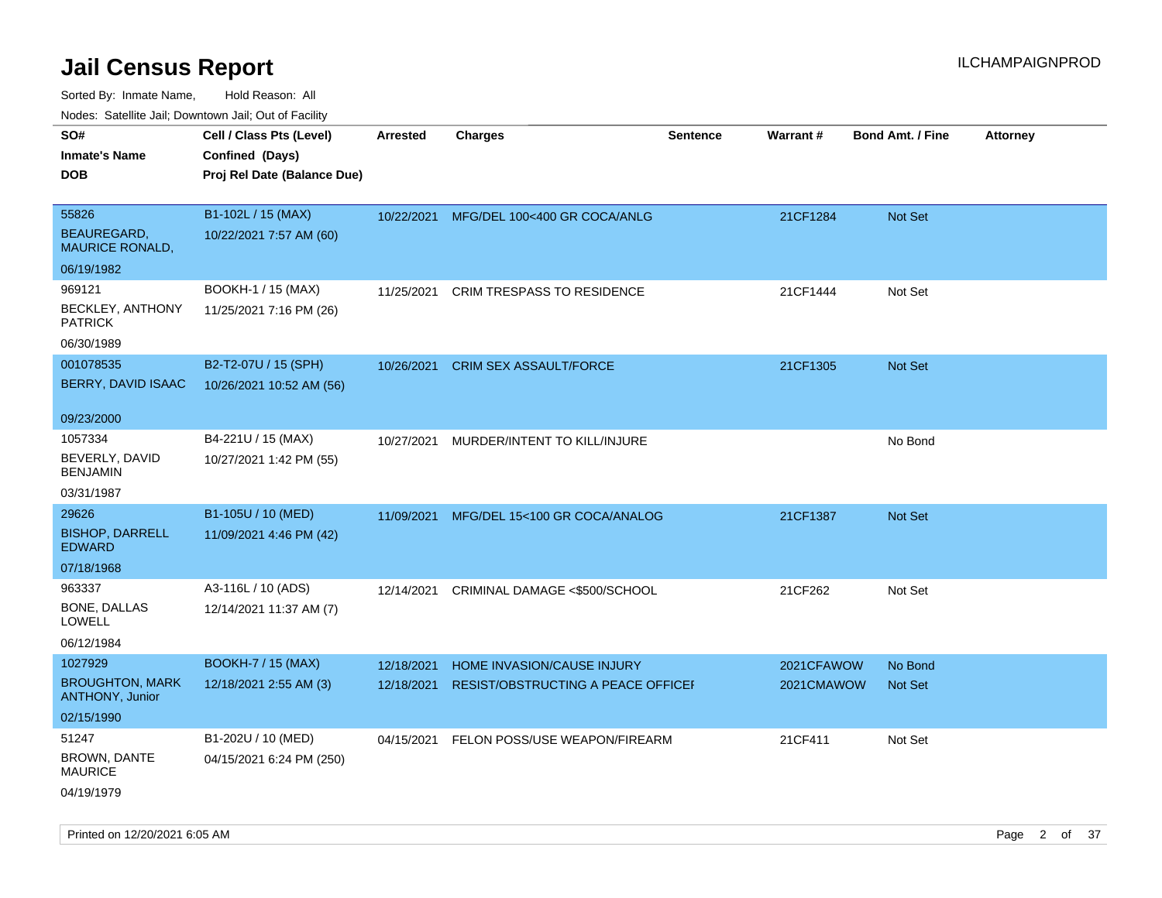Sorted By: Inmate Name, Hold Reason: All Nodes: Satellite Jail; Downtown Jail; Out of Facility

| Nudes. Satellite Jali, Downtown Jali, Out of Facility |                             |                 |                                    |                 |            |                         |                 |
|-------------------------------------------------------|-----------------------------|-----------------|------------------------------------|-----------------|------------|-------------------------|-----------------|
| SO#                                                   | Cell / Class Pts (Level)    | <b>Arrested</b> | <b>Charges</b>                     | <b>Sentence</b> | Warrant#   | <b>Bond Amt. / Fine</b> | <b>Attorney</b> |
| <b>Inmate's Name</b>                                  | Confined (Days)             |                 |                                    |                 |            |                         |                 |
| <b>DOB</b>                                            | Proj Rel Date (Balance Due) |                 |                                    |                 |            |                         |                 |
|                                                       |                             |                 |                                    |                 |            |                         |                 |
| 55826                                                 | B1-102L / 15 (MAX)          | 10/22/2021      | MFG/DEL 100<400 GR COCA/ANLG       |                 | 21CF1284   | <b>Not Set</b>          |                 |
| <b>BEAUREGARD,</b><br><b>MAURICE RONALD,</b>          | 10/22/2021 7:57 AM (60)     |                 |                                    |                 |            |                         |                 |
| 06/19/1982                                            |                             |                 |                                    |                 |            |                         |                 |
| 969121                                                | BOOKH-1 / 15 (MAX)          | 11/25/2021      | CRIM TRESPASS TO RESIDENCE         |                 | 21CF1444   | Not Set                 |                 |
| BECKLEY, ANTHONY<br><b>PATRICK</b>                    | 11/25/2021 7:16 PM (26)     |                 |                                    |                 |            |                         |                 |
| 06/30/1989                                            |                             |                 |                                    |                 |            |                         |                 |
| 001078535                                             | B2-T2-07U / 15 (SPH)        | 10/26/2021      | <b>CRIM SEX ASSAULT/FORCE</b>      |                 | 21CF1305   | Not Set                 |                 |
| <b>BERRY, DAVID ISAAC</b>                             | 10/26/2021 10:52 AM (56)    |                 |                                    |                 |            |                         |                 |
| 09/23/2000                                            |                             |                 |                                    |                 |            |                         |                 |
| 1057334                                               | B4-221U / 15 (MAX)          | 10/27/2021      | MURDER/INTENT TO KILL/INJURE       |                 |            | No Bond                 |                 |
| BEVERLY, DAVID<br>BENJAMIN                            | 10/27/2021 1:42 PM (55)     |                 |                                    |                 |            |                         |                 |
| 03/31/1987                                            |                             |                 |                                    |                 |            |                         |                 |
| 29626                                                 | B1-105U / 10 (MED)          | 11/09/2021      | MFG/DEL 15<100 GR COCA/ANALOG      |                 | 21CF1387   | Not Set                 |                 |
| <b>BISHOP, DARRELL</b><br>EDWARD                      | 11/09/2021 4:46 PM (42)     |                 |                                    |                 |            |                         |                 |
| 07/18/1968                                            |                             |                 |                                    |                 |            |                         |                 |
| 963337                                                | A3-116L / 10 (ADS)          | 12/14/2021      | CRIMINAL DAMAGE <\$500/SCHOOL      |                 | 21CF262    | Not Set                 |                 |
| <b>BONE, DALLAS</b><br>LOWELL                         | 12/14/2021 11:37 AM (7)     |                 |                                    |                 |            |                         |                 |
| 06/12/1984                                            |                             |                 |                                    |                 |            |                         |                 |
| 1027929                                               | <b>BOOKH-7 / 15 (MAX)</b>   | 12/18/2021      | HOME INVASION/CAUSE INJURY         |                 | 2021CFAWOW | No Bond                 |                 |
| <b>BROUGHTON, MARK</b><br><b>ANTHONY, Junior</b>      | 12/18/2021 2:55 AM (3)      | 12/18/2021      | RESIST/OBSTRUCTING A PEACE OFFICEF |                 | 2021CMAWOW | <b>Not Set</b>          |                 |
| 02/15/1990                                            |                             |                 |                                    |                 |            |                         |                 |
| 51247                                                 | B1-202U / 10 (MED)          | 04/15/2021      | FELON POSS/USE WEAPON/FIREARM      |                 | 21CF411    | Not Set                 |                 |
| BROWN, DANTE<br>MAURICE                               | 04/15/2021 6:24 PM (250)    |                 |                                    |                 |            |                         |                 |
| 04/19/1979                                            |                             |                 |                                    |                 |            |                         |                 |

Printed on 12/20/2021 6:05 AM Page 2 of 37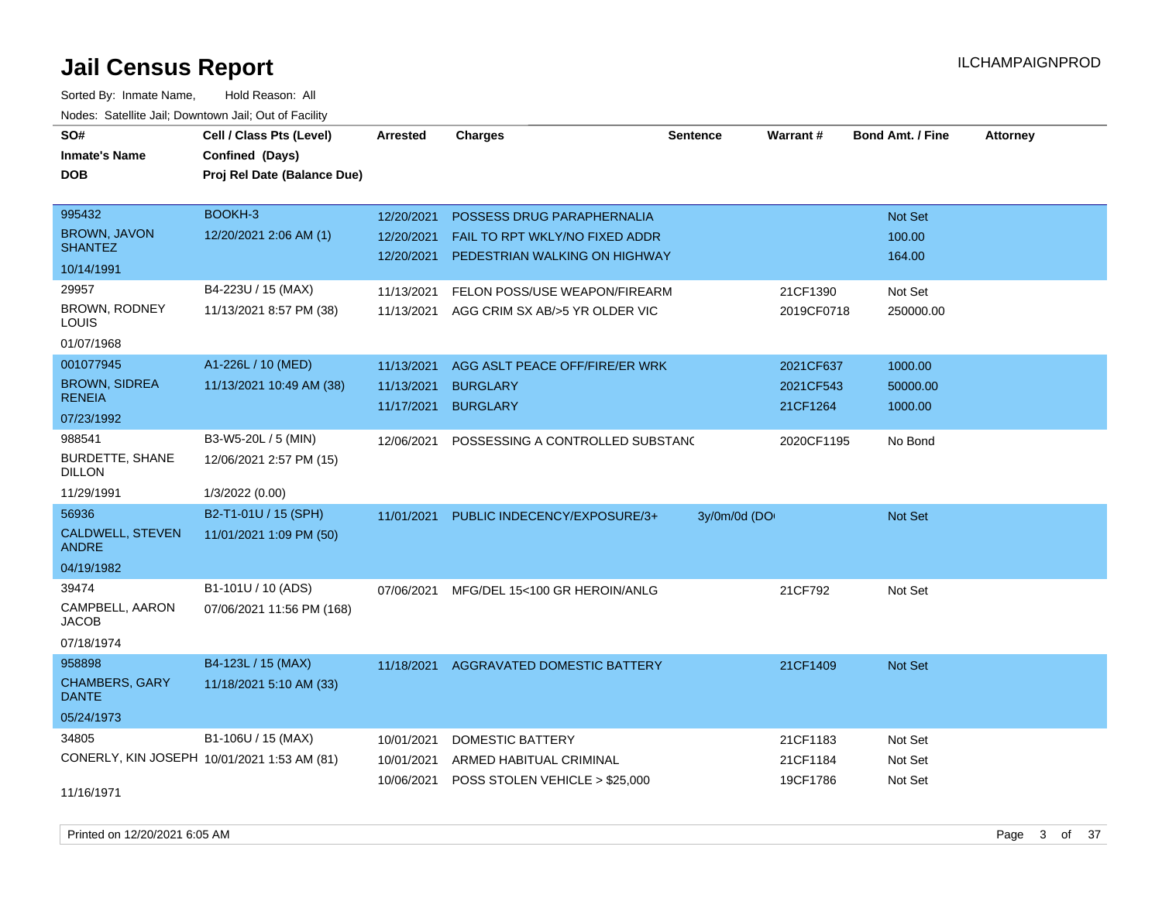Sorted By: Inmate Name, Hold Reason: All Nodes: Satellite Jail; Downtown Jail; Out of Facility

| SO#<br><b>Inmate's Name</b><br><b>DOB</b> | Cell / Class Pts (Level)<br>Confined (Days)<br>Proj Rel Date (Balance Due) | <b>Arrested</b> | <b>Charges</b>                           | <b>Sentence</b> | Warrant#   | <b>Bond Amt. / Fine</b> | <b>Attorney</b> |
|-------------------------------------------|----------------------------------------------------------------------------|-----------------|------------------------------------------|-----------------|------------|-------------------------|-----------------|
| 995432                                    | BOOKH-3                                                                    | 12/20/2021      | POSSESS DRUG PARAPHERNALIA               |                 |            | <b>Not Set</b>          |                 |
| <b>BROWN, JAVON</b><br><b>SHANTEZ</b>     | 12/20/2021 2:06 AM (1)                                                     | 12/20/2021      | FAIL TO RPT WKLY/NO FIXED ADDR           |                 |            | 100.00                  |                 |
| 10/14/1991                                |                                                                            |                 | 12/20/2021 PEDESTRIAN WALKING ON HIGHWAY |                 |            | 164.00                  |                 |
| 29957                                     | B4-223U / 15 (MAX)                                                         | 11/13/2021      | FELON POSS/USE WEAPON/FIREARM            |                 | 21CF1390   | Not Set                 |                 |
| <b>BROWN, RODNEY</b><br>LOUIS             | 11/13/2021 8:57 PM (38)                                                    | 11/13/2021      | AGG CRIM SX AB/>5 YR OLDER VIC           |                 | 2019CF0718 | 250000.00               |                 |
| 01/07/1968                                |                                                                            |                 |                                          |                 |            |                         |                 |
| 001077945                                 | A1-226L / 10 (MED)                                                         | 11/13/2021      | AGG ASLT PEACE OFF/FIRE/ER WRK           |                 | 2021CF637  | 1000.00                 |                 |
| <b>BROWN, SIDREA</b><br><b>RENEIA</b>     | 11/13/2021 10:49 AM (38)                                                   | 11/13/2021      | <b>BURGLARY</b>                          |                 | 2021CF543  | 50000.00                |                 |
| 07/23/1992                                |                                                                            | 11/17/2021      | <b>BURGLARY</b>                          |                 | 21CF1264   | 1000.00                 |                 |
| 988541                                    | B3-W5-20L / 5 (MIN)                                                        | 12/06/2021      | POSSESSING A CONTROLLED SUBSTANC         |                 | 2020CF1195 | No Bond                 |                 |
| <b>BURDETTE, SHANE</b><br><b>DILLON</b>   | 12/06/2021 2:57 PM (15)                                                    |                 |                                          |                 |            |                         |                 |
| 11/29/1991                                | 1/3/2022 (0.00)                                                            |                 |                                          |                 |            |                         |                 |
| 56936                                     | B2-T1-01U / 15 (SPH)                                                       | 11/01/2021      | PUBLIC INDECENCY/EXPOSURE/3+             | 3y/0m/0d (DO    |            | <b>Not Set</b>          |                 |
| CALDWELL, STEVEN<br><b>ANDRE</b>          | 11/01/2021 1:09 PM (50)                                                    |                 |                                          |                 |            |                         |                 |
| 04/19/1982                                |                                                                            |                 |                                          |                 |            |                         |                 |
| 39474                                     | B1-101U / 10 (ADS)                                                         | 07/06/2021      | MFG/DEL 15<100 GR HEROIN/ANLG            |                 | 21CF792    | Not Set                 |                 |
| CAMPBELL, AARON<br><b>JACOB</b>           | 07/06/2021 11:56 PM (168)                                                  |                 |                                          |                 |            |                         |                 |
| 07/18/1974                                |                                                                            |                 |                                          |                 |            |                         |                 |
| 958898                                    | B4-123L / 15 (MAX)                                                         | 11/18/2021      | AGGRAVATED DOMESTIC BATTERY              |                 | 21CF1409   | Not Set                 |                 |
| CHAMBERS, GARY<br><b>DANTE</b>            | 11/18/2021 5:10 AM (33)                                                    |                 |                                          |                 |            |                         |                 |
| 05/24/1973                                |                                                                            |                 |                                          |                 |            |                         |                 |
| 34805                                     | B1-106U / 15 (MAX)                                                         | 10/01/2021      | DOMESTIC BATTERY                         |                 | 21CF1183   | Not Set                 |                 |
|                                           | CONERLY, KIN JOSEPH 10/01/2021 1:53 AM (81)                                | 10/01/2021      | ARMED HABITUAL CRIMINAL                  |                 | 21CF1184   | Not Set                 |                 |
| 11/16/1971                                |                                                                            | 10/06/2021      | POSS STOLEN VEHICLE > \$25,000           |                 | 19CF1786   | Not Set                 |                 |

Printed on 12/20/2021 6:05 AM Page 3 of 37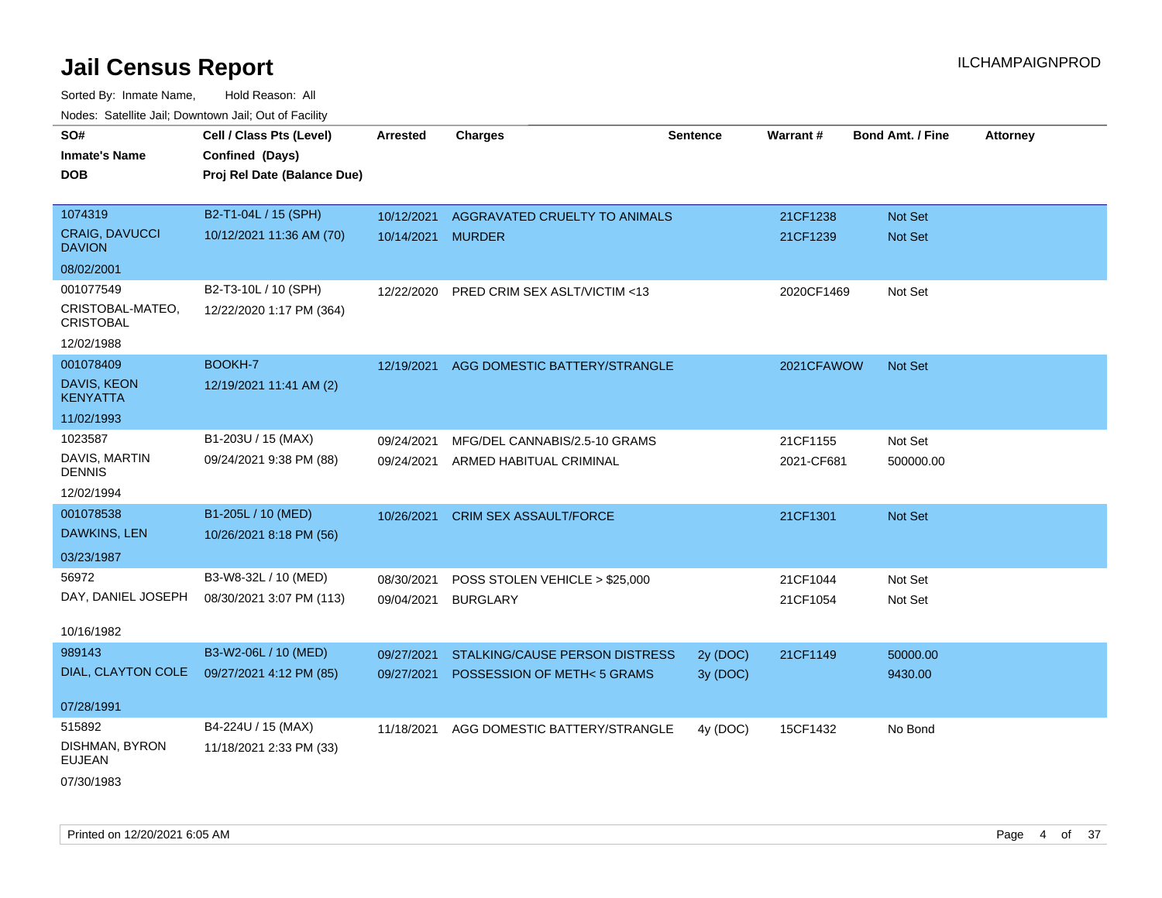| SO#                                    | Cell / Class Pts (Level)    | <b>Arrested</b> | <b>Charges</b>                 | <b>Sentence</b> | <b>Warrant#</b> | <b>Bond Amt. / Fine</b> | <b>Attorney</b> |
|----------------------------------------|-----------------------------|-----------------|--------------------------------|-----------------|-----------------|-------------------------|-----------------|
| <b>Inmate's Name</b>                   | Confined (Days)             |                 |                                |                 |                 |                         |                 |
| <b>DOB</b>                             | Proj Rel Date (Balance Due) |                 |                                |                 |                 |                         |                 |
|                                        |                             |                 |                                |                 |                 |                         |                 |
| 1074319                                | B2-T1-04L / 15 (SPH)        | 10/12/2021      | AGGRAVATED CRUELTY TO ANIMALS  |                 | 21CF1238        | Not Set                 |                 |
| <b>CRAIG, DAVUCCI</b><br><b>DAVION</b> | 10/12/2021 11:36 AM (70)    | 10/14/2021      | <b>MURDER</b>                  |                 | 21CF1239        | Not Set                 |                 |
| 08/02/2001                             |                             |                 |                                |                 |                 |                         |                 |
| 001077549                              | B2-T3-10L / 10 (SPH)        | 12/22/2020      | PRED CRIM SEX ASLT/VICTIM <13  |                 | 2020CF1469      | Not Set                 |                 |
| CRISTOBAL-MATEO,<br><b>CRISTOBAL</b>   | 12/22/2020 1:17 PM (364)    |                 |                                |                 |                 |                         |                 |
| 12/02/1988                             |                             |                 |                                |                 |                 |                         |                 |
| 001078409                              | BOOKH-7                     | 12/19/2021      | AGG DOMESTIC BATTERY/STRANGLE  |                 | 2021CFAWOW      | <b>Not Set</b>          |                 |
| <b>DAVIS, KEON</b><br><b>KENYATTA</b>  | 12/19/2021 11:41 AM (2)     |                 |                                |                 |                 |                         |                 |
| 11/02/1993                             |                             |                 |                                |                 |                 |                         |                 |
| 1023587                                | B1-203U / 15 (MAX)          | 09/24/2021      | MFG/DEL CANNABIS/2.5-10 GRAMS  |                 | 21CF1155        | Not Set                 |                 |
| DAVIS, MARTIN<br><b>DENNIS</b>         | 09/24/2021 9:38 PM (88)     | 09/24/2021      | ARMED HABITUAL CRIMINAL        |                 | 2021-CF681      | 500000.00               |                 |
| 12/02/1994                             |                             |                 |                                |                 |                 |                         |                 |
| 001078538                              | B1-205L / 10 (MED)          | 10/26/2021      | CRIM SEX ASSAULT/FORCE         |                 | 21CF1301        | Not Set                 |                 |
| DAWKINS, LEN                           | 10/26/2021 8:18 PM (56)     |                 |                                |                 |                 |                         |                 |
| 03/23/1987                             |                             |                 |                                |                 |                 |                         |                 |
| 56972                                  | B3-W8-32L / 10 (MED)        | 08/30/2021      | POSS STOLEN VEHICLE > \$25,000 |                 | 21CF1044        | Not Set                 |                 |
| DAY, DANIEL JOSEPH                     | 08/30/2021 3:07 PM (113)    | 09/04/2021      | <b>BURGLARY</b>                |                 | 21CF1054        | Not Set                 |                 |
|                                        |                             |                 |                                |                 |                 |                         |                 |
| 10/16/1982                             |                             |                 |                                |                 |                 |                         |                 |
| 989143                                 | B3-W2-06L / 10 (MED)        | 09/27/2021      | STALKING/CAUSE PERSON DISTRESS | 2y (DOC)        | 21CF1149        | 50000.00                |                 |
| DIAL, CLAYTON COLE                     | 09/27/2021 4:12 PM (85)     | 09/27/2021      | POSSESSION OF METH<5 GRAMS     | 3y (DOC)        |                 | 9430.00                 |                 |
| 07/28/1991                             |                             |                 |                                |                 |                 |                         |                 |
| 515892                                 | B4-224U / 15 (MAX)          | 11/18/2021      | AGG DOMESTIC BATTERY/STRANGLE  | 4y (DOC)        | 15CF1432        | No Bond                 |                 |
| DISHMAN, BYRON<br><b>EUJEAN</b>        | 11/18/2021 2:33 PM (33)     |                 |                                |                 |                 |                         |                 |
| 07/30/1983                             |                             |                 |                                |                 |                 |                         |                 |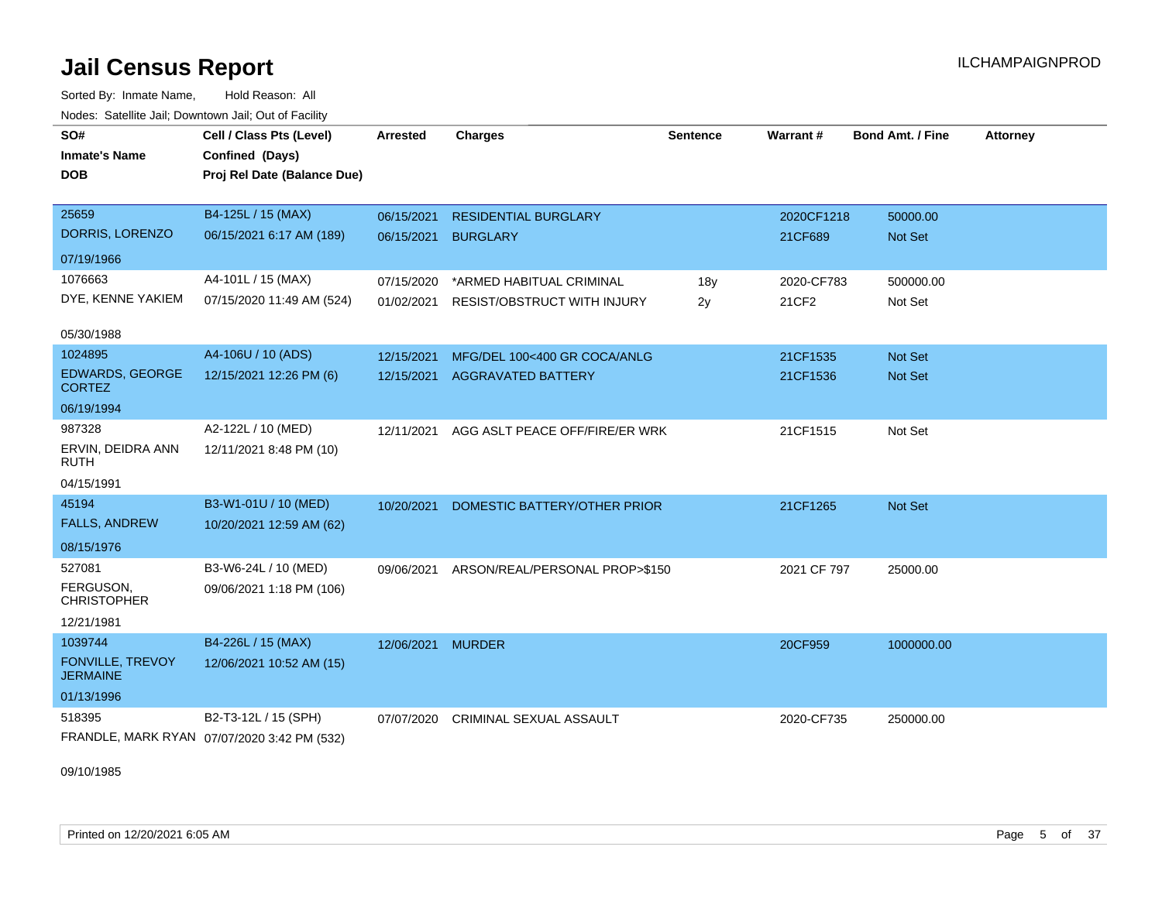Sorted By: Inmate Name, Hold Reason: All Nodes: Satellite Jail; Downtown Jail; Out of Facility

| SO#<br><b>Inmate's Name</b><br><b>DOB</b>  | Cell / Class Pts (Level)<br>Confined (Days)<br>Proj Rel Date (Balance Due) | <b>Arrested</b>   | <b>Charges</b>                            | <b>Sentence</b> | Warrant#    | <b>Bond Amt. / Fine</b> | <b>Attorney</b> |
|--------------------------------------------|----------------------------------------------------------------------------|-------------------|-------------------------------------------|-----------------|-------------|-------------------------|-----------------|
| 25659                                      | B4-125L / 15 (MAX)                                                         | 06/15/2021        | <b>RESIDENTIAL BURGLARY</b>               |                 | 2020CF1218  | 50000.00                |                 |
| DORRIS, LORENZO                            | 06/15/2021 6:17 AM (189)                                                   | 06/15/2021        | <b>BURGLARY</b>                           |                 | 21CF689     | <b>Not Set</b>          |                 |
| 07/19/1966                                 |                                                                            |                   |                                           |                 |             |                         |                 |
| 1076663                                    | A4-101L / 15 (MAX)                                                         | 07/15/2020        | *ARMED HABITUAL CRIMINAL                  | 18y             | 2020-CF783  | 500000.00               |                 |
| DYE, KENNE YAKIEM                          | 07/15/2020 11:49 AM (524)                                                  | 01/02/2021        | <b>RESIST/OBSTRUCT WITH INJURY</b>        | 2y              | 21CF2       | Not Set                 |                 |
| 05/30/1988                                 |                                                                            |                   |                                           |                 |             |                         |                 |
| 1024895                                    | A4-106U / 10 (ADS)                                                         | 12/15/2021        | MFG/DEL 100<400 GR COCA/ANLG              |                 | 21CF1535    | Not Set                 |                 |
| <b>EDWARDS, GEORGE</b><br><b>CORTEZ</b>    | 12/15/2021 12:26 PM (6)                                                    | 12/15/2021        | <b>AGGRAVATED BATTERY</b>                 |                 | 21CF1536    | Not Set                 |                 |
| 06/19/1994                                 |                                                                            |                   |                                           |                 |             |                         |                 |
| 987328                                     | A2-122L / 10 (MED)                                                         | 12/11/2021        | AGG ASLT PEACE OFF/FIRE/ER WRK            |                 | 21CF1515    | Not Set                 |                 |
| ERVIN, DEIDRA ANN<br><b>RUTH</b>           | 12/11/2021 8:48 PM (10)                                                    |                   |                                           |                 |             |                         |                 |
| 04/15/1991                                 |                                                                            |                   |                                           |                 |             |                         |                 |
| 45194                                      | B3-W1-01U / 10 (MED)                                                       | 10/20/2021        | DOMESTIC BATTERY/OTHER PRIOR              |                 | 21CF1265    | Not Set                 |                 |
| <b>FALLS, ANDREW</b>                       | 10/20/2021 12:59 AM (62)                                                   |                   |                                           |                 |             |                         |                 |
| 08/15/1976                                 |                                                                            |                   |                                           |                 |             |                         |                 |
| 527081                                     | B3-W6-24L / 10 (MED)                                                       |                   | 09/06/2021 ARSON/REAL/PERSONAL PROP>\$150 |                 | 2021 CF 797 | 25000.00                |                 |
| FERGUSON,<br><b>CHRISTOPHER</b>            | 09/06/2021 1:18 PM (106)                                                   |                   |                                           |                 |             |                         |                 |
| 12/21/1981                                 |                                                                            |                   |                                           |                 |             |                         |                 |
| 1039744                                    | B4-226L / 15 (MAX)                                                         | 12/06/2021 MURDER |                                           |                 | 20CF959     | 1000000.00              |                 |
| <b>FONVILLE, TREVOY</b><br><b>JERMAINE</b> | 12/06/2021 10:52 AM (15)                                                   |                   |                                           |                 |             |                         |                 |
| 01/13/1996                                 |                                                                            |                   |                                           |                 |             |                         |                 |
| 518395                                     | B2-T3-12L / 15 (SPH)                                                       | 07/07/2020        | <b>CRIMINAL SEXUAL ASSAULT</b>            |                 | 2020-CF735  | 250000.00               |                 |
|                                            | FRANDLE, MARK RYAN 07/07/2020 3:42 PM (532)                                |                   |                                           |                 |             |                         |                 |

09/10/1985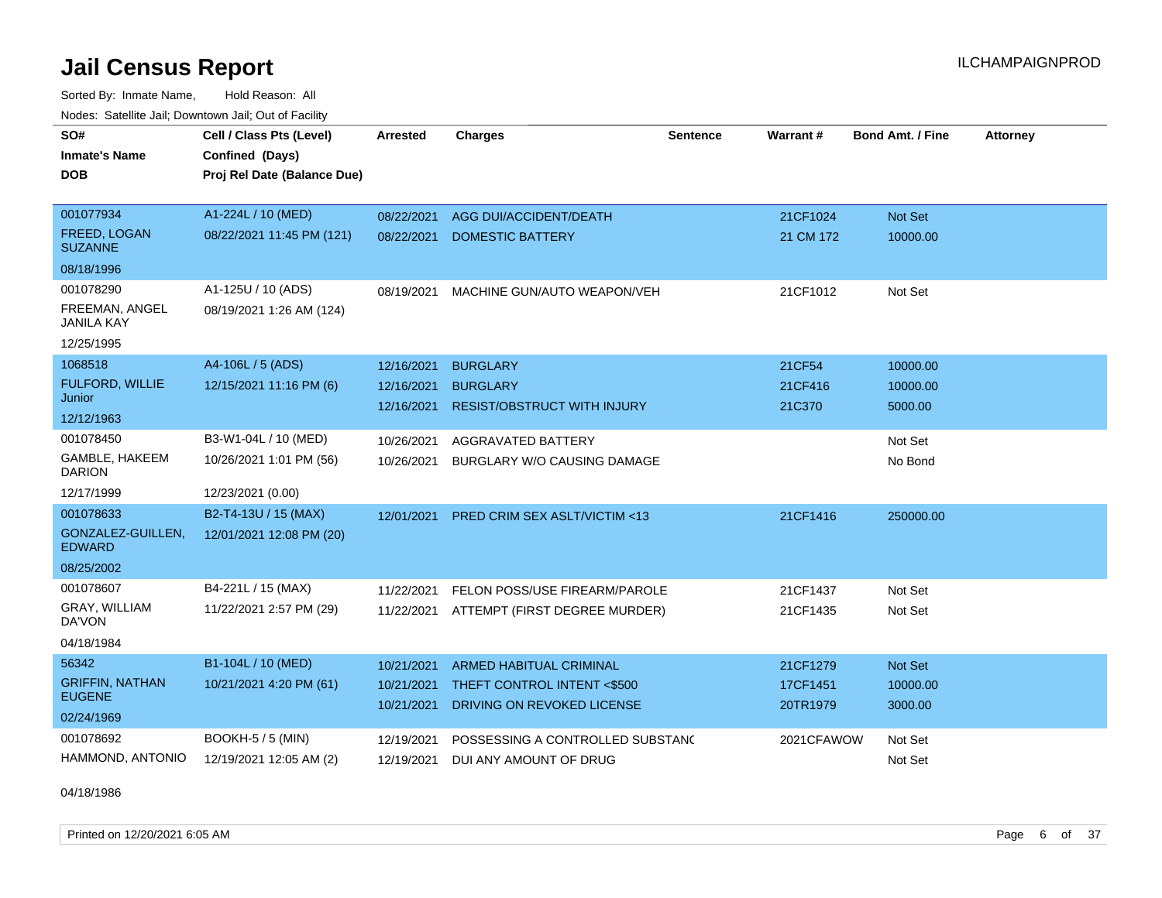Sorted By: Inmate Name, Hold Reason: All Nodes: Satellite Jail; Downtown Jail; Out of Facility

| SO#                                   | Cell / Class Pts (Level)    | <b>Arrested</b> | <b>Charges</b>                          | <b>Sentence</b> | <b>Warrant#</b> | <b>Bond Amt. / Fine</b> | <b>Attorney</b> |
|---------------------------------------|-----------------------------|-----------------|-----------------------------------------|-----------------|-----------------|-------------------------|-----------------|
| <b>Inmate's Name</b>                  | Confined (Days)             |                 |                                         |                 |                 |                         |                 |
| <b>DOB</b>                            | Proj Rel Date (Balance Due) |                 |                                         |                 |                 |                         |                 |
|                                       |                             |                 |                                         |                 |                 |                         |                 |
| 001077934                             | A1-224L / 10 (MED)          | 08/22/2021      | AGG DUI/ACCIDENT/DEATH                  |                 | 21CF1024        | Not Set                 |                 |
| <b>FREED, LOGAN</b><br><b>SUZANNE</b> | 08/22/2021 11:45 PM (121)   | 08/22/2021      | <b>DOMESTIC BATTERY</b>                 |                 | 21 CM 172       | 10000.00                |                 |
| 08/18/1996                            |                             |                 |                                         |                 |                 |                         |                 |
| 001078290                             | A1-125U / 10 (ADS)          | 08/19/2021      | MACHINE GUN/AUTO WEAPON/VEH             |                 | 21CF1012        | Not Set                 |                 |
| FREEMAN, ANGEL<br><b>JANILA KAY</b>   | 08/19/2021 1:26 AM (124)    |                 |                                         |                 |                 |                         |                 |
| 12/25/1995                            |                             |                 |                                         |                 |                 |                         |                 |
| 1068518                               | A4-106L / 5 (ADS)           | 12/16/2021      | <b>BURGLARY</b>                         |                 | 21CF54          | 10000.00                |                 |
| <b>FULFORD, WILLIE</b><br>Junior      | 12/15/2021 11:16 PM (6)     | 12/16/2021      | <b>BURGLARY</b>                         |                 | 21CF416         | 10000.00                |                 |
| 12/12/1963                            |                             | 12/16/2021      | <b>RESIST/OBSTRUCT WITH INJURY</b>      |                 | 21C370          | 5000.00                 |                 |
| 001078450                             | B3-W1-04L / 10 (MED)        | 10/26/2021      | <b>AGGRAVATED BATTERY</b>               |                 |                 | Not Set                 |                 |
| GAMBLE, HAKEEM<br><b>DARION</b>       | 10/26/2021 1:01 PM (56)     | 10/26/2021      | BURGLARY W/O CAUSING DAMAGE             |                 |                 | No Bond                 |                 |
| 12/17/1999                            | 12/23/2021 (0.00)           |                 |                                         |                 |                 |                         |                 |
| 001078633                             | B2-T4-13U / 15 (MAX)        | 12/01/2021      | <b>PRED CRIM SEX ASLT/VICTIM &lt;13</b> |                 | 21CF1416        | 250000.00               |                 |
| GONZALEZ-GUILLEN,<br><b>EDWARD</b>    | 12/01/2021 12:08 PM (20)    |                 |                                         |                 |                 |                         |                 |
| 08/25/2002                            |                             |                 |                                         |                 |                 |                         |                 |
| 001078607                             | B4-221L / 15 (MAX)          | 11/22/2021      | FELON POSS/USE FIREARM/PAROLE           |                 | 21CF1437        | Not Set                 |                 |
| GRAY, WILLIAM<br>DA'VON               | 11/22/2021 2:57 PM (29)     | 11/22/2021      | ATTEMPT (FIRST DEGREE MURDER)           |                 | 21CF1435        | Not Set                 |                 |
| 04/18/1984                            |                             |                 |                                         |                 |                 |                         |                 |
| 56342                                 | B1-104L / 10 (MED)          | 10/21/2021      | <b>ARMED HABITUAL CRIMINAL</b>          |                 | 21CF1279        | Not Set                 |                 |
| <b>GRIFFIN, NATHAN</b>                | 10/21/2021 4:20 PM (61)     | 10/21/2021      | THEFT CONTROL INTENT <\$500             |                 | 17CF1451        | 10000.00                |                 |
| <b>EUGENE</b>                         |                             | 10/21/2021      | DRIVING ON REVOKED LICENSE              |                 | 20TR1979        | 3000.00                 |                 |
| 02/24/1969                            |                             |                 |                                         |                 |                 |                         |                 |
| 001078692                             | <b>BOOKH-5 / 5 (MIN)</b>    | 12/19/2021      | POSSESSING A CONTROLLED SUBSTAND        |                 | 2021CFAWOW      | Not Set                 |                 |
| HAMMOND, ANTONIO                      | 12/19/2021 12:05 AM (2)     | 12/19/2021      | DUI ANY AMOUNT OF DRUG                  |                 |                 | Not Set                 |                 |

04/18/1986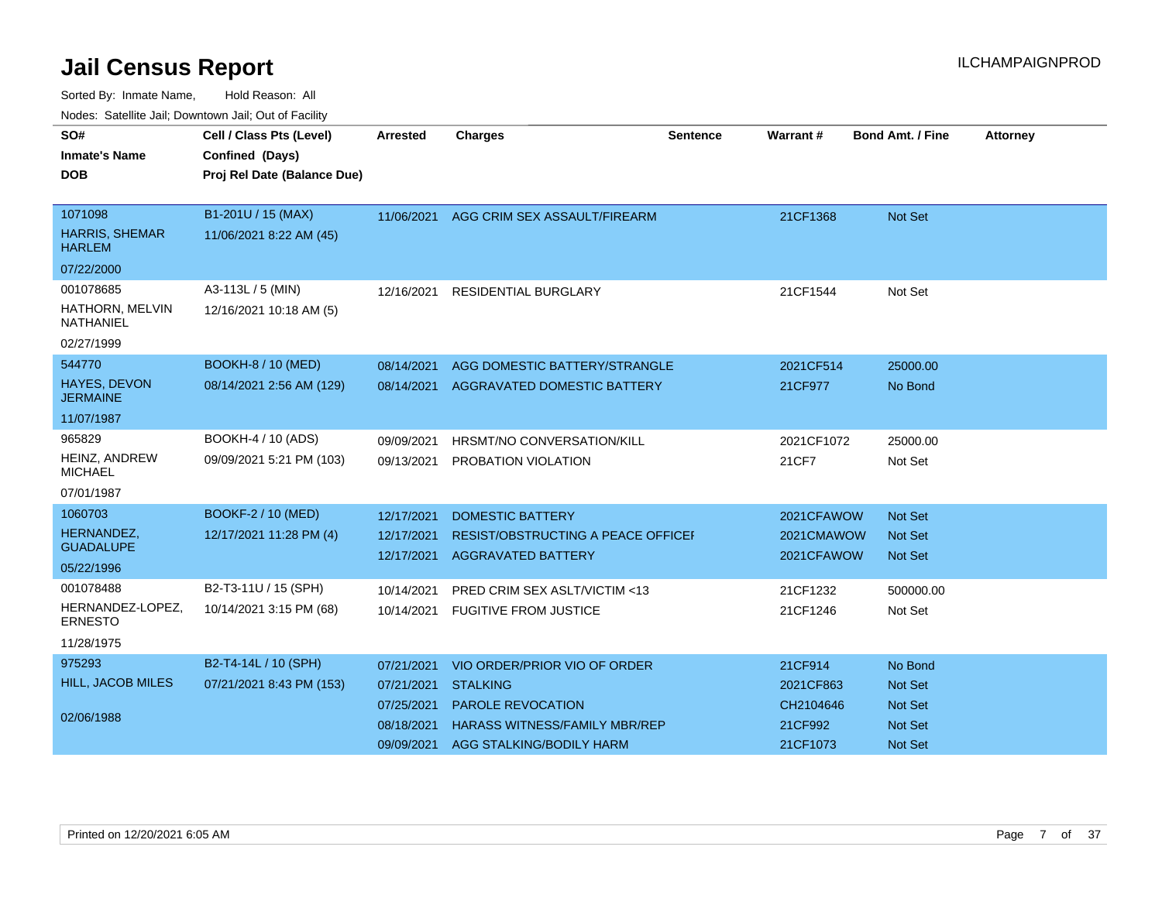| SO#                                    | Cell / Class Pts (Level)    | Arrested   | <b>Charges</b>                       | <b>Sentence</b> | <b>Warrant#</b> | <b>Bond Amt. / Fine</b> | <b>Attorney</b> |
|----------------------------------------|-----------------------------|------------|--------------------------------------|-----------------|-----------------|-------------------------|-----------------|
| <b>Inmate's Name</b>                   | Confined (Days)             |            |                                      |                 |                 |                         |                 |
| <b>DOB</b>                             | Proj Rel Date (Balance Due) |            |                                      |                 |                 |                         |                 |
| 1071098                                | B1-201U / 15 (MAX)          |            |                                      |                 |                 |                         |                 |
| <b>HARRIS, SHEMAR</b><br><b>HARLEM</b> | 11/06/2021 8:22 AM (45)     | 11/06/2021 | AGG CRIM SEX ASSAULT/FIREARM         |                 | 21CF1368        | <b>Not Set</b>          |                 |
| 07/22/2000                             |                             |            |                                      |                 |                 |                         |                 |
| 001078685                              | A3-113L / 5 (MIN)           | 12/16/2021 | RESIDENTIAL BURGLARY                 |                 | 21CF1544        | Not Set                 |                 |
| HATHORN, MELVIN<br><b>NATHANIEL</b>    | 12/16/2021 10:18 AM (5)     |            |                                      |                 |                 |                         |                 |
| 02/27/1999                             |                             |            |                                      |                 |                 |                         |                 |
| 544770                                 | <b>BOOKH-8 / 10 (MED)</b>   | 08/14/2021 | AGG DOMESTIC BATTERY/STRANGLE        |                 | 2021CF514       | 25000.00                |                 |
| HAYES, DEVON<br><b>JERMAINE</b>        | 08/14/2021 2:56 AM (129)    | 08/14/2021 | AGGRAVATED DOMESTIC BATTERY          |                 | 21CF977         | No Bond                 |                 |
| 11/07/1987                             |                             |            |                                      |                 |                 |                         |                 |
| 965829                                 | BOOKH-4 / 10 (ADS)          | 09/09/2021 | HRSMT/NO CONVERSATION/KILL           |                 | 2021CF1072      | 25000.00                |                 |
| HEINZ, ANDREW<br><b>MICHAEL</b>        | 09/09/2021 5:21 PM (103)    | 09/13/2021 | PROBATION VIOLATION                  |                 | 21CF7           | Not Set                 |                 |
| 07/01/1987                             |                             |            |                                      |                 |                 |                         |                 |
| 1060703                                | BOOKF-2 / 10 (MED)          | 12/17/2021 | <b>DOMESTIC BATTERY</b>              |                 | 2021CFAWOW      | <b>Not Set</b>          |                 |
| HERNANDEZ,<br><b>GUADALUPE</b>         | 12/17/2021 11:28 PM (4)     | 12/17/2021 | RESIST/OBSTRUCTING A PEACE OFFICE    |                 | 2021CMAWOW      | <b>Not Set</b>          |                 |
|                                        |                             | 12/17/2021 | <b>AGGRAVATED BATTERY</b>            |                 | 2021CFAWOW      | <b>Not Set</b>          |                 |
| 05/22/1996<br>001078488                |                             |            |                                      |                 |                 |                         |                 |
| HERNANDEZ-LOPEZ,                       | B2-T3-11U / 15 (SPH)        | 10/14/2021 | PRED CRIM SEX ASLT/VICTIM <13        |                 | 21CF1232        | 500000.00               |                 |
| <b>ERNESTO</b>                         | 10/14/2021 3:15 PM (68)     | 10/14/2021 | <b>FUGITIVE FROM JUSTICE</b>         |                 | 21CF1246        | Not Set                 |                 |
| 11/28/1975                             |                             |            |                                      |                 |                 |                         |                 |
| 975293                                 | B2-T4-14L / 10 (SPH)        | 07/21/2021 | VIO ORDER/PRIOR VIO OF ORDER         |                 | 21CF914         | No Bond                 |                 |
| <b>HILL, JACOB MILES</b>               | 07/21/2021 8:43 PM (153)    | 07/21/2021 | <b>STALKING</b>                      |                 | 2021CF863       | <b>Not Set</b>          |                 |
|                                        |                             | 07/25/2021 | <b>PAROLE REVOCATION</b>             |                 | CH2104646       | <b>Not Set</b>          |                 |
| 02/06/1988                             |                             | 08/18/2021 | <b>HARASS WITNESS/FAMILY MBR/REP</b> |                 | 21CF992         | <b>Not Set</b>          |                 |
|                                        |                             | 09/09/2021 | <b>AGG STALKING/BODILY HARM</b>      |                 | 21CF1073        | Not Set                 |                 |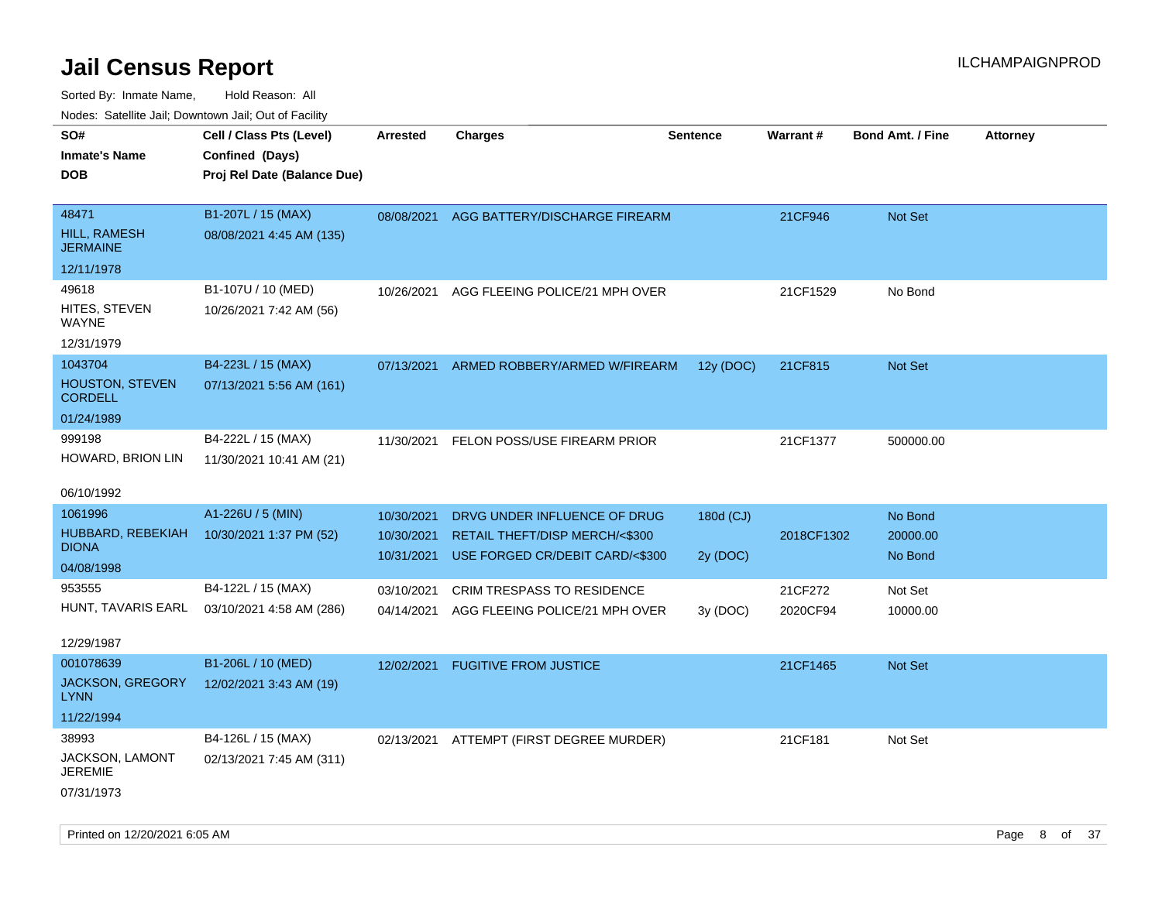Sorted By: Inmate Name, Hold Reason: All Nodes: Satellite Jail; Downtown Jail; Out of Facility

| SO#<br>Inmate's Name<br>DOB.                               | Cell / Class Pts (Level)<br>Confined (Days)<br>Proj Rel Date (Balance Due) | Arrested                               | <b>Charges</b>                                                                                              | <b>Sentence</b>       | Warrant#   | <b>Bond Amt. / Fine</b>        | <b>Attorney</b> |
|------------------------------------------------------------|----------------------------------------------------------------------------|----------------------------------------|-------------------------------------------------------------------------------------------------------------|-----------------------|------------|--------------------------------|-----------------|
| 48471<br>HILL, RAMESH<br>JERMAINE                          | B1-207L / 15 (MAX)<br>08/08/2021 4:45 AM (135)                             |                                        | 08/08/2021 AGG BATTERY/DISCHARGE FIREARM                                                                    |                       | 21CF946    | <b>Not Set</b>                 |                 |
| 12/11/1978                                                 |                                                                            |                                        |                                                                                                             |                       |            |                                |                 |
| 49618<br>HITES, STEVEN<br>WAYNE<br>12/31/1979              | B1-107U / 10 (MED)<br>10/26/2021 7:42 AM (56)                              | 10/26/2021                             | AGG FLEEING POLICE/21 MPH OVER                                                                              |                       | 21CF1529   | No Bond                        |                 |
| 1043704<br><b>HOUSTON, STEVEN</b><br><b>CORDELL</b>        | B4-223L / 15 (MAX)<br>07/13/2021 5:56 AM (161)                             | 07/13/2021                             | ARMED ROBBERY/ARMED W/FIREARM                                                                               | 12y (DOC)             | 21CF815    | <b>Not Set</b>                 |                 |
| 01/24/1989                                                 |                                                                            |                                        |                                                                                                             |                       |            |                                |                 |
| 999198<br>HOWARD, BRION LIN                                | B4-222L / 15 (MAX)<br>11/30/2021 10:41 AM (21)                             | 11/30/2021                             | FELON POSS/USE FIREARM PRIOR                                                                                |                       | 21CF1377   | 500000.00                      |                 |
| 06/10/1992                                                 |                                                                            |                                        |                                                                                                             |                       |            |                                |                 |
| 1061996<br>HUBBARD, REBEKIAH<br><b>DIONA</b><br>04/08/1998 | A1-226U / 5 (MIN)<br>10/30/2021 1:37 PM (52)                               | 10/30/2021<br>10/30/2021<br>10/31/2021 | DRVG UNDER INFLUENCE OF DRUG<br><b>RETAIL THEFT/DISP MERCH/&lt;\$300</b><br>USE FORGED CR/DEBIT CARD/<\$300 | 180d (CJ)<br>2y (DOC) | 2018CF1302 | No Bond<br>20000.00<br>No Bond |                 |
| 953555                                                     | B4-122L / 15 (MAX)                                                         | 03/10/2021                             | <b>CRIM TRESPASS TO RESIDENCE</b>                                                                           |                       | 21CF272    | Not Set                        |                 |
| 12/29/1987                                                 | HUNT, TAVARIS EARL 03/10/2021 4:58 AM (286)                                | 04/14/2021                             | AGG FLEEING POLICE/21 MPH OVER                                                                              | 3y (DOC)              | 2020CF94   | 10000.00                       |                 |
| 001078639                                                  | B1-206L / 10 (MED)                                                         | 12/02/2021                             | <b>FUGITIVE FROM JUSTICE</b>                                                                                |                       | 21CF1465   | <b>Not Set</b>                 |                 |
| JACKSON, GREGORY<br>LYNN                                   | 12/02/2021 3:43 AM (19)                                                    |                                        |                                                                                                             |                       |            |                                |                 |
| 11/22/1994                                                 |                                                                            |                                        |                                                                                                             |                       |            |                                |                 |
| 38993<br>JACKSON, LAMONT<br>JEREMIE<br>07/31/1973          | B4-126L / 15 (MAX)<br>02/13/2021 7:45 AM (311)                             |                                        | 02/13/2021 ATTEMPT (FIRST DEGREE MURDER)                                                                    |                       | 21CF181    | Not Set                        |                 |

Printed on 12/20/2021 6:05 AM **Page 8 of 37**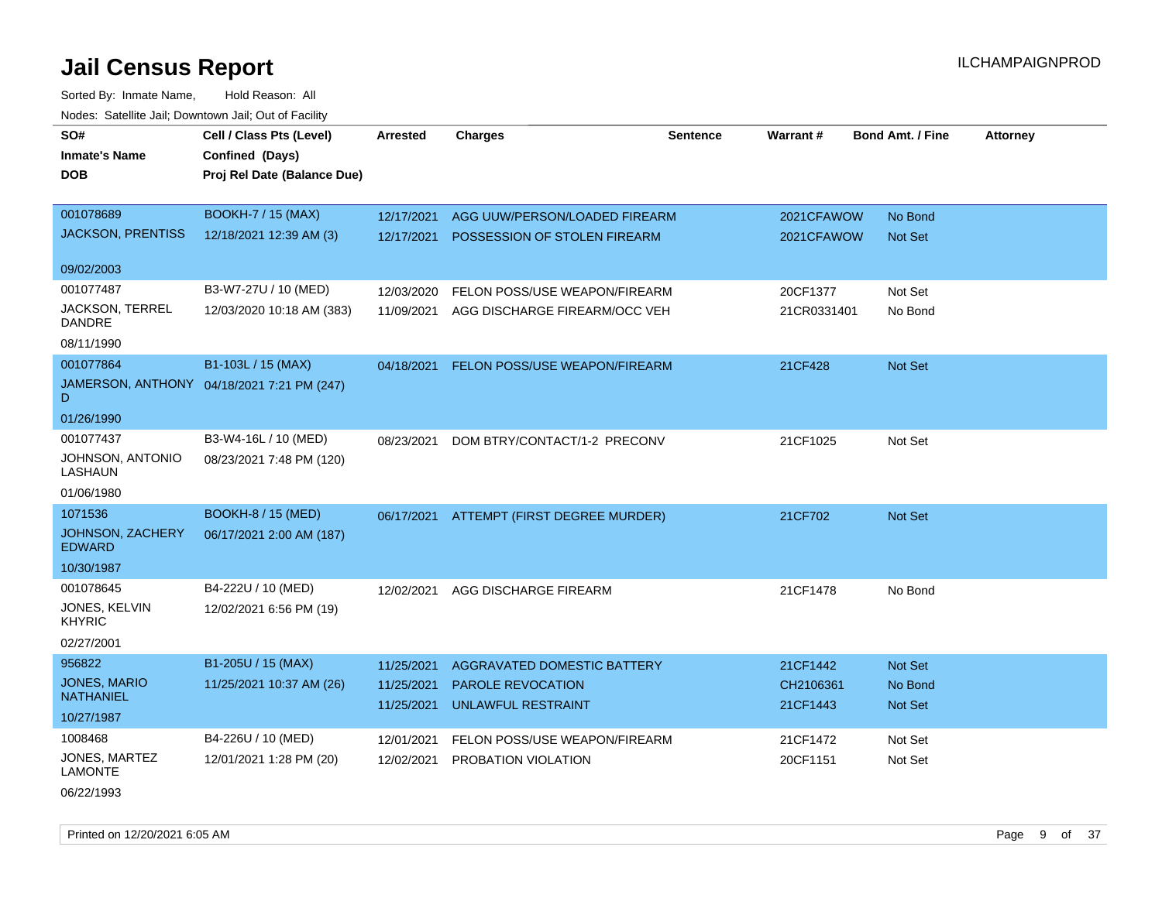Sorted By: Inmate Name, Hold Reason: All Nodes: Satellite Jail; Downtown Jail; Out of Facility

| SO#<br><b>Inmate's Name</b>             | Cell / Class Pts (Level)<br>Confined (Days) | <b>Arrested</b> | <b>Charges</b>                           | <b>Sentence</b> | <b>Warrant#</b> | <b>Bond Amt. / Fine</b> | <b>Attorney</b> |
|-----------------------------------------|---------------------------------------------|-----------------|------------------------------------------|-----------------|-----------------|-------------------------|-----------------|
| <b>DOB</b>                              | Proj Rel Date (Balance Due)                 |                 |                                          |                 |                 |                         |                 |
|                                         |                                             |                 |                                          |                 |                 |                         |                 |
| 001078689                               | <b>BOOKH-7 / 15 (MAX)</b>                   | 12/17/2021      | AGG UUW/PERSON/LOADED FIREARM            |                 | 2021CFAWOW      | No Bond                 |                 |
| <b>JACKSON, PRENTISS</b>                | 12/18/2021 12:39 AM (3)                     | 12/17/2021      | POSSESSION OF STOLEN FIREARM             |                 | 2021CFAWOW      | Not Set                 |                 |
|                                         |                                             |                 |                                          |                 |                 |                         |                 |
| 09/02/2003                              |                                             |                 |                                          |                 |                 |                         |                 |
| 001077487                               | B3-W7-27U / 10 (MED)                        | 12/03/2020      | FELON POSS/USE WEAPON/FIREARM            |                 | 20CF1377        | Not Set                 |                 |
| JACKSON, TERREL<br><b>DANDRE</b>        | 12/03/2020 10:18 AM (383)                   | 11/09/2021      | AGG DISCHARGE FIREARM/OCC VEH            |                 | 21CR0331401     | No Bond                 |                 |
| 08/11/1990                              |                                             |                 |                                          |                 |                 |                         |                 |
| 001077864                               | B1-103L / 15 (MAX)                          | 04/18/2021      | FELON POSS/USE WEAPON/FIREARM            |                 | 21CF428         | Not Set                 |                 |
| D                                       | JAMERSON, ANTHONY 04/18/2021 7:21 PM (247)  |                 |                                          |                 |                 |                         |                 |
| 01/26/1990                              |                                             |                 |                                          |                 |                 |                         |                 |
| 001077437                               | B3-W4-16L / 10 (MED)                        | 08/23/2021      | DOM BTRY/CONTACT/1-2 PRECONV             |                 | 21CF1025        | Not Set                 |                 |
| JOHNSON, ANTONIO<br>LASHAUN             | 08/23/2021 7:48 PM (120)                    |                 |                                          |                 |                 |                         |                 |
| 01/06/1980                              |                                             |                 |                                          |                 |                 |                         |                 |
| 1071536                                 | <b>BOOKH-8 / 15 (MED)</b>                   |                 | 06/17/2021 ATTEMPT (FIRST DEGREE MURDER) |                 | 21CF702         | Not Set                 |                 |
| JOHNSON, ZACHERY<br><b>EDWARD</b>       | 06/17/2021 2:00 AM (187)                    |                 |                                          |                 |                 |                         |                 |
| 10/30/1987                              |                                             |                 |                                          |                 |                 |                         |                 |
| 001078645                               | B4-222U / 10 (MED)                          | 12/02/2021      | AGG DISCHARGE FIREARM                    |                 | 21CF1478        | No Bond                 |                 |
| JONES, KELVIN<br><b>KHYRIC</b>          | 12/02/2021 6:56 PM (19)                     |                 |                                          |                 |                 |                         |                 |
| 02/27/2001                              |                                             |                 |                                          |                 |                 |                         |                 |
| 956822                                  | B1-205U / 15 (MAX)                          | 11/25/2021      | <b>AGGRAVATED DOMESTIC BATTERY</b>       |                 | 21CF1442        | Not Set                 |                 |
| <b>JONES, MARIO</b><br><b>NATHANIEL</b> | 11/25/2021 10:37 AM (26)                    | 11/25/2021      | <b>PAROLE REVOCATION</b>                 |                 | CH2106361       | No Bond                 |                 |
| 10/27/1987                              |                                             | 11/25/2021      | UNLAWFUL RESTRAINT                       |                 | 21CF1443        | Not Set                 |                 |
| 1008468                                 | B4-226U / 10 (MED)                          | 12/01/2021      | FELON POSS/USE WEAPON/FIREARM            |                 | 21CF1472        | Not Set                 |                 |
| JONES, MARTEZ<br><b>LAMONTE</b>         | 12/01/2021 1:28 PM (20)                     | 12/02/2021      | PROBATION VIOLATION                      |                 | 20CF1151        | Not Set                 |                 |
| 06/22/1993                              |                                             |                 |                                          |                 |                 |                         |                 |

Printed on 12/20/2021 6:05 AM Page 9 of 37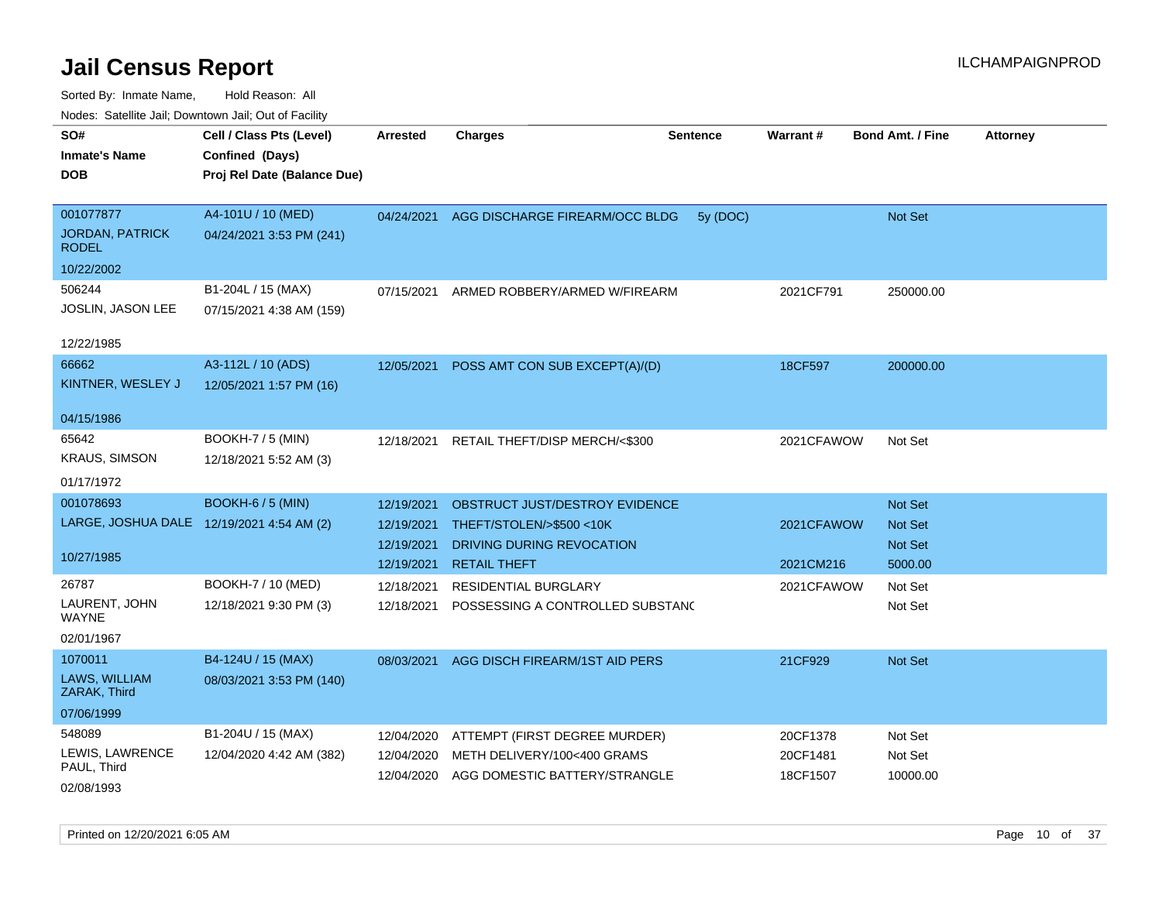| SO#<br><b>Inmate's Name</b><br>DOB                      | Cell / Class Pts (Level)<br>Confined (Days)<br>Proj Rel Date (Balance Due) | Arrested                 | <b>Charges</b>                                                          | <b>Sentence</b> | Warrant#             | <b>Bond Amt. / Fine</b>   | <b>Attorney</b> |
|---------------------------------------------------------|----------------------------------------------------------------------------|--------------------------|-------------------------------------------------------------------------|-----------------|----------------------|---------------------------|-----------------|
| 001077877<br><b>JORDAN, PATRICK</b><br><b>RODEL</b>     | A4-101U / 10 (MED)<br>04/24/2021 3:53 PM (241)                             | 04/24/2021               | AGG DISCHARGE FIREARM/OCC BLDG                                          | 5y (DOC)        |                      | Not Set                   |                 |
| 10/22/2002                                              |                                                                            |                          |                                                                         |                 |                      |                           |                 |
| 506244<br><b>JOSLIN, JASON LEE</b>                      | B1-204L / 15 (MAX)<br>07/15/2021 4:38 AM (159)                             | 07/15/2021               | ARMED ROBBERY/ARMED W/FIREARM                                           |                 | 2021CF791            | 250000.00                 |                 |
| 12/22/1985                                              |                                                                            |                          |                                                                         |                 |                      |                           |                 |
| 66662<br>KINTNER, WESLEY J                              | A3-112L / 10 (ADS)<br>12/05/2021 1:57 PM (16)                              | 12/05/2021               | POSS AMT CON SUB EXCEPT(A)/(D)                                          |                 | 18CF597              | 200000.00                 |                 |
| 04/15/1986                                              |                                                                            |                          |                                                                         |                 |                      |                           |                 |
| 65642<br><b>KRAUS, SIMSON</b><br>01/17/1972             | <b>BOOKH-7 / 5 (MIN)</b><br>12/18/2021 5:52 AM (3)                         | 12/18/2021               | RETAIL THEFT/DISP MERCH/<\$300                                          |                 | 2021CFAWOW           | Not Set                   |                 |
| 001078693                                               | <b>BOOKH-6 / 5 (MIN)</b>                                                   | 12/19/2021               | OBSTRUCT JUST/DESTROY EVIDENCE                                          |                 |                      | Not Set                   |                 |
| LARGE, JOSHUA DALE 12/19/2021 4:54 AM (2)<br>10/27/1985 |                                                                            | 12/19/2021<br>12/19/2021 | THEFT/STOLEN/>\$500 <10K<br>DRIVING DURING REVOCATION                   |                 | 2021CFAWOW           | <b>Not Set</b><br>Not Set |                 |
|                                                         |                                                                            | 12/19/2021               | <b>RETAIL THEFT</b>                                                     |                 | 2021CM216            | 5000.00                   |                 |
| 26787<br>LAURENT, JOHN<br>WAYNE                         | BOOKH-7 / 10 (MED)<br>12/18/2021 9:30 PM (3)                               | 12/18/2021<br>12/18/2021 | <b>RESIDENTIAL BURGLARY</b><br>POSSESSING A CONTROLLED SUBSTANC         |                 | 2021CFAWOW           | Not Set<br>Not Set        |                 |
| 02/01/1967                                              |                                                                            |                          |                                                                         |                 |                      |                           |                 |
| 1070011<br>LAWS, WILLIAM<br>ZARAK, Third                | B4-124U / 15 (MAX)<br>08/03/2021 3:53 PM (140)                             | 08/03/2021               | AGG DISCH FIREARM/1ST AID PERS                                          |                 | 21CF929              | Not Set                   |                 |
| 07/06/1999                                              |                                                                            |                          |                                                                         |                 |                      |                           |                 |
| 548089                                                  | B1-204U / 15 (MAX)                                                         | 12/04/2020               | ATTEMPT (FIRST DEGREE MURDER)                                           |                 | 20CF1378             | Not Set                   |                 |
| LEWIS, LAWRENCE<br>PAUL, Third<br>02/08/1993            | 12/04/2020 4:42 AM (382)                                                   | 12/04/2020               | METH DELIVERY/100<400 GRAMS<br>12/04/2020 AGG DOMESTIC BATTERY/STRANGLE |                 | 20CF1481<br>18CF1507 | Not Set<br>10000.00       |                 |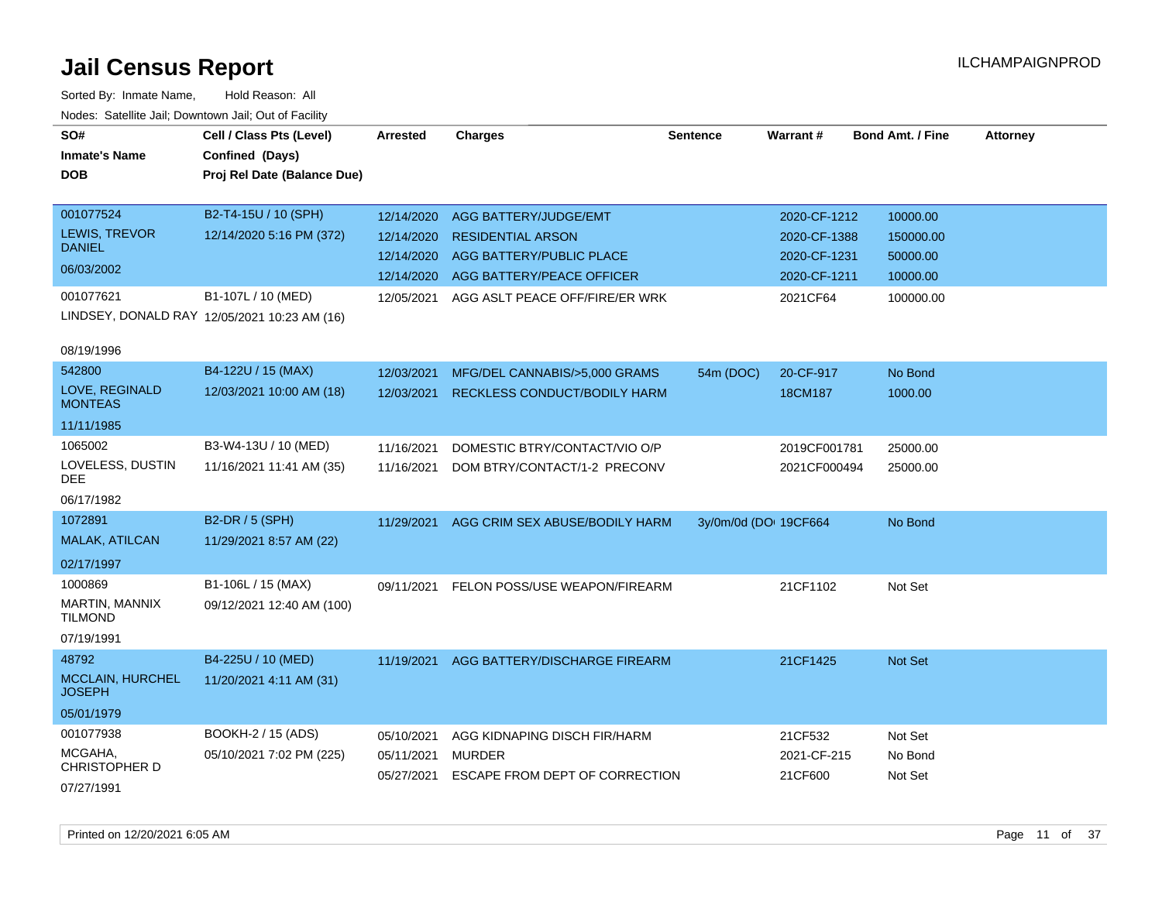| SO#                                      | Cell / Class Pts (Level)                     | <b>Arrested</b> | <b>Charges</b>                           | <b>Sentence</b>       | Warrant#     | <b>Bond Amt. / Fine</b> | <b>Attorney</b> |
|------------------------------------------|----------------------------------------------|-----------------|------------------------------------------|-----------------------|--------------|-------------------------|-----------------|
| <b>Inmate's Name</b>                     | Confined (Days)                              |                 |                                          |                       |              |                         |                 |
| <b>DOB</b>                               | Proj Rel Date (Balance Due)                  |                 |                                          |                       |              |                         |                 |
|                                          |                                              |                 |                                          |                       |              |                         |                 |
| 001077524                                | B2-T4-15U / 10 (SPH)                         | 12/14/2020      | AGG BATTERY/JUDGE/EMT                    |                       | 2020-CF-1212 | 10000.00                |                 |
| <b>LEWIS, TREVOR</b>                     | 12/14/2020 5:16 PM (372)                     | 12/14/2020      | <b>RESIDENTIAL ARSON</b>                 |                       | 2020-CF-1388 | 150000.00               |                 |
| <b>DANIEL</b>                            |                                              | 12/14/2020      | AGG BATTERY/PUBLIC PLACE                 |                       | 2020-CF-1231 | 50000.00                |                 |
| 06/03/2002                               |                                              | 12/14/2020      | AGG BATTERY/PEACE OFFICER                |                       | 2020-CF-1211 | 10000.00                |                 |
| 001077621                                | B1-107L / 10 (MED)                           | 12/05/2021      | AGG ASLT PEACE OFF/FIRE/ER WRK           |                       | 2021CF64     | 100000.00               |                 |
|                                          | LINDSEY, DONALD RAY 12/05/2021 10:23 AM (16) |                 |                                          |                       |              |                         |                 |
|                                          |                                              |                 |                                          |                       |              |                         |                 |
| 08/19/1996                               |                                              |                 |                                          |                       |              |                         |                 |
| 542800                                   | B4-122U / 15 (MAX)                           | 12/03/2021      | MFG/DEL CANNABIS/>5,000 GRAMS            | 54m (DOC)             | 20-CF-917    | No Bond                 |                 |
| LOVE, REGINALD<br><b>MONTEAS</b>         | 12/03/2021 10:00 AM (18)                     | 12/03/2021      | RECKLESS CONDUCT/BODILY HARM             |                       | 18CM187      | 1000.00                 |                 |
| 11/11/1985                               |                                              |                 |                                          |                       |              |                         |                 |
| 1065002                                  | B3-W4-13U / 10 (MED)                         | 11/16/2021      | DOMESTIC BTRY/CONTACT/VIO O/P            |                       | 2019CF001781 | 25000.00                |                 |
| LOVELESS, DUSTIN<br>DEE.                 | 11/16/2021 11:41 AM (35)                     | 11/16/2021      | DOM BTRY/CONTACT/1-2 PRECONV             |                       | 2021CF000494 | 25000.00                |                 |
| 06/17/1982                               |                                              |                 |                                          |                       |              |                         |                 |
| 1072891                                  | B2-DR / 5 (SPH)                              | 11/29/2021      | AGG CRIM SEX ABUSE/BODILY HARM           | 3y/0m/0d (DOI 19CF664 |              | No Bond                 |                 |
| <b>MALAK, ATILCAN</b>                    | 11/29/2021 8:57 AM (22)                      |                 |                                          |                       |              |                         |                 |
| 02/17/1997                               |                                              |                 |                                          |                       |              |                         |                 |
| 1000869                                  | B1-106L / 15 (MAX)                           | 09/11/2021      | FELON POSS/USE WEAPON/FIREARM            |                       | 21CF1102     | Not Set                 |                 |
| MARTIN, MANNIX<br><b>TILMOND</b>         | 09/12/2021 12:40 AM (100)                    |                 |                                          |                       |              |                         |                 |
| 07/19/1991                               |                                              |                 |                                          |                       |              |                         |                 |
| 48792                                    | B4-225U / 10 (MED)                           |                 | 11/19/2021 AGG BATTERY/DISCHARGE FIREARM |                       | 21CF1425     | Not Set                 |                 |
| <b>MCCLAIN, HURCHEL</b><br><b>JOSEPH</b> | 11/20/2021 4:11 AM (31)                      |                 |                                          |                       |              |                         |                 |
| 05/01/1979                               |                                              |                 |                                          |                       |              |                         |                 |
| 001077938                                | <b>BOOKH-2 / 15 (ADS)</b>                    | 05/10/2021      | AGG KIDNAPING DISCH FIR/HARM             |                       | 21CF532      | Not Set                 |                 |
| MCGAHA,                                  | 05/10/2021 7:02 PM (225)                     | 05/11/2021      | MURDER                                   |                       | 2021-CF-215  | No Bond                 |                 |
| <b>CHRISTOPHER D</b>                     |                                              | 05/27/2021      | ESCAPE FROM DEPT OF CORRECTION           |                       | 21CF600      | Not Set                 |                 |
| 07/27/1991                               |                                              |                 |                                          |                       |              |                         |                 |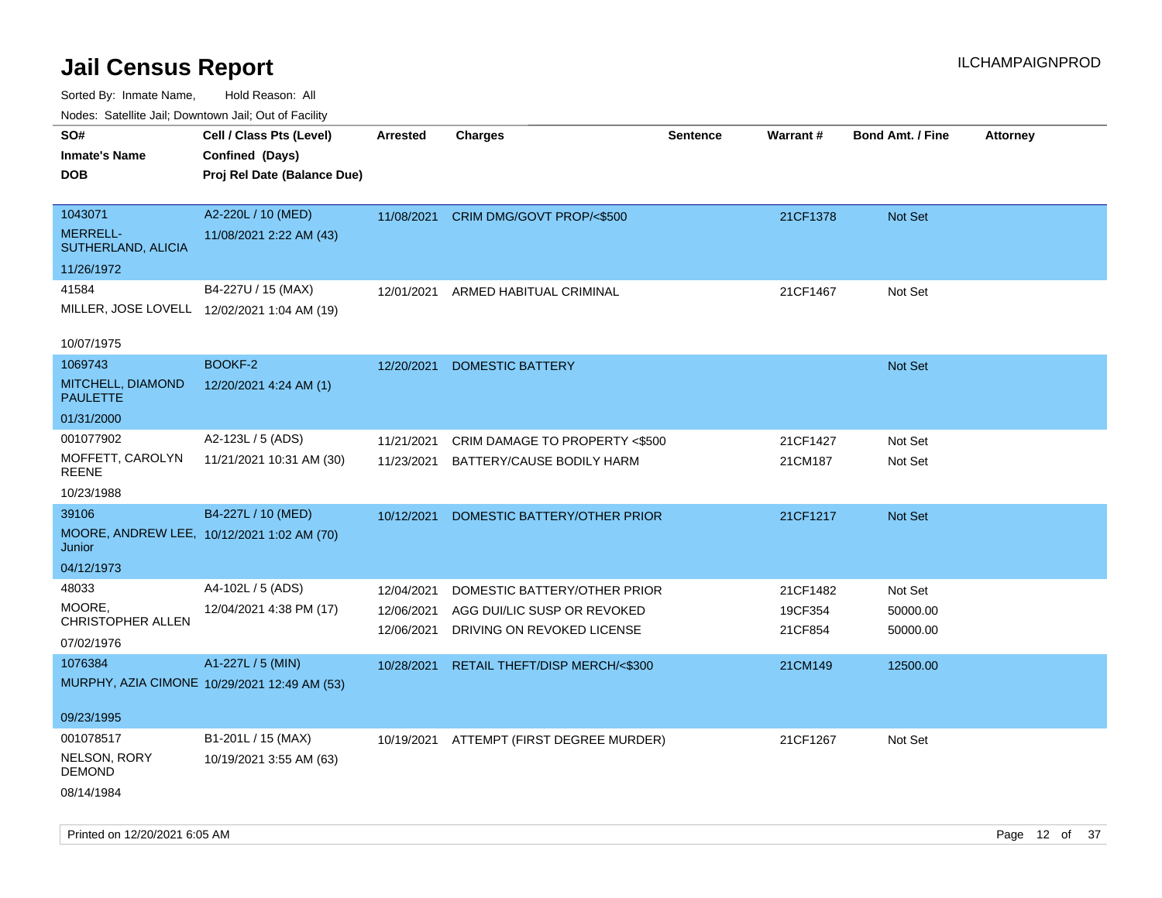| ivoues. Salellite Jali, Downtown Jali, Out of Facility |                                              |            |                                          |                 |          |                         |                 |
|--------------------------------------------------------|----------------------------------------------|------------|------------------------------------------|-----------------|----------|-------------------------|-----------------|
| SO#                                                    | Cell / Class Pts (Level)                     | Arrested   | <b>Charges</b>                           | <b>Sentence</b> | Warrant# | <b>Bond Amt. / Fine</b> | <b>Attorney</b> |
| <b>Inmate's Name</b>                                   | Confined (Days)                              |            |                                          |                 |          |                         |                 |
| DOB                                                    | Proj Rel Date (Balance Due)                  |            |                                          |                 |          |                         |                 |
|                                                        |                                              |            |                                          |                 |          |                         |                 |
| 1043071                                                | A2-220L / 10 (MED)                           | 11/08/2021 | CRIM DMG/GOVT PROP/<\$500                |                 | 21CF1378 | Not Set                 |                 |
| <b>MERRELL-</b><br>SUTHERLAND, ALICIA                  | 11/08/2021 2:22 AM (43)                      |            |                                          |                 |          |                         |                 |
| 11/26/1972                                             |                                              |            |                                          |                 |          |                         |                 |
| 41584                                                  | B4-227U / 15 (MAX)                           | 12/01/2021 | ARMED HABITUAL CRIMINAL                  |                 | 21CF1467 | Not Set                 |                 |
| MILLER, JOSE LOVELL 12/02/2021 1:04 AM (19)            |                                              |            |                                          |                 |          |                         |                 |
|                                                        |                                              |            |                                          |                 |          |                         |                 |
| 10/07/1975                                             |                                              |            |                                          |                 |          |                         |                 |
| 1069743                                                | <b>BOOKF-2</b>                               | 12/20/2021 | <b>DOMESTIC BATTERY</b>                  |                 |          | <b>Not Set</b>          |                 |
| MITCHELL, DIAMOND<br><b>PAULETTE</b>                   | 12/20/2021 4:24 AM (1)                       |            |                                          |                 |          |                         |                 |
| 01/31/2000                                             |                                              |            |                                          |                 |          |                         |                 |
| 001077902                                              | A2-123L / 5 (ADS)                            | 11/21/2021 | CRIM DAMAGE TO PROPERTY <\$500           |                 | 21CF1427 | Not Set                 |                 |
| MOFFETT, CAROLYN<br><b>REENE</b>                       | 11/21/2021 10:31 AM (30)                     | 11/23/2021 | BATTERY/CAUSE BODILY HARM                |                 | 21CM187  | Not Set                 |                 |
| 10/23/1988                                             |                                              |            |                                          |                 |          |                         |                 |
| 39106                                                  | B4-227L / 10 (MED)                           | 10/12/2021 | DOMESTIC BATTERY/OTHER PRIOR             |                 | 21CF1217 | Not Set                 |                 |
| MOORE, ANDREW LEE, 10/12/2021 1:02 AM (70)<br>Junior   |                                              |            |                                          |                 |          |                         |                 |
| 04/12/1973                                             |                                              |            |                                          |                 |          |                         |                 |
| 48033                                                  | A4-102L / 5 (ADS)                            | 12/04/2021 | DOMESTIC BATTERY/OTHER PRIOR             |                 | 21CF1482 | Not Set                 |                 |
| MOORE.                                                 | 12/04/2021 4:38 PM (17)                      | 12/06/2021 | AGG DUI/LIC SUSP OR REVOKED              |                 | 19CF354  | 50000.00                |                 |
| CHRISTOPHER ALLEN                                      |                                              | 12/06/2021 | DRIVING ON REVOKED LICENSE               |                 | 21CF854  | 50000.00                |                 |
| 07/02/1976                                             |                                              |            |                                          |                 |          |                         |                 |
| 1076384                                                | A1-227L / 5 (MIN)                            | 10/28/2021 | <b>RETAIL THEFT/DISP MERCH/&lt;\$300</b> |                 | 21CM149  | 12500.00                |                 |
|                                                        | MURPHY, AZIA CIMONE 10/29/2021 12:49 AM (53) |            |                                          |                 |          |                         |                 |
|                                                        |                                              |            |                                          |                 |          |                         |                 |
| 09/23/1995                                             |                                              |            |                                          |                 |          |                         |                 |
| 001078517                                              | B1-201L / 15 (MAX)                           |            | 10/19/2021 ATTEMPT (FIRST DEGREE MURDER) |                 | 21CF1267 | Not Set                 |                 |
| NELSON, RORY<br><b>DEMOND</b>                          | 10/19/2021 3:55 AM (63)                      |            |                                          |                 |          |                         |                 |
| 08/14/1984                                             |                                              |            |                                          |                 |          |                         |                 |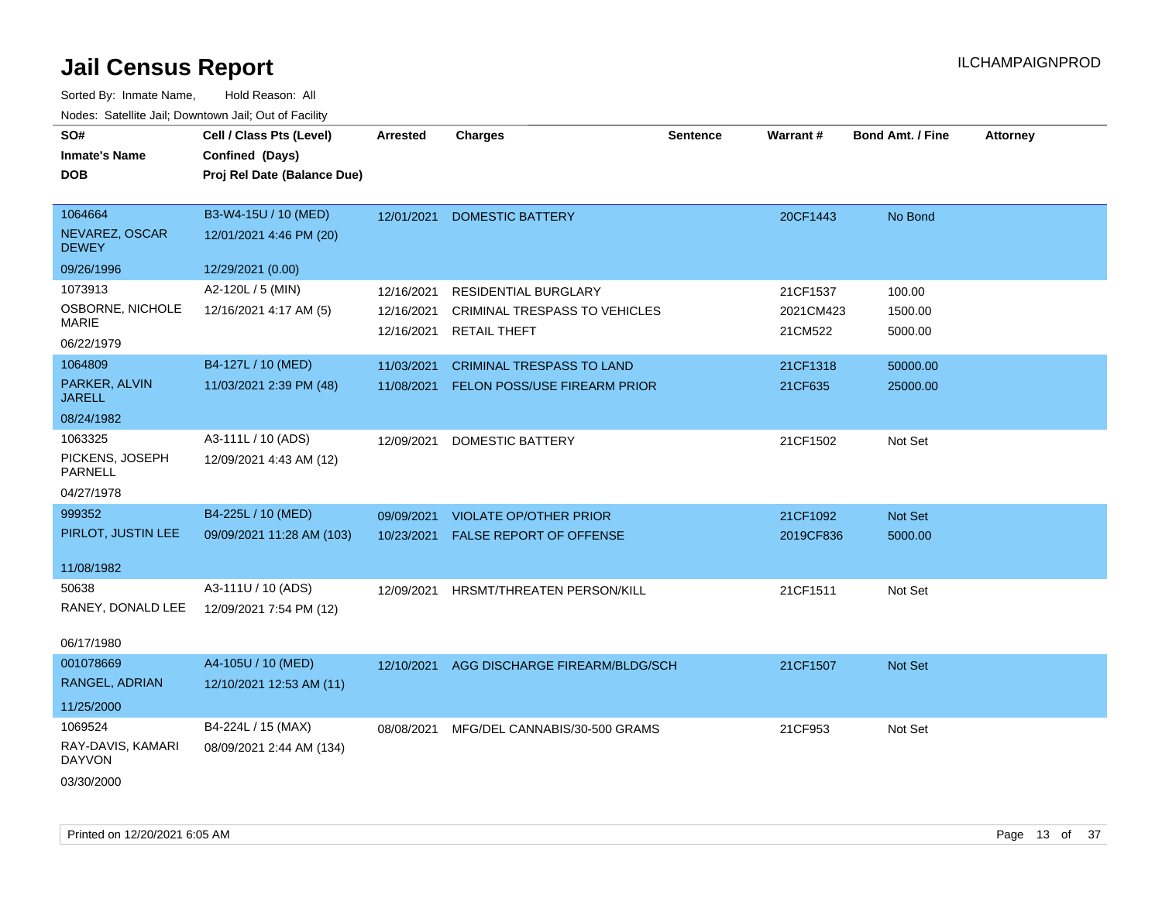| SO#<br><b>Inmate's Name</b><br><b>DOB</b>                               | Cell / Class Pts (Level)<br>Confined (Days)<br>Proj Rel Date (Balance Due) | Arrested                               | <b>Charges</b>                                                                             | <b>Sentence</b> | <b>Warrant#</b>                  | <b>Bond Amt. / Fine</b>      | <b>Attorney</b> |
|-------------------------------------------------------------------------|----------------------------------------------------------------------------|----------------------------------------|--------------------------------------------------------------------------------------------|-----------------|----------------------------------|------------------------------|-----------------|
| 1064664<br>NEVAREZ, OSCAR<br><b>DEWEY</b>                               | B3-W4-15U / 10 (MED)<br>12/01/2021 4:46 PM (20)                            | 12/01/2021                             | <b>DOMESTIC BATTERY</b>                                                                    |                 | 20CF1443                         | No Bond                      |                 |
| 09/26/1996<br>1073913<br>OSBORNE, NICHOLE<br><b>MARIE</b><br>06/22/1979 | 12/29/2021 (0.00)<br>A2-120L / 5 (MIN)<br>12/16/2021 4:17 AM (5)           | 12/16/2021<br>12/16/2021<br>12/16/2021 | <b>RESIDENTIAL BURGLARY</b><br><b>CRIMINAL TRESPASS TO VEHICLES</b><br><b>RETAIL THEFT</b> |                 | 21CF1537<br>2021CM423<br>21CM522 | 100.00<br>1500.00<br>5000.00 |                 |
| 1064809<br>PARKER, ALVIN<br><b>JARELL</b><br>08/24/1982                 | B4-127L / 10 (MED)<br>11/03/2021 2:39 PM (48)                              | 11/03/2021<br>11/08/2021               | <b>CRIMINAL TRESPASS TO LAND</b><br><b>FELON POSS/USE FIREARM PRIOR</b>                    |                 | 21CF1318<br>21CF635              | 50000.00<br>25000.00         |                 |
| 1063325<br>PICKENS, JOSEPH<br>PARNELL<br>04/27/1978                     | A3-111L / 10 (ADS)<br>12/09/2021 4:43 AM (12)                              | 12/09/2021                             | DOMESTIC BATTERY                                                                           |                 | 21CF1502                         | Not Set                      |                 |
| 999352<br>PIRLOT, JUSTIN LEE<br>11/08/1982                              | B4-225L / 10 (MED)<br>09/09/2021 11:28 AM (103)                            | 09/09/2021<br>10/23/2021               | <b>VIOLATE OP/OTHER PRIOR</b><br><b>FALSE REPORT OF OFFENSE</b>                            |                 | 21CF1092<br>2019CF836            | Not Set<br>5000.00           |                 |
| 50638<br>RANEY, DONALD LEE<br>06/17/1980                                | A3-111U / 10 (ADS)<br>12/09/2021 7:54 PM (12)                              | 12/09/2021                             | HRSMT/THREATEN PERSON/KILL                                                                 |                 | 21CF1511                         | Not Set                      |                 |
| 001078669<br>RANGEL, ADRIAN<br>11/25/2000                               | A4-105U / 10 (MED)<br>12/10/2021 12:53 AM (11)                             | 12/10/2021                             | AGG DISCHARGE FIREARM/BLDG/SCH                                                             |                 | 21CF1507                         | Not Set                      |                 |
| 1069524<br>RAY-DAVIS, KAMARI<br><b>DAYVON</b><br>03/30/2000             | B4-224L / 15 (MAX)<br>08/09/2021 2:44 AM (134)                             | 08/08/2021                             | MFG/DEL CANNABIS/30-500 GRAMS                                                              |                 | 21CF953                          | Not Set                      |                 |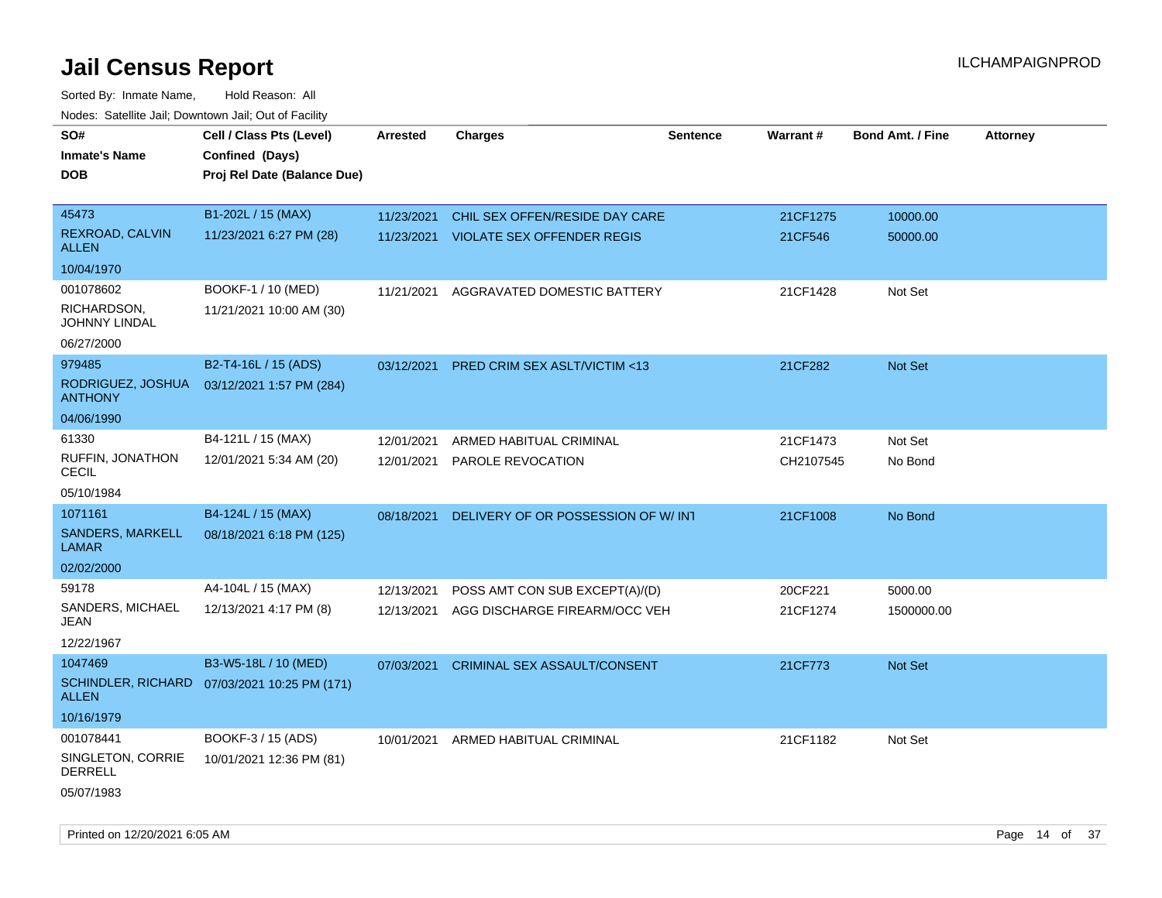| SO#<br><b>Inmate's Name</b><br>DOB        | Cell / Class Pts (Level)<br>Confined (Days)<br>Proj Rel Date (Balance Due) | <b>Arrested</b> | <b>Charges</b>                          | <b>Sentence</b> | Warrant#  | <b>Bond Amt. / Fine</b> | <b>Attorney</b> |
|-------------------------------------------|----------------------------------------------------------------------------|-----------------|-----------------------------------------|-----------------|-----------|-------------------------|-----------------|
| 45473                                     | B1-202L / 15 (MAX)                                                         | 11/23/2021      | CHIL SEX OFFEN/RESIDE DAY CARE          |                 | 21CF1275  | 10000.00                |                 |
| REXROAD, CALVIN<br><b>ALLEN</b>           | 11/23/2021 6:27 PM (28)                                                    | 11/23/2021      | <b>VIOLATE SEX OFFENDER REGIS</b>       |                 | 21CF546   | 50000.00                |                 |
| 10/04/1970                                |                                                                            |                 |                                         |                 |           |                         |                 |
| 001078602                                 | BOOKF-1 / 10 (MED)                                                         | 11/21/2021      | AGGRAVATED DOMESTIC BATTERY             |                 | 21CF1428  | Not Set                 |                 |
| RICHARDSON,<br><b>JOHNNY LINDAL</b>       | 11/21/2021 10:00 AM (30)                                                   |                 |                                         |                 |           |                         |                 |
| 06/27/2000                                |                                                                            |                 |                                         |                 |           |                         |                 |
| 979485                                    | B2-T4-16L / 15 (ADS)                                                       | 03/12/2021      | <b>PRED CRIM SEX ASLT/VICTIM &lt;13</b> |                 | 21CF282   | <b>Not Set</b>          |                 |
| RODRIGUEZ, JOSHUA<br><b>ANTHONY</b>       | 03/12/2021 1:57 PM (284)                                                   |                 |                                         |                 |           |                         |                 |
| 04/06/1990                                |                                                                            |                 |                                         |                 |           |                         |                 |
| 61330                                     | B4-121L / 15 (MAX)                                                         | 12/01/2021      | ARMED HABITUAL CRIMINAL                 |                 | 21CF1473  | Not Set                 |                 |
| RUFFIN, JONATHON<br><b>CECIL</b>          | 12/01/2021 5:34 AM (20)                                                    | 12/01/2021      | PAROLE REVOCATION                       |                 | CH2107545 | No Bond                 |                 |
| 05/10/1984                                |                                                                            |                 |                                         |                 |           |                         |                 |
| 1071161                                   | B4-124L / 15 (MAX)                                                         | 08/18/2021      | DELIVERY OF OR POSSESSION OF W/INT      |                 | 21CF1008  | No Bond                 |                 |
| SANDERS, MARKELL<br>LAMAR                 | 08/18/2021 6:18 PM (125)                                                   |                 |                                         |                 |           |                         |                 |
| 02/02/2000                                |                                                                            |                 |                                         |                 |           |                         |                 |
| 59178                                     | A4-104L / 15 (MAX)                                                         | 12/13/2021      | POSS AMT CON SUB EXCEPT(A)/(D)          |                 | 20CF221   | 5000.00                 |                 |
| SANDERS, MICHAEL<br>JEAN                  | 12/13/2021 4:17 PM (8)                                                     | 12/13/2021      | AGG DISCHARGE FIREARM/OCC VEH           |                 | 21CF1274  | 1500000.00              |                 |
| 12/22/1967                                |                                                                            |                 |                                         |                 |           |                         |                 |
| 1047469                                   | B3-W5-18L / 10 (MED)                                                       | 07/03/2021      | <b>CRIMINAL SEX ASSAULT/CONSENT</b>     |                 | 21CF773   | Not Set                 |                 |
| <b>SCHINDLER, RICHARD</b><br><b>ALLEN</b> | 07/03/2021 10:25 PM (171)                                                  |                 |                                         |                 |           |                         |                 |
| 10/16/1979                                |                                                                            |                 |                                         |                 |           |                         |                 |
| 001078441                                 | BOOKF-3 / 15 (ADS)                                                         | 10/01/2021      | ARMED HABITUAL CRIMINAL                 |                 | 21CF1182  | Not Set                 |                 |
| SINGLETON, CORRIE<br><b>DERRELL</b>       | 10/01/2021 12:36 PM (81)                                                   |                 |                                         |                 |           |                         |                 |
| 05/07/1983                                |                                                                            |                 |                                         |                 |           |                         |                 |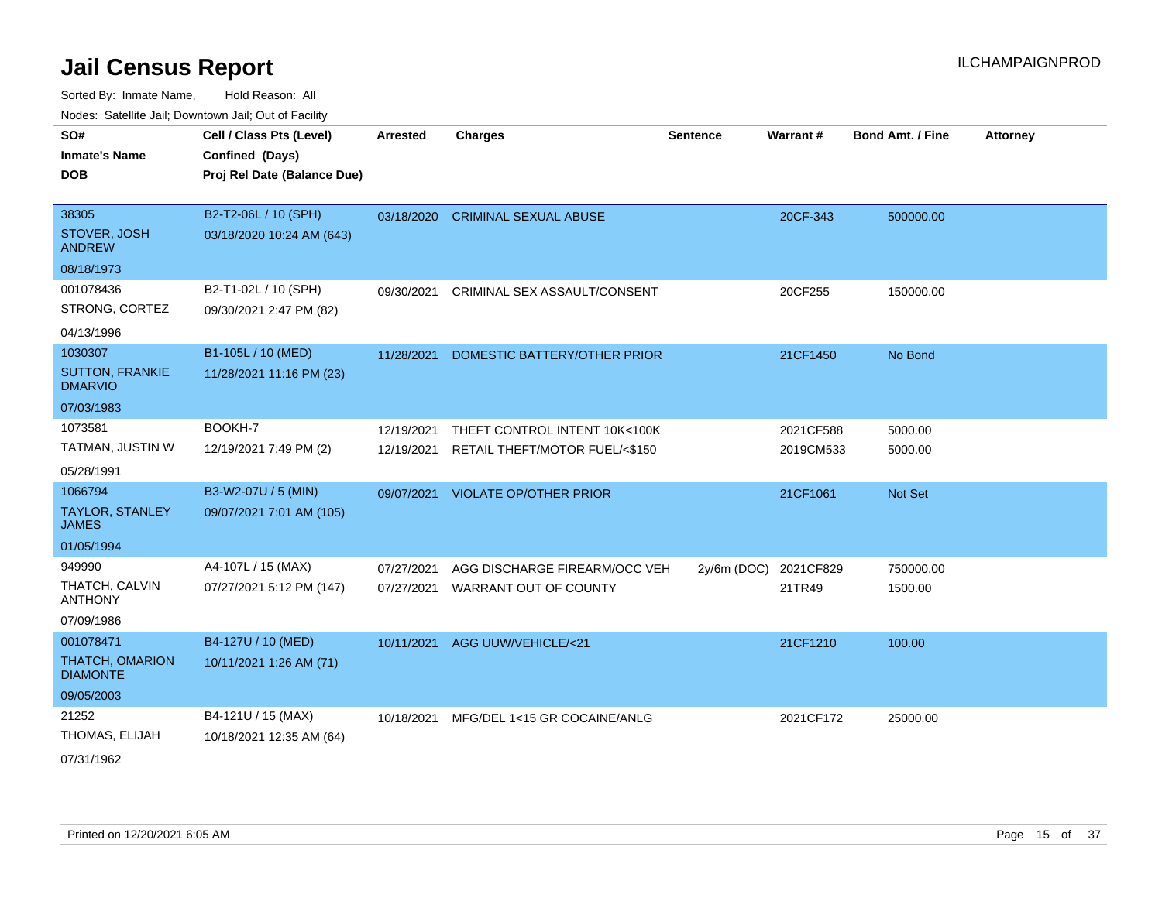Sorted By: Inmate Name, Hold Reason: All Nodes: Satellite Jail; Downtown Jail; Out of Facility

| SO#<br><b>Inmate's Name</b><br><b>DOB</b>                            | Cell / Class Pts (Level)<br>Confined (Days)<br>Proj Rel Date (Balance Due) | <b>Arrested</b>          | <b>Charges</b>                                                  | <b>Sentence</b> | Warrant#               | <b>Bond Amt. / Fine</b> | <b>Attorney</b> |
|----------------------------------------------------------------------|----------------------------------------------------------------------------|--------------------------|-----------------------------------------------------------------|-----------------|------------------------|-------------------------|-----------------|
| 38305<br>STOVER, JOSH<br><b>ANDREW</b>                               | B2-T2-06L / 10 (SPH)<br>03/18/2020 10:24 AM (643)                          | 03/18/2020               | <b>CRIMINAL SEXUAL ABUSE</b>                                    |                 | 20CF-343               | 500000.00               |                 |
| 08/18/1973<br>001078436<br>STRONG, CORTEZ<br>04/13/1996              | B2-T1-02L / 10 (SPH)<br>09/30/2021 2:47 PM (82)                            | 09/30/2021               | CRIMINAL SEX ASSAULT/CONSENT                                    |                 | 20CF255                | 150000.00               |                 |
| 1030307<br><b>SUTTON, FRANKIE</b><br><b>DMARVIO</b><br>07/03/1983    | B1-105L / 10 (MED)<br>11/28/2021 11:16 PM (23)                             | 11/28/2021               | DOMESTIC BATTERY/OTHER PRIOR                                    |                 | 21CF1450               | No Bond                 |                 |
| 1073581<br>TATMAN, JUSTIN W<br>05/28/1991                            | BOOKH-7<br>12/19/2021 7:49 PM (2)                                          | 12/19/2021<br>12/19/2021 | THEFT CONTROL INTENT 10K<100K<br>RETAIL THEFT/MOTOR FUEL/<\$150 |                 | 2021CF588<br>2019CM533 | 5000.00<br>5000.00      |                 |
| 1066794<br><b>TAYLOR, STANLEY</b><br><b>JAMES</b><br>01/05/1994      | B3-W2-07U / 5 (MIN)<br>09/07/2021 7:01 AM (105)                            | 09/07/2021               | <b>VIOLATE OP/OTHER PRIOR</b>                                   |                 | 21CF1061               | Not Set                 |                 |
| 949990<br>THATCH, CALVIN<br><b>ANTHONY</b><br>07/09/1986             | A4-107L / 15 (MAX)<br>07/27/2021 5:12 PM (147)                             | 07/27/2021<br>07/27/2021 | AGG DISCHARGE FIREARM/OCC VEH<br>WARRANT OUT OF COUNTY          | $2y/6m$ (DOC)   | 2021CF829<br>21TR49    | 750000.00<br>1500.00    |                 |
| 001078471<br><b>THATCH, OMARION</b><br><b>DIAMONTE</b><br>09/05/2003 | B4-127U / 10 (MED)<br>10/11/2021 1:26 AM (71)                              | 10/11/2021               | AGG UUW/VEHICLE/<21                                             |                 | 21CF1210               | 100.00                  |                 |
| 21252<br>THOMAS, ELIJAH                                              | B4-121U / 15 (MAX)<br>10/18/2021 12:35 AM (64)                             | 10/18/2021               | MFG/DEL 1<15 GR COCAINE/ANLG                                    |                 | 2021CF172              | 25000.00                |                 |

07/31/1962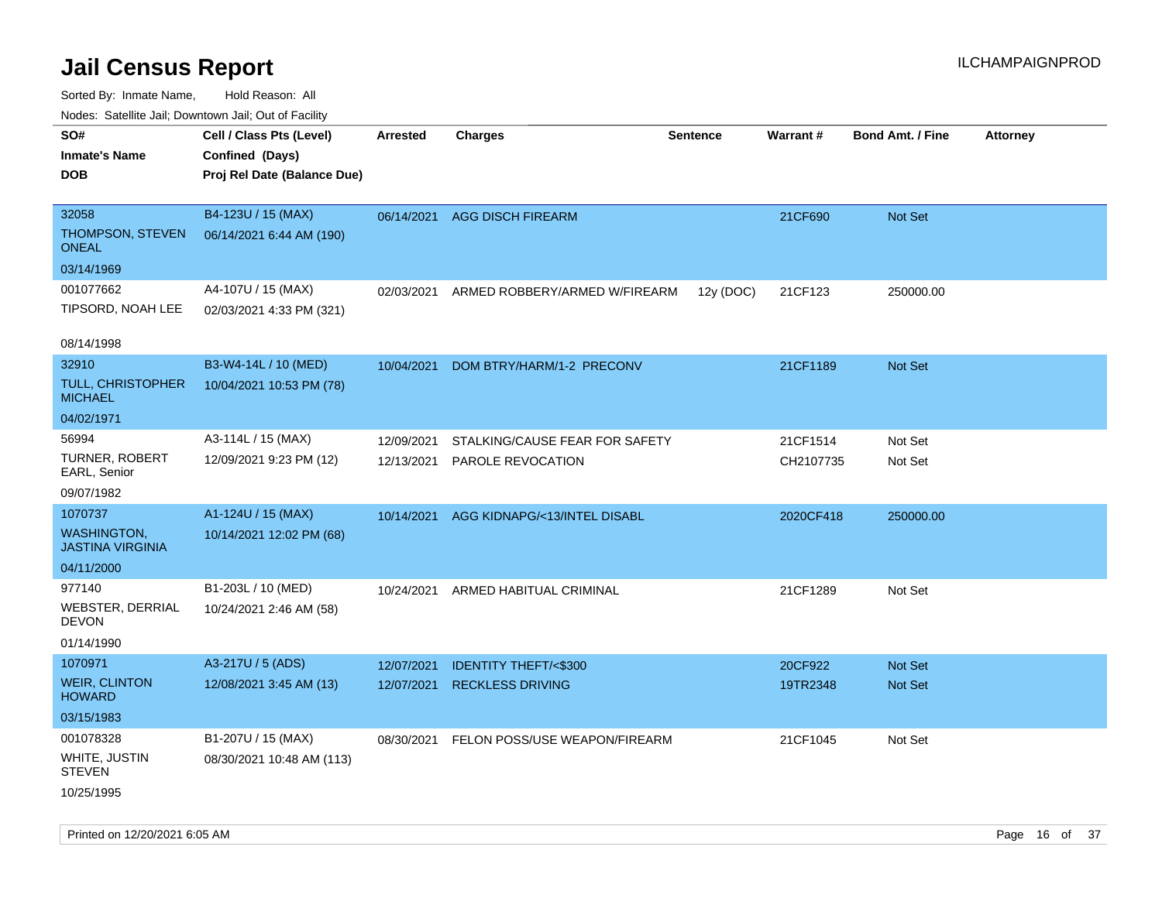| ivouss. Saleline Jali, Downtown Jali, Out of Facility |                             |            |                                 |                 |           |                         |                 |
|-------------------------------------------------------|-----------------------------|------------|---------------------------------|-----------------|-----------|-------------------------|-----------------|
| SO#                                                   | Cell / Class Pts (Level)    | Arrested   | <b>Charges</b>                  | <b>Sentence</b> | Warrant#  | <b>Bond Amt. / Fine</b> | <b>Attorney</b> |
| <b>Inmate's Name</b>                                  | Confined (Days)             |            |                                 |                 |           |                         |                 |
| DOB                                                   | Proj Rel Date (Balance Due) |            |                                 |                 |           |                         |                 |
|                                                       |                             |            |                                 |                 |           |                         |                 |
| 32058                                                 | B4-123U / 15 (MAX)          | 06/14/2021 | <b>AGG DISCH FIREARM</b>        |                 | 21CF690   | Not Set                 |                 |
| THOMPSON, STEVEN<br><b>ONEAL</b>                      | 06/14/2021 6:44 AM (190)    |            |                                 |                 |           |                         |                 |
| 03/14/1969                                            |                             |            |                                 |                 |           |                         |                 |
| 001077662                                             | A4-107U / 15 (MAX)          | 02/03/2021 | ARMED ROBBERY/ARMED W/FIREARM   | 12y (DOC)       | 21CF123   | 250000.00               |                 |
| TIPSORD, NOAH LEE                                     | 02/03/2021 4:33 PM (321)    |            |                                 |                 |           |                         |                 |
|                                                       |                             |            |                                 |                 |           |                         |                 |
| 08/14/1998                                            |                             |            |                                 |                 |           |                         |                 |
| 32910                                                 | B3-W4-14L / 10 (MED)        | 10/04/2021 | DOM BTRY/HARM/1-2 PRECONV       |                 | 21CF1189  | Not Set                 |                 |
| <b>TULL, CHRISTOPHER</b><br><b>MICHAEL</b>            | 10/04/2021 10:53 PM (78)    |            |                                 |                 |           |                         |                 |
| 04/02/1971                                            |                             |            |                                 |                 |           |                         |                 |
| 56994                                                 | A3-114L / 15 (MAX)          | 12/09/2021 | STALKING/CAUSE FEAR FOR SAFETY  |                 | 21CF1514  | Not Set                 |                 |
| TURNER, ROBERT<br>EARL, Senior                        | 12/09/2021 9:23 PM (12)     | 12/13/2021 | PAROLE REVOCATION               |                 | CH2107735 | Not Set                 |                 |
| 09/07/1982                                            |                             |            |                                 |                 |           |                         |                 |
| 1070737                                               | A1-124U / 15 (MAX)          | 10/14/2021 | AGG KIDNAPG/<13/INTEL DISABL    |                 | 2020CF418 | 250000.00               |                 |
| <b>WASHINGTON,</b><br><b>JASTINA VIRGINIA</b>         | 10/14/2021 12:02 PM (68)    |            |                                 |                 |           |                         |                 |
| 04/11/2000                                            |                             |            |                                 |                 |           |                         |                 |
| 977140                                                | B1-203L / 10 (MED)          | 10/24/2021 | ARMED HABITUAL CRIMINAL         |                 | 21CF1289  | Not Set                 |                 |
| <b>WEBSTER, DERRIAL</b><br>DEVON                      | 10/24/2021 2:46 AM (58)     |            |                                 |                 |           |                         |                 |
| 01/14/1990                                            |                             |            |                                 |                 |           |                         |                 |
| 1070971                                               | A3-217U / 5 (ADS)           | 12/07/2021 | <b>IDENTITY THEFT/&lt;\$300</b> |                 | 20CF922   | <b>Not Set</b>          |                 |
| <b>WEIR, CLINTON</b><br><b>HOWARD</b>                 | 12/08/2021 3:45 AM (13)     | 12/07/2021 | <b>RECKLESS DRIVING</b>         |                 | 19TR2348  | Not Set                 |                 |
| 03/15/1983                                            |                             |            |                                 |                 |           |                         |                 |
| 001078328                                             | B1-207U / 15 (MAX)          | 08/30/2021 | FELON POSS/USE WEAPON/FIREARM   |                 | 21CF1045  | Not Set                 |                 |
| WHITE, JUSTIN<br><b>STEVEN</b>                        | 08/30/2021 10:48 AM (113)   |            |                                 |                 |           |                         |                 |
| 10/25/1995                                            |                             |            |                                 |                 |           |                         |                 |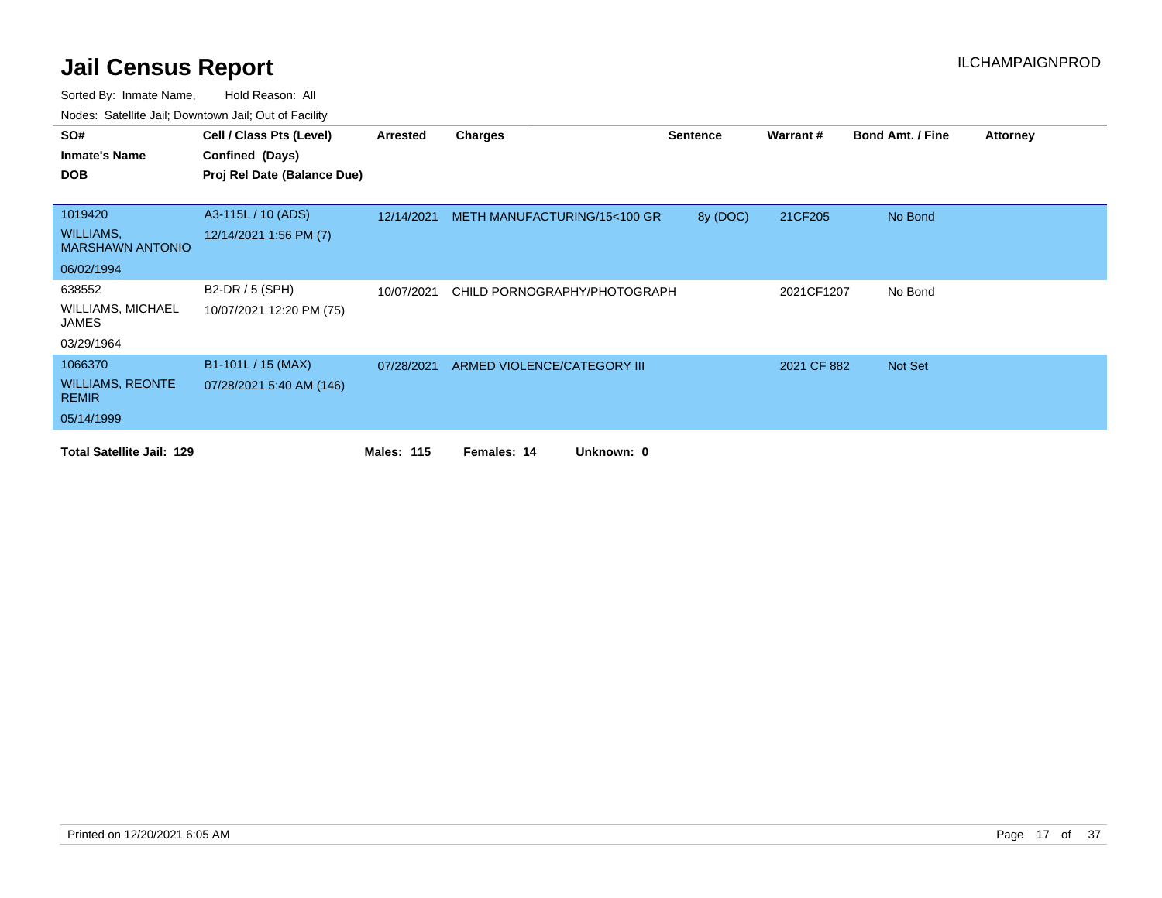| SO#                                         | Cell / Class Pts (Level)    | Arrested          | Charges                      | <b>Sentence</b> | Warrant#    | <b>Bond Amt. / Fine</b> | <b>Attorney</b> |
|---------------------------------------------|-----------------------------|-------------------|------------------------------|-----------------|-------------|-------------------------|-----------------|
| <b>Inmate's Name</b>                        | Confined (Days)             |                   |                              |                 |             |                         |                 |
| <b>DOB</b>                                  | Proj Rel Date (Balance Due) |                   |                              |                 |             |                         |                 |
|                                             |                             |                   |                              |                 |             |                         |                 |
| 1019420                                     | A3-115L / 10 (ADS)          | 12/14/2021        | METH MANUFACTURING/15<100 GR | 8y (DOC)        | 21CF205     | No Bond                 |                 |
| <b>WILLIAMS,</b><br><b>MARSHAWN ANTONIO</b> | 12/14/2021 1:56 PM (7)      |                   |                              |                 |             |                         |                 |
| 06/02/1994                                  |                             |                   |                              |                 |             |                         |                 |
| 638552                                      | B2-DR / 5 (SPH)             | 10/07/2021        | CHILD PORNOGRAPHY/PHOTOGRAPH |                 | 2021CF1207  | No Bond                 |                 |
| <b>WILLIAMS, MICHAEL</b><br>JAMES           | 10/07/2021 12:20 PM (75)    |                   |                              |                 |             |                         |                 |
| 03/29/1964                                  |                             |                   |                              |                 |             |                         |                 |
| 1066370                                     | B1-101L / 15 (MAX)          | 07/28/2021        | ARMED VIOLENCE/CATEGORY III  |                 | 2021 CF 882 | <b>Not Set</b>          |                 |
| <b>WILLIAMS, REONTE</b><br><b>REMIR</b>     | 07/28/2021 5:40 AM (146)    |                   |                              |                 |             |                         |                 |
| 05/14/1999                                  |                             |                   |                              |                 |             |                         |                 |
| <b>Total Satellite Jail: 129</b>            |                             | <b>Males: 115</b> | Unknown: 0<br>Females: 14    |                 |             |                         |                 |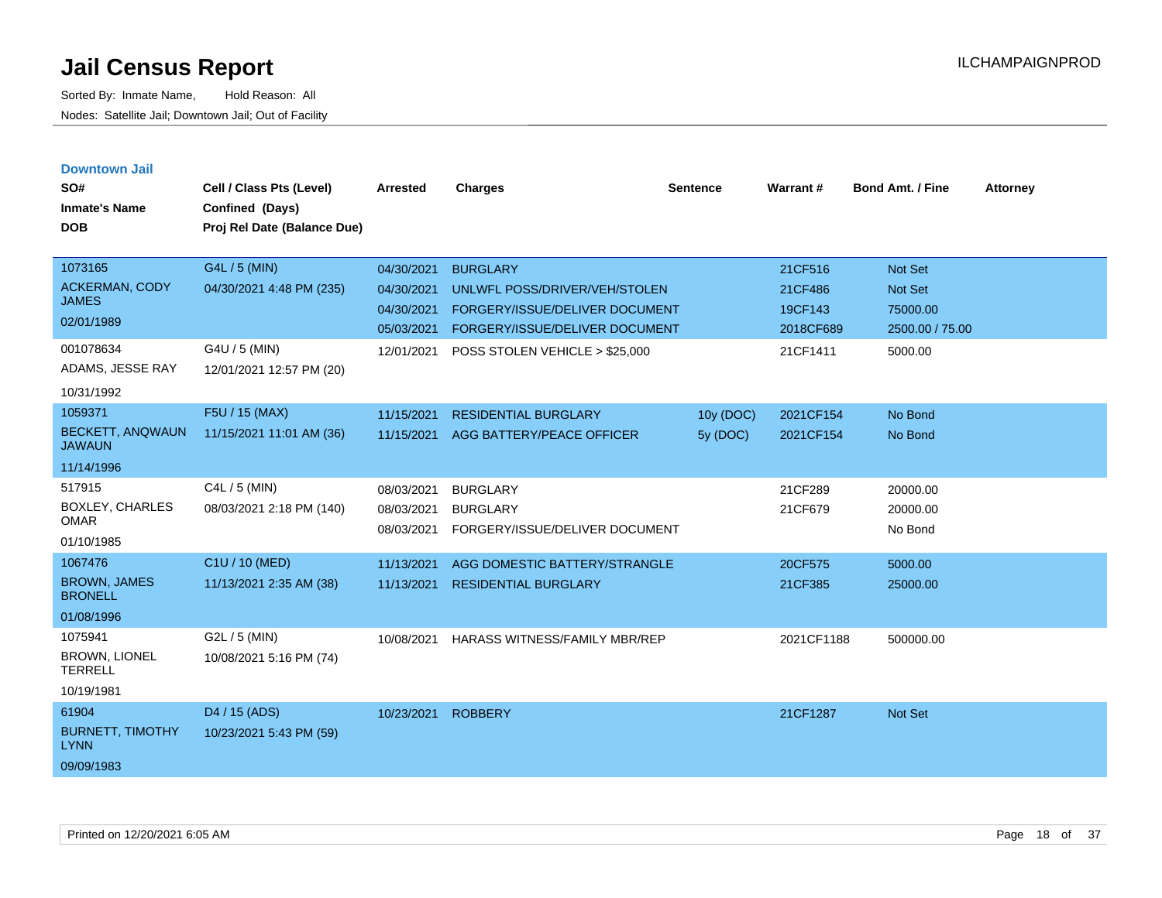| <b>Downtown Jail</b><br>SO#<br><b>Inmate's Name</b><br><b>DOB</b> | Cell / Class Pts (Level)<br>Confined (Days)<br>Proj Rel Date (Balance Due) | <b>Arrested</b>                        | <b>Charges</b>                                                       | <b>Sentence</b> | Warrant#             | <b>Bond Amt. / Fine</b>         | <b>Attorney</b> |
|-------------------------------------------------------------------|----------------------------------------------------------------------------|----------------------------------------|----------------------------------------------------------------------|-----------------|----------------------|---------------------------------|-----------------|
| 1073165                                                           | G4L / 5 (MIN)                                                              | 04/30/2021                             | <b>BURGLARY</b>                                                      |                 | 21CF516              | <b>Not Set</b>                  |                 |
| <b>ACKERMAN, CODY</b><br><b>JAMES</b>                             | 04/30/2021 4:48 PM (235)                                                   | 04/30/2021                             | UNLWFL POSS/DRIVER/VEH/STOLEN                                        |                 | 21CF486              | <b>Not Set</b>                  |                 |
| 02/01/1989                                                        |                                                                            | 04/30/2021<br>05/03/2021               | FORGERY/ISSUE/DELIVER DOCUMENT<br>FORGERY/ISSUE/DELIVER DOCUMENT     |                 | 19CF143<br>2018CF689 | 75000.00<br>2500.00 / 75.00     |                 |
| 001078634<br>ADAMS, JESSE RAY<br>10/31/1992                       | G4U / 5 (MIN)<br>12/01/2021 12:57 PM (20)                                  | 12/01/2021                             | POSS STOLEN VEHICLE > \$25,000                                       |                 | 21CF1411             | 5000.00                         |                 |
| 1059371                                                           | F5U / 15 (MAX)                                                             | 11/15/2021                             | <b>RESIDENTIAL BURGLARY</b>                                          | 10y (DOC)       | 2021CF154            | No Bond                         |                 |
| <b>BECKETT, ANQWAUN</b><br><b>JAWAUN</b>                          | 11/15/2021 11:01 AM (36)                                                   | 11/15/2021                             | AGG BATTERY/PEACE OFFICER                                            | 5y (DOC)        | 2021CF154            | No Bond                         |                 |
| 11/14/1996                                                        |                                                                            |                                        |                                                                      |                 |                      |                                 |                 |
| 517915<br><b>BOXLEY, CHARLES</b><br><b>OMAR</b><br>01/10/1985     | C4L / 5 (MIN)<br>08/03/2021 2:18 PM (140)                                  | 08/03/2021<br>08/03/2021<br>08/03/2021 | <b>BURGLARY</b><br><b>BURGLARY</b><br>FORGERY/ISSUE/DELIVER DOCUMENT |                 | 21CF289<br>21CF679   | 20000.00<br>20000.00<br>No Bond |                 |
| 1067476                                                           | C1U / 10 (MED)                                                             | 11/13/2021                             | AGG DOMESTIC BATTERY/STRANGLE                                        |                 | 20CF575              | 5000.00                         |                 |
| <b>BROWN, JAMES</b><br><b>BRONELL</b>                             | 11/13/2021 2:35 AM (38)                                                    | 11/13/2021                             | <b>RESIDENTIAL BURGLARY</b>                                          |                 | 21CF385              | 25000.00                        |                 |
| 01/08/1996                                                        |                                                                            |                                        |                                                                      |                 |                      |                                 |                 |
| 1075941<br><b>BROWN, LIONEL</b><br><b>TERRELL</b>                 | G2L / 5 (MIN)<br>10/08/2021 5:16 PM (74)                                   | 10/08/2021                             | HARASS WITNESS/FAMILY MBR/REP                                        |                 | 2021CF1188           | 500000.00                       |                 |
| 10/19/1981                                                        |                                                                            |                                        |                                                                      |                 |                      |                                 |                 |
| 61904<br><b>BURNETT, TIMOTHY</b><br><b>LYNN</b><br>09/09/1983     | D4 / 15 (ADS)<br>10/23/2021 5:43 PM (59)                                   | 10/23/2021                             | <b>ROBBERY</b>                                                       |                 | 21CF1287             | Not Set                         |                 |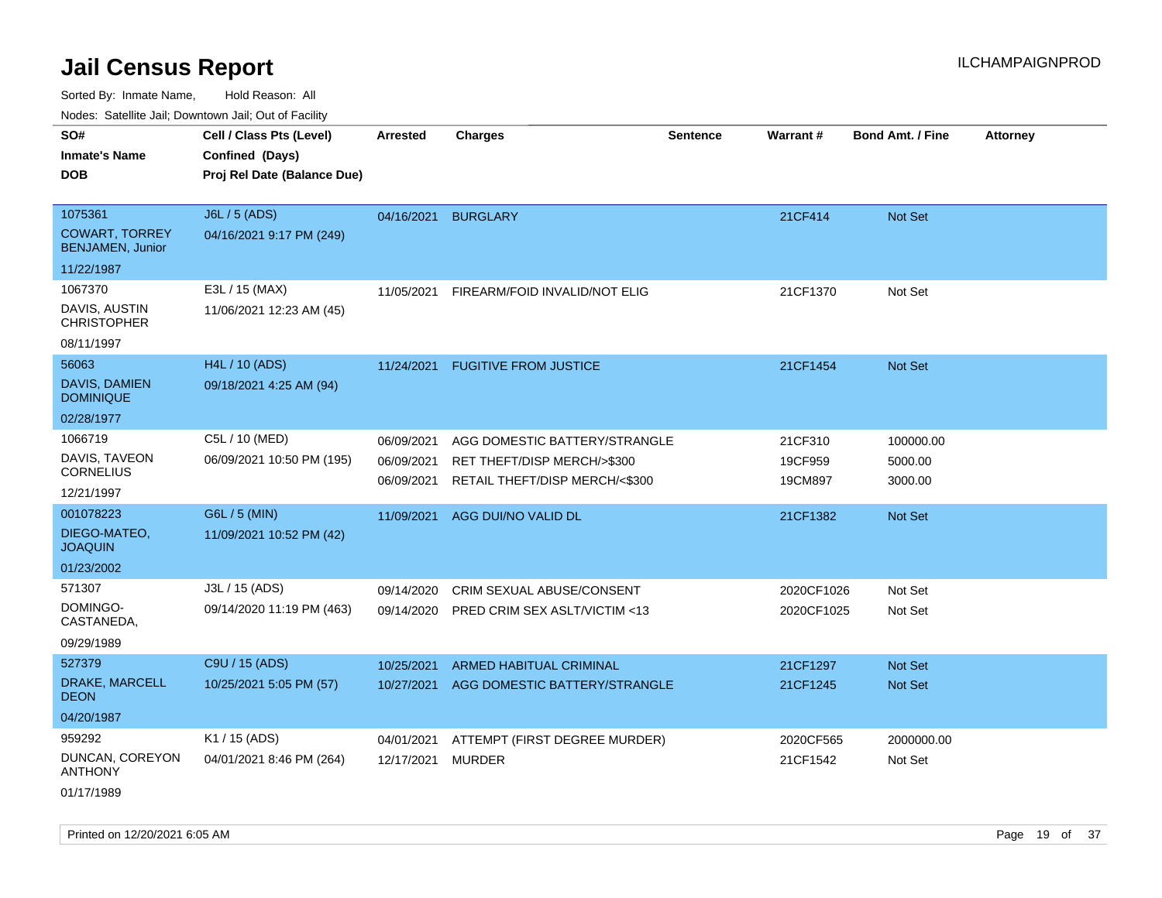Sorted By: Inmate Name, Hold Reason: All Nodes: Satellite Jail; Downtown Jail; Out of Facility

| Noues. Sateme Jan, Downtown Jan, Out or Facility |                             |                 |                                |                 |            |                         |                 |
|--------------------------------------------------|-----------------------------|-----------------|--------------------------------|-----------------|------------|-------------------------|-----------------|
| SO#                                              | Cell / Class Pts (Level)    | <b>Arrested</b> | <b>Charges</b>                 | <b>Sentence</b> | Warrant#   | <b>Bond Amt. / Fine</b> | <b>Attorney</b> |
| <b>Inmate's Name</b>                             | Confined (Days)             |                 |                                |                 |            |                         |                 |
| <b>DOB</b>                                       | Proj Rel Date (Balance Due) |                 |                                |                 |            |                         |                 |
|                                                  |                             |                 |                                |                 |            |                         |                 |
| 1075361                                          | J6L / 5 (ADS)               | 04/16/2021      | <b>BURGLARY</b>                |                 | 21CF414    | Not Set                 |                 |
| <b>COWART, TORREY</b><br><b>BENJAMEN, Junior</b> | 04/16/2021 9:17 PM (249)    |                 |                                |                 |            |                         |                 |
| 11/22/1987                                       |                             |                 |                                |                 |            |                         |                 |
| 1067370                                          | E3L / 15 (MAX)              | 11/05/2021      | FIREARM/FOID INVALID/NOT ELIG  |                 | 21CF1370   | Not Set                 |                 |
| DAVIS, AUSTIN<br><b>CHRISTOPHER</b>              | 11/06/2021 12:23 AM (45)    |                 |                                |                 |            |                         |                 |
| 08/11/1997                                       |                             |                 |                                |                 |            |                         |                 |
| 56063                                            | H4L / 10 (ADS)              | 11/24/2021      | <b>FUGITIVE FROM JUSTICE</b>   |                 | 21CF1454   | Not Set                 |                 |
| DAVIS, DAMIEN<br><b>DOMINIQUE</b>                | 09/18/2021 4:25 AM (94)     |                 |                                |                 |            |                         |                 |
| 02/28/1977                                       |                             |                 |                                |                 |            |                         |                 |
| 1066719                                          | C5L / 10 (MED)              | 06/09/2021      | AGG DOMESTIC BATTERY/STRANGLE  |                 | 21CF310    | 100000.00               |                 |
| DAVIS, TAVEON                                    | 06/09/2021 10:50 PM (195)   | 06/09/2021      | RET THEFT/DISP MERCH/>\$300    |                 | 19CF959    | 5000.00                 |                 |
| CORNELIUS                                        |                             | 06/09/2021      | RETAIL THEFT/DISP MERCH/<\$300 |                 | 19CM897    | 3000.00                 |                 |
| 12/21/1997                                       |                             |                 |                                |                 |            |                         |                 |
| 001078223                                        | G6L / 5 (MIN)               | 11/09/2021      | AGG DUI/NO VALID DL            |                 | 21CF1382   | Not Set                 |                 |
| DIEGO-MATEO,<br><b>JOAQUIN</b>                   | 11/09/2021 10:52 PM (42)    |                 |                                |                 |            |                         |                 |
| 01/23/2002                                       |                             |                 |                                |                 |            |                         |                 |
| 571307                                           | J3L / 15 (ADS)              | 09/14/2020      | CRIM SEXUAL ABUSE/CONSENT      |                 | 2020CF1026 | Not Set                 |                 |
| DOMINGO-<br>CASTANEDA,                           | 09/14/2020 11:19 PM (463)   | 09/14/2020      | PRED CRIM SEX ASLT/VICTIM <13  |                 | 2020CF1025 | Not Set                 |                 |
| 09/29/1989                                       |                             |                 |                                |                 |            |                         |                 |
| 527379                                           | C9U / 15 (ADS)              | 10/25/2021      | <b>ARMED HABITUAL CRIMINAL</b> |                 | 21CF1297   | <b>Not Set</b>          |                 |
| DRAKE, MARCELL<br><b>DEON</b>                    | 10/25/2021 5:05 PM (57)     | 10/27/2021      | AGG DOMESTIC BATTERY/STRANGLE  |                 | 21CF1245   | Not Set                 |                 |
| 04/20/1987                                       |                             |                 |                                |                 |            |                         |                 |
| 959292                                           | K1 / 15 (ADS)               | 04/01/2021      | ATTEMPT (FIRST DEGREE MURDER)  |                 | 2020CF565  | 2000000.00              |                 |
| DUNCAN, COREYON<br><b>ANTHONY</b>                | 04/01/2021 8:46 PM (264)    | 12/17/2021      | <b>MURDER</b>                  |                 | 21CF1542   | Not Set                 |                 |

01/17/1989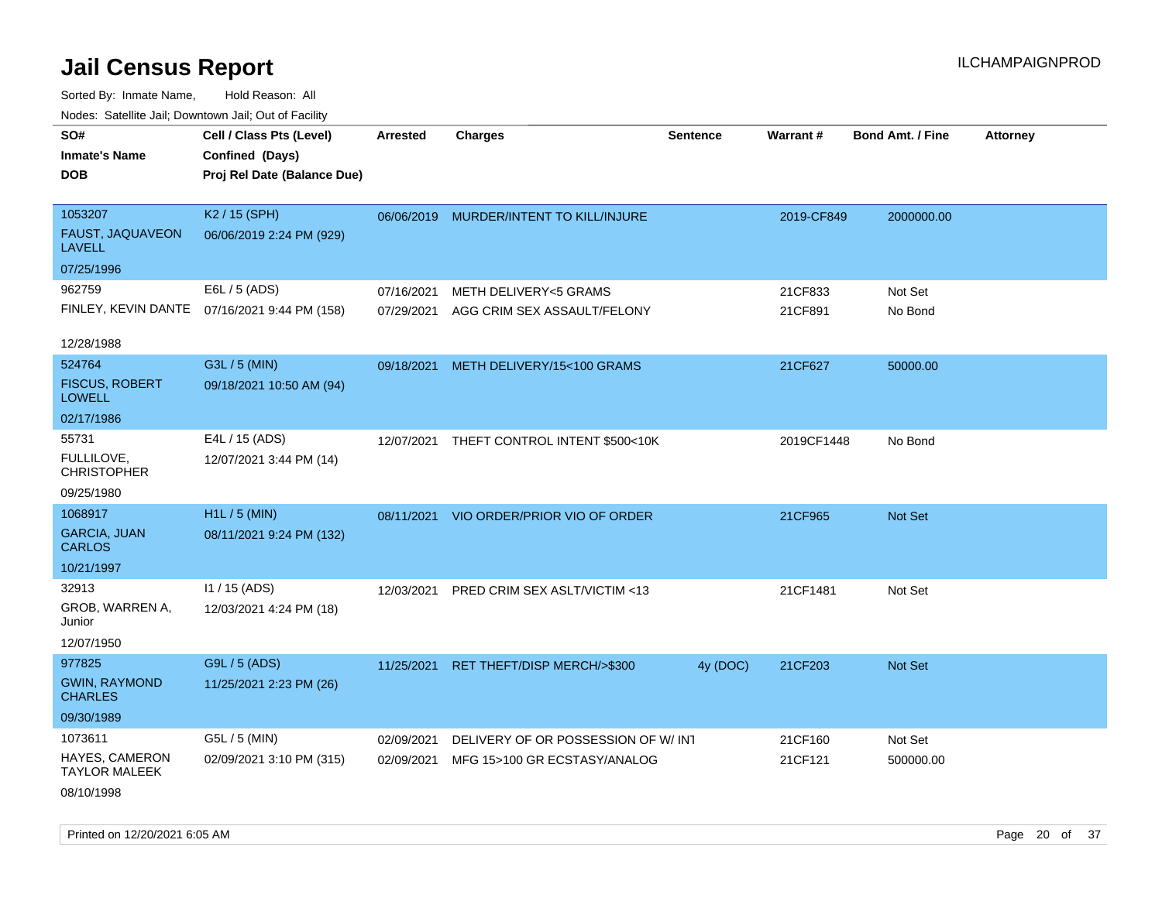Sorted By: Inmate Name, Hold Reason: All Nodes: Satellite Jail; Downtown Jail; Out of Facility

| roaco. Catolino dall, Downtown dall, Out of Fability |                                                                            |                 |                                         |                 |            |                         |                 |
|------------------------------------------------------|----------------------------------------------------------------------------|-----------------|-----------------------------------------|-----------------|------------|-------------------------|-----------------|
| SO#<br><b>Inmate's Name</b><br><b>DOB</b>            | Cell / Class Pts (Level)<br>Confined (Days)<br>Proj Rel Date (Balance Due) | <b>Arrested</b> | <b>Charges</b>                          | <b>Sentence</b> | Warrant#   | <b>Bond Amt. / Fine</b> | <b>Attorney</b> |
| 1053207<br>FAUST, JAQUAVEON<br><b>LAVELL</b>         | K2 / 15 (SPH)<br>06/06/2019 2:24 PM (929)                                  |                 | 06/06/2019 MURDER/INTENT TO KILL/INJURE |                 | 2019-CF849 | 2000000.00              |                 |
| 07/25/1996                                           |                                                                            |                 |                                         |                 |            |                         |                 |
| 962759                                               | E6L / 5 (ADS)                                                              | 07/16/2021      | METH DELIVERY<5 GRAMS                   |                 | 21CF833    | Not Set                 |                 |
|                                                      | FINLEY, KEVIN DANTE 07/16/2021 9:44 PM (158)                               | 07/29/2021      | AGG CRIM SEX ASSAULT/FELONY             |                 | 21CF891    | No Bond                 |                 |
| 12/28/1988                                           |                                                                            |                 |                                         |                 |            |                         |                 |
| 524764                                               | G3L / 5 (MIN)                                                              | 09/18/2021      | METH DELIVERY/15<100 GRAMS              |                 | 21CF627    | 50000.00                |                 |
| <b>FISCUS, ROBERT</b><br><b>LOWELL</b>               | 09/18/2021 10:50 AM (94)                                                   |                 |                                         |                 |            |                         |                 |
| 02/17/1986                                           |                                                                            |                 |                                         |                 |            |                         |                 |
| 55731                                                | E4L / 15 (ADS)                                                             | 12/07/2021      | THEFT CONTROL INTENT \$500<10K          |                 | 2019CF1448 | No Bond                 |                 |
| FULLILOVE.<br><b>CHRISTOPHER</b>                     | 12/07/2021 3:44 PM (14)                                                    |                 |                                         |                 |            |                         |                 |
| 09/25/1980                                           |                                                                            |                 |                                         |                 |            |                         |                 |
| 1068917                                              | H1L / 5 (MIN)                                                              | 08/11/2021      | VIO ORDER/PRIOR VIO OF ORDER            |                 | 21CF965    | Not Set                 |                 |
| <b>GARCIA, JUAN</b><br><b>CARLOS</b>                 | 08/11/2021 9:24 PM (132)                                                   |                 |                                         |                 |            |                         |                 |
| 10/21/1997                                           |                                                                            |                 |                                         |                 |            |                         |                 |
| 32913                                                | I1 / 15 (ADS)                                                              | 12/03/2021      | PRED CRIM SEX ASLT/VICTIM <13           |                 | 21CF1481   | Not Set                 |                 |
| GROB, WARREN A,<br>Junior                            | 12/03/2021 4:24 PM (18)                                                    |                 |                                         |                 |            |                         |                 |
| 12/07/1950                                           |                                                                            |                 |                                         |                 |            |                         |                 |
| 977825                                               | G9L / 5 (ADS)                                                              | 11/25/2021      | RET THEFT/DISP MERCH/>\$300             | 4y (DOC)        | 21CF203    | Not Set                 |                 |
| <b>GWIN, RAYMOND</b><br><b>CHARLES</b>               | 11/25/2021 2:23 PM (26)                                                    |                 |                                         |                 |            |                         |                 |
| 09/30/1989                                           |                                                                            |                 |                                         |                 |            |                         |                 |
| 1073611                                              | G5L / 5 (MIN)                                                              | 02/09/2021      | DELIVERY OF OR POSSESSION OF W/INT      |                 | 21CF160    | Not Set                 |                 |
| HAYES, CAMERON<br><b>TAYLOR MALEEK</b>               | 02/09/2021 3:10 PM (315)                                                   | 02/09/2021      | MFG 15>100 GR ECSTASY/ANALOG            |                 | 21CF121    | 500000.00               |                 |
| 08/10/1998                                           |                                                                            |                 |                                         |                 |            |                         |                 |

Printed on 12/20/2021 6:05 AM Page 20 of 37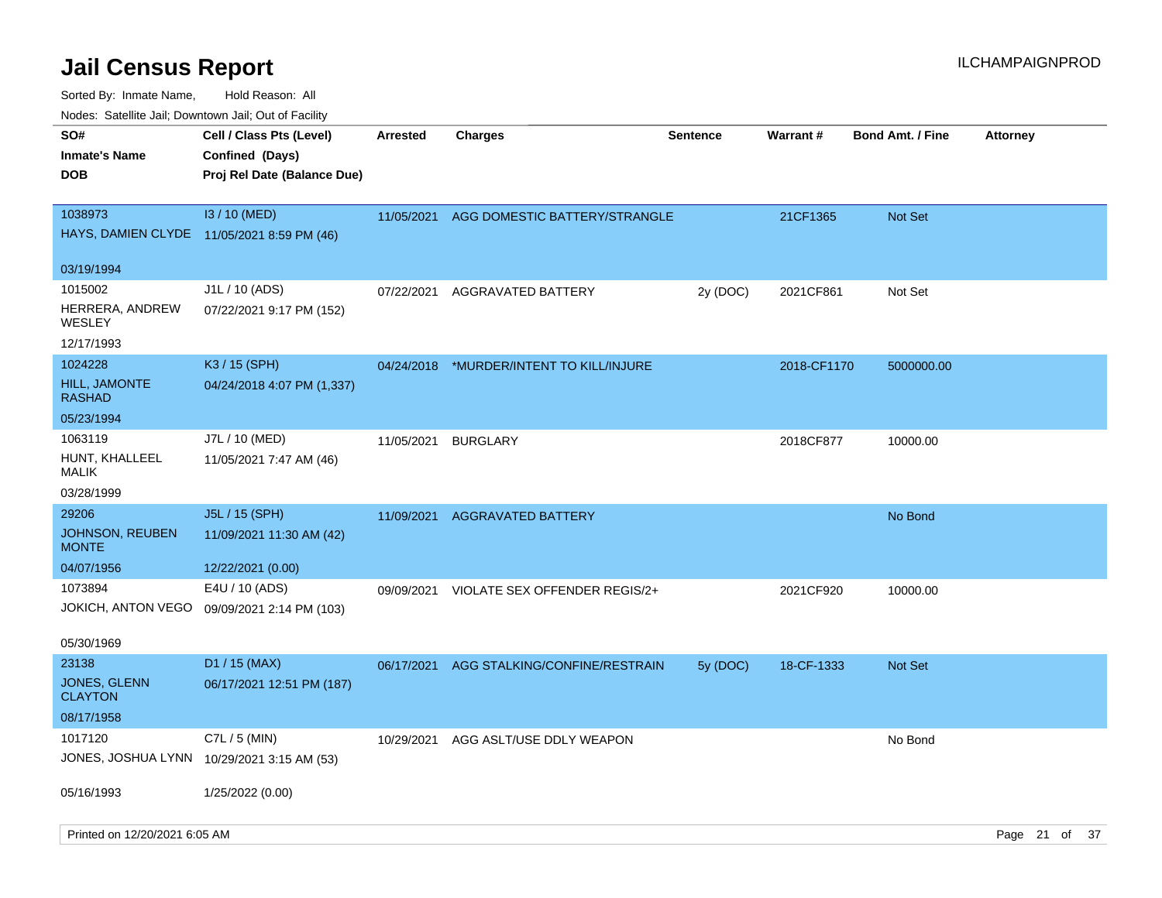| ivouss. Satellite Jali, Downtown Jali, Out of Facility       |                                                                                   |                 |                                          |                 |                 |                         |                 |  |
|--------------------------------------------------------------|-----------------------------------------------------------------------------------|-----------------|------------------------------------------|-----------------|-----------------|-------------------------|-----------------|--|
| SO#<br>Inmate's Name<br><b>DOB</b>                           | Cell / Class Pts (Level)<br><b>Confined (Days)</b><br>Proj Rel Date (Balance Due) | <b>Arrested</b> | <b>Charges</b>                           | <b>Sentence</b> | <b>Warrant#</b> | <b>Bond Amt. / Fine</b> | <b>Attorney</b> |  |
| 1038973                                                      | I3 / 10 (MED)<br>HAYS, DAMIEN CLYDE 11/05/2021 8:59 PM (46)                       |                 | 11/05/2021 AGG DOMESTIC BATTERY/STRANGLE |                 | 21CF1365        | <b>Not Set</b>          |                 |  |
| 03/19/1994                                                   |                                                                                   |                 |                                          |                 |                 |                         |                 |  |
| 1015002<br>HERRERA, ANDREW<br>WESLEY                         | J1L / 10 (ADS)<br>07/22/2021 9:17 PM (152)                                        | 07/22/2021      | AGGRAVATED BATTERY                       | 2y (DOC)        | 2021CF861       | Not Set                 |                 |  |
| 12/17/1993                                                   |                                                                                   |                 |                                          |                 |                 |                         |                 |  |
| 1024228<br><b>HILL, JAMONTE</b><br>RASHAD                    | K3 / 15 (SPH)<br>04/24/2018 4:07 PM (1,337)                                       | 04/24/2018      | *MURDER/INTENT TO KILL/INJURE            |                 | 2018-CF1170     | 5000000.00              |                 |  |
| 05/23/1994                                                   |                                                                                   |                 |                                          |                 |                 |                         |                 |  |
| 1063119<br>HUNT, KHALLEEL<br>MALIK                           | J7L / 10 (MED)<br>11/05/2021 7:47 AM (46)                                         | 11/05/2021      | <b>BURGLARY</b>                          |                 | 2018CF877       | 10000.00                |                 |  |
| 03/28/1999                                                   |                                                                                   |                 |                                          |                 |                 |                         |                 |  |
| 29206<br><b>JOHNSON, REUBEN</b><br><b>MONTE</b>              | J5L / 15 (SPH)<br>11/09/2021 11:30 AM (42)                                        |                 | 11/09/2021 AGGRAVATED BATTERY            |                 |                 | No Bond                 |                 |  |
| 04/07/1956                                                   | 12/22/2021 (0.00)                                                                 |                 |                                          |                 |                 |                         |                 |  |
| 1073894                                                      | E4U / 10 (ADS)<br>JOKICH, ANTON VEGO 09/09/2021 2:14 PM (103)                     | 09/09/2021      | VIOLATE SEX OFFENDER REGIS/2+            |                 | 2021CF920       | 10000.00                |                 |  |
| 05/30/1969                                                   |                                                                                   |                 |                                          |                 |                 |                         |                 |  |
| 23138<br><b>JONES, GLENN</b><br><b>CLAYTON</b><br>08/17/1958 | $D1 / 15$ (MAX)<br>06/17/2021 12:51 PM (187)                                      | 06/17/2021      | AGG STALKING/CONFINE/RESTRAIN            | 5y(DOC)         | 18-CF-1333      | <b>Not Set</b>          |                 |  |
| 1017120                                                      | C7L $/$ 5 (MIN)                                                                   | 10/29/2021      | AGG ASLT/USE DDLY WEAPON                 |                 |                 | No Bond                 |                 |  |
|                                                              | JONES, JOSHUA LYNN 10/29/2021 3:15 AM (53)                                        |                 |                                          |                 |                 |                         |                 |  |
| 05/16/1993                                                   | 1/25/2022 (0.00)                                                                  |                 |                                          |                 |                 |                         |                 |  |
| Printed on 12/20/2021 6:05 AM                                |                                                                                   |                 |                                          |                 |                 |                         | Page 21 of 37   |  |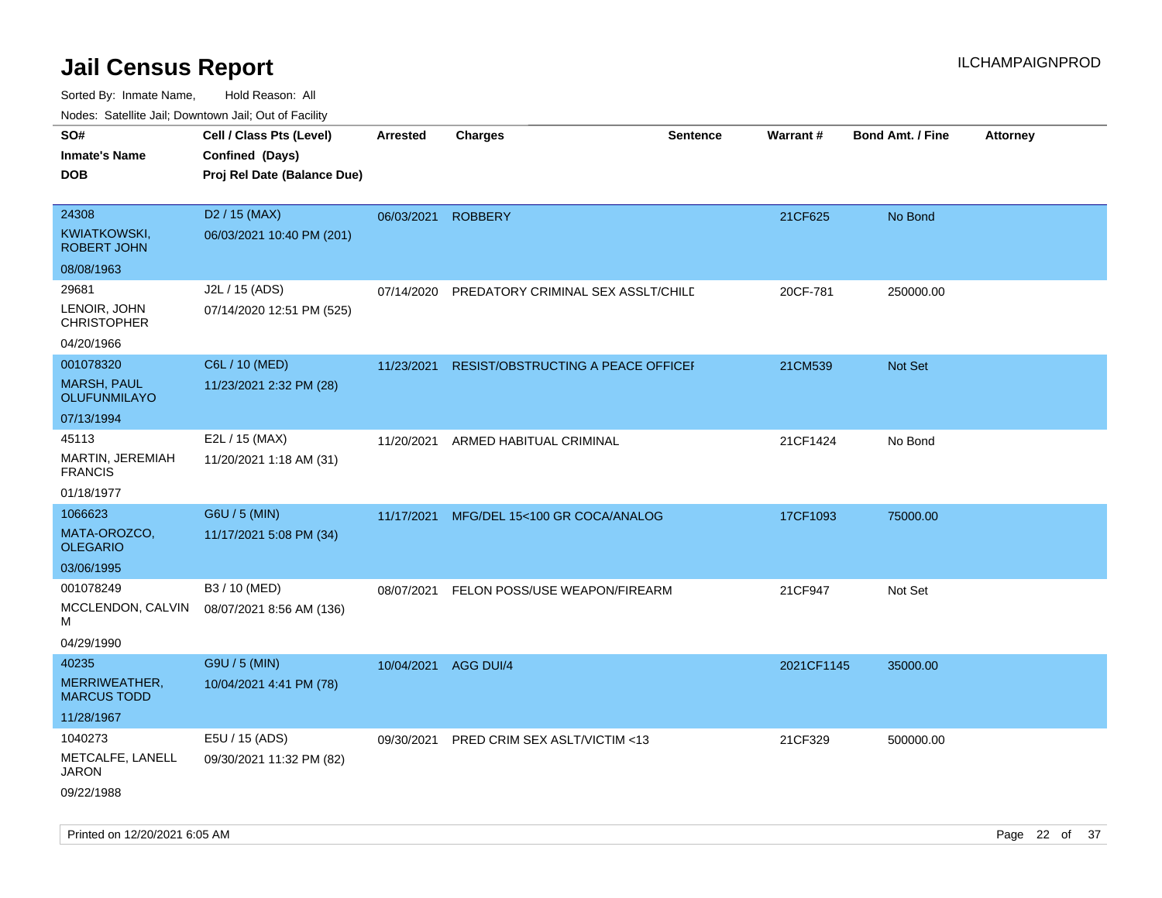| $1100000$ . Catomic ban, Domntonn ban, Oat of Fability<br>SO#<br><b>Inmate's Name</b><br><b>DOB</b> | Cell / Class Pts (Level)<br>Confined (Days)<br>Proj Rel Date (Balance Due) | Arrested             | <b>Charges</b>                     | <b>Sentence</b> | <b>Warrant#</b> | <b>Bond Amt. / Fine</b> | <b>Attorney</b> |
|-----------------------------------------------------------------------------------------------------|----------------------------------------------------------------------------|----------------------|------------------------------------|-----------------|-----------------|-------------------------|-----------------|
| 24308<br><b>KWIATKOWSKI,</b><br><b>ROBERT JOHN</b>                                                  | D <sub>2</sub> / 15 (MAX)<br>06/03/2021 10:40 PM (201)                     | 06/03/2021           | <b>ROBBERY</b>                     |                 | 21CF625         | No Bond                 |                 |
| 08/08/1963                                                                                          |                                                                            |                      |                                    |                 |                 |                         |                 |
| 29681<br>LENOIR, JOHN<br><b>CHRISTOPHER</b>                                                         | J2L / 15 (ADS)<br>07/14/2020 12:51 PM (525)                                | 07/14/2020           | PREDATORY CRIMINAL SEX ASSLT/CHILD |                 | 20CF-781        | 250000.00               |                 |
| 04/20/1966                                                                                          |                                                                            |                      |                                    |                 |                 |                         |                 |
| 001078320<br><b>MARSH, PAUL</b><br><b>OLUFUNMILAYO</b>                                              | C6L / 10 (MED)<br>11/23/2021 2:32 PM (28)                                  | 11/23/2021           | RESIST/OBSTRUCTING A PEACE OFFICEF |                 | 21CM539         | <b>Not Set</b>          |                 |
| 07/13/1994                                                                                          |                                                                            |                      |                                    |                 |                 |                         |                 |
| 45113<br>MARTIN, JEREMIAH<br><b>FRANCIS</b>                                                         | E2L / 15 (MAX)<br>11/20/2021 1:18 AM (31)                                  | 11/20/2021           | ARMED HABITUAL CRIMINAL            |                 | 21CF1424        | No Bond                 |                 |
| 01/18/1977                                                                                          |                                                                            |                      |                                    |                 |                 |                         |                 |
| 1066623                                                                                             | G6U / 5 (MIN)                                                              | 11/17/2021           | MFG/DEL 15<100 GR COCA/ANALOG      |                 | 17CF1093        | 75000.00                |                 |
| MATA-OROZCO,<br><b>OLEGARIO</b>                                                                     | 11/17/2021 5:08 PM (34)                                                    |                      |                                    |                 |                 |                         |                 |
| 03/06/1995                                                                                          |                                                                            |                      |                                    |                 |                 |                         |                 |
| 001078249<br>MCCLENDON, CALVIN<br>М                                                                 | B3 / 10 (MED)<br>08/07/2021 8:56 AM (136)                                  | 08/07/2021           | FELON POSS/USE WEAPON/FIREARM      |                 | 21CF947         | Not Set                 |                 |
| 04/29/1990                                                                                          |                                                                            |                      |                                    |                 |                 |                         |                 |
| 40235<br>MERRIWEATHER,<br><b>MARCUS TODD</b><br>11/28/1967                                          | G9U / 5 (MIN)<br>10/04/2021 4:41 PM (78)                                   | 10/04/2021 AGG DUI/4 |                                    |                 | 2021CF1145      | 35000.00                |                 |
| 1040273                                                                                             | E5U / 15 (ADS)                                                             | 09/30/2021           | PRED CRIM SEX ASLT/VICTIM <13      |                 | 21CF329         | 500000.00               |                 |
| METCALFE, LANELL<br>JARON<br>09/22/1988                                                             | 09/30/2021 11:32 PM (82)                                                   |                      |                                    |                 |                 |                         |                 |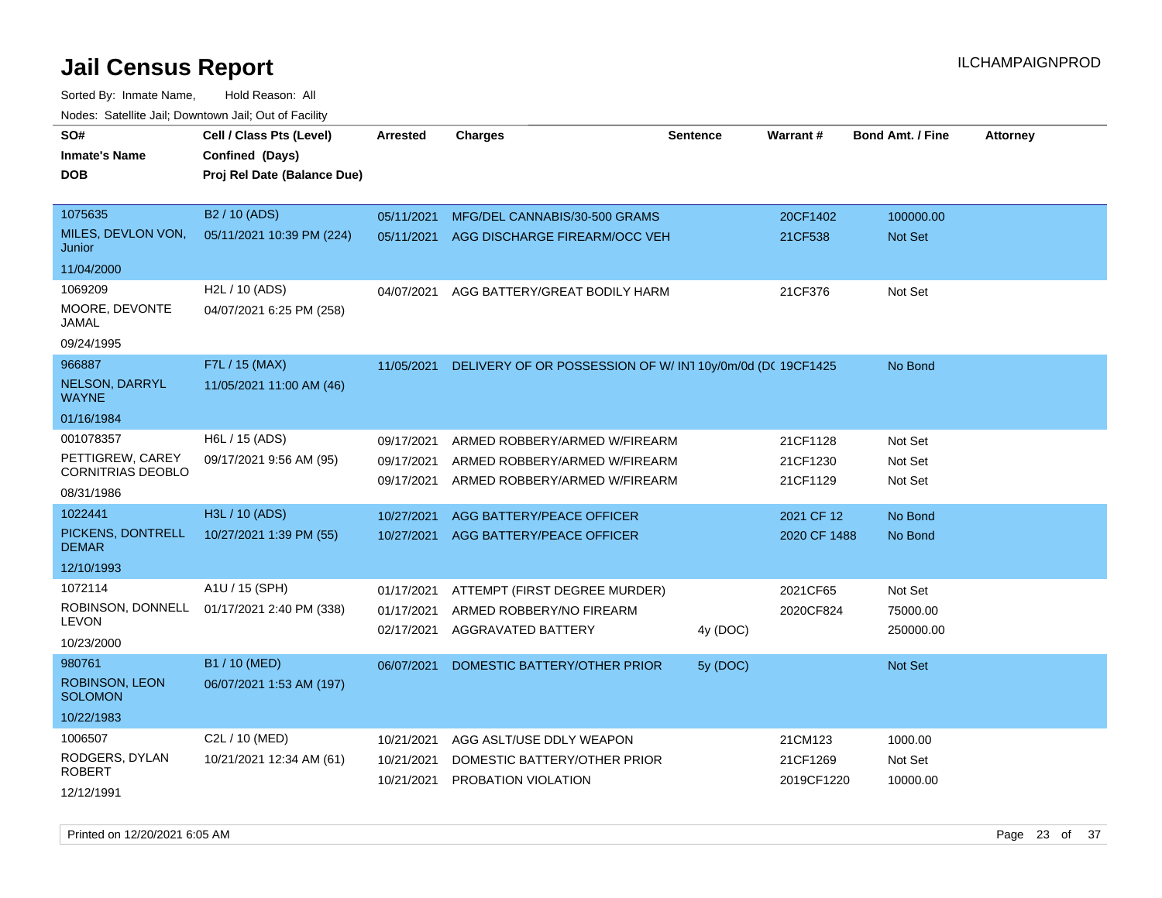Sorted By: Inmate Name, Hold Reason: All

| Nodes: Satellite Jail; Downtown Jail; Out of Facility |  |
|-------------------------------------------------------|--|
|                                                       |  |

| SO#                                          | Cell / Class Pts (Level)    | <b>Arrested</b>          | <b>Charges</b>                                                 | <b>Sentence</b> | Warrant#               | <b>Bond Amt. / Fine</b> | <b>Attorney</b> |
|----------------------------------------------|-----------------------------|--------------------------|----------------------------------------------------------------|-----------------|------------------------|-------------------------|-----------------|
| <b>Inmate's Name</b>                         | Confined (Days)             |                          |                                                                |                 |                        |                         |                 |
| <b>DOB</b>                                   | Proj Rel Date (Balance Due) |                          |                                                                |                 |                        |                         |                 |
|                                              |                             |                          |                                                                |                 |                        |                         |                 |
| 1075635                                      | B <sub>2</sub> / 10 (ADS)   | 05/11/2021               | MFG/DEL CANNABIS/30-500 GRAMS                                  |                 | 20CF1402               | 100000.00               |                 |
| MILES, DEVLON VON,<br>Junior                 | 05/11/2021 10:39 PM (224)   | 05/11/2021               | AGG DISCHARGE FIREARM/OCC VEH                                  |                 | 21CF538                | <b>Not Set</b>          |                 |
| 11/04/2000                                   |                             |                          |                                                                |                 |                        |                         |                 |
| 1069209                                      | H2L / 10 (ADS)              | 04/07/2021               | AGG BATTERY/GREAT BODILY HARM                                  |                 | 21CF376                | Not Set                 |                 |
| MOORE, DEVONTE<br>JAMAL                      | 04/07/2021 6:25 PM (258)    |                          |                                                                |                 |                        |                         |                 |
| 09/24/1995                                   |                             |                          |                                                                |                 |                        |                         |                 |
| 966887                                       | F7L / 15 (MAX)              | 11/05/2021               | DELIVERY OF OR POSSESSION OF W/ IN1 10y/0m/0d (DC 19CF1425     |                 |                        | No Bond                 |                 |
| <b>NELSON, DARRYL</b><br><b>WAYNE</b>        | 11/05/2021 11:00 AM (46)    |                          |                                                                |                 |                        |                         |                 |
| 01/16/1984                                   |                             |                          |                                                                |                 |                        |                         |                 |
| 001078357                                    | H6L / 15 (ADS)              | 09/17/2021               | ARMED ROBBERY/ARMED W/FIREARM                                  |                 | 21CF1128               | Not Set                 |                 |
| PETTIGREW, CAREY<br><b>CORNITRIAS DEOBLO</b> | 09/17/2021 9:56 AM (95)     | 09/17/2021<br>09/17/2021 | ARMED ROBBERY/ARMED W/FIREARM<br>ARMED ROBBERY/ARMED W/FIREARM |                 | 21CF1230<br>21CF1129   | Not Set<br>Not Set      |                 |
| 08/31/1986                                   |                             |                          |                                                                |                 |                        |                         |                 |
| 1022441                                      | H3L / 10 (ADS)              | 10/27/2021               | AGG BATTERY/PEACE OFFICER                                      |                 | 2021 CF 12             | No Bond                 |                 |
| PICKENS, DONTRELL<br><b>DEMAR</b>            | 10/27/2021 1:39 PM (55)     | 10/27/2021               | AGG BATTERY/PEACE OFFICER                                      |                 | 2020 CF 1488           | No Bond                 |                 |
| 12/10/1993                                   |                             |                          |                                                                |                 |                        |                         |                 |
| 1072114                                      | A1U / 15 (SPH)              | 01/17/2021               | ATTEMPT (FIRST DEGREE MURDER)                                  |                 | 2021CF65               | Not Set                 |                 |
| ROBINSON, DONNELL                            | 01/17/2021 2:40 PM (338)    | 01/17/2021               | ARMED ROBBERY/NO FIREARM                                       |                 | 2020CF824              | 75000.00                |                 |
| <b>LEVON</b>                                 |                             | 02/17/2021               | AGGRAVATED BATTERY                                             | 4y (DOC)        |                        | 250000.00               |                 |
| 10/23/2000                                   |                             |                          |                                                                |                 |                        |                         |                 |
| 980761                                       | B1 / 10 (MED)               | 06/07/2021               | DOMESTIC BATTERY/OTHER PRIOR                                   | 5y (DOC)        |                        | Not Set                 |                 |
| <b>ROBINSON, LEON</b><br><b>SOLOMON</b>      | 06/07/2021 1:53 AM (197)    |                          |                                                                |                 |                        |                         |                 |
| 10/22/1983                                   |                             |                          |                                                                |                 |                        |                         |                 |
| 1006507                                      | C2L / 10 (MED)              | 10/21/2021               | AGG ASLT/USE DDLY WEAPON                                       |                 | 21CM123                | 1000.00                 |                 |
| RODGERS, DYLAN<br><b>ROBERT</b>              | 10/21/2021 12:34 AM (61)    | 10/21/2021               | DOMESTIC BATTERY/OTHER PRIOR<br>10/21/2021 PROBATION VIOLATION |                 | 21CF1269<br>2019CF1220 | Not Set<br>10000.00     |                 |
| 12/12/1991                                   |                             |                          |                                                                |                 |                        |                         |                 |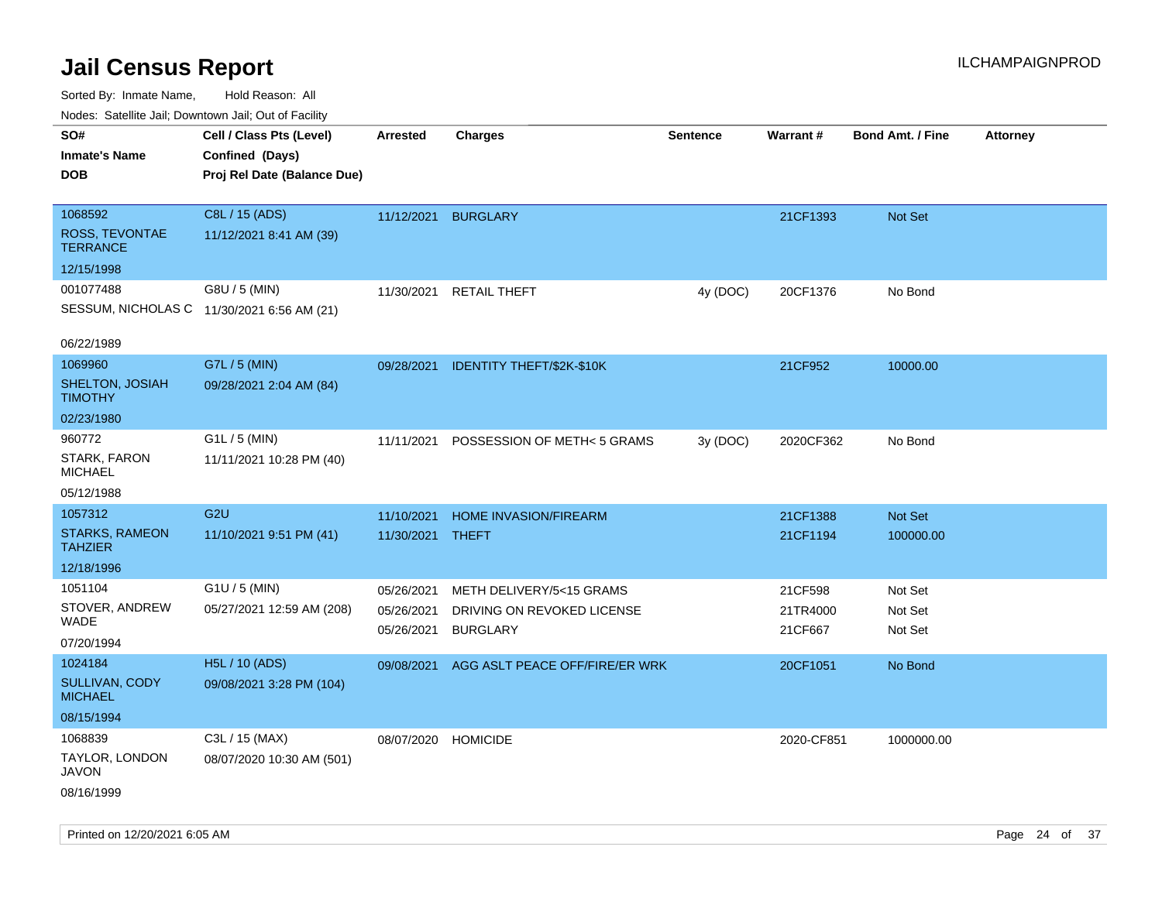| rouco. Calcillo Jali, Downtown Jali, Out of Facility |                                                                            |                     |                                |                 |            |                         |                 |
|------------------------------------------------------|----------------------------------------------------------------------------|---------------------|--------------------------------|-----------------|------------|-------------------------|-----------------|
| SO#<br><b>Inmate's Name</b><br><b>DOB</b>            | Cell / Class Pts (Level)<br>Confined (Days)<br>Proj Rel Date (Balance Due) | <b>Arrested</b>     | <b>Charges</b>                 | <b>Sentence</b> | Warrant#   | <b>Bond Amt. / Fine</b> | <b>Attorney</b> |
|                                                      |                                                                            |                     |                                |                 |            |                         |                 |
| 1068592                                              | C8L / 15 (ADS)                                                             | 11/12/2021 BURGLARY |                                |                 | 21CF1393   | Not Set                 |                 |
| ROSS, TEVONTAE<br><b>TERRANCE</b>                    | 11/12/2021 8:41 AM (39)                                                    |                     |                                |                 |            |                         |                 |
| 12/15/1998                                           |                                                                            |                     |                                |                 |            |                         |                 |
| 001077488                                            | G8U / 5 (MIN)                                                              | 11/30/2021          | <b>RETAIL THEFT</b>            | 4y (DOC)        | 20CF1376   | No Bond                 |                 |
|                                                      | SESSUM, NICHOLAS C 11/30/2021 6:56 AM (21)                                 |                     |                                |                 |            |                         |                 |
| 06/22/1989                                           |                                                                            |                     |                                |                 |            |                         |                 |
| 1069960                                              | G7L / 5 (MIN)                                                              | 09/28/2021          | IDENTITY THEFT/\$2K-\$10K      |                 | 21CF952    | 10000.00                |                 |
| SHELTON, JOSIAH<br><b>TIMOTHY</b>                    | 09/28/2021 2:04 AM (84)                                                    |                     |                                |                 |            |                         |                 |
| 02/23/1980                                           |                                                                            |                     |                                |                 |            |                         |                 |
| 960772                                               | G1L / 5 (MIN)                                                              | 11/11/2021          | POSSESSION OF METH< 5 GRAMS    | 3y (DOC)        | 2020CF362  | No Bond                 |                 |
| STARK, FARON<br><b>MICHAEL</b>                       | 11/11/2021 10:28 PM (40)                                                   |                     |                                |                 |            |                         |                 |
| 05/12/1988                                           |                                                                            |                     |                                |                 |            |                         |                 |
| 1057312                                              | G <sub>2U</sub>                                                            | 11/10/2021          | <b>HOME INVASION/FIREARM</b>   |                 | 21CF1388   | Not Set                 |                 |
| <b>STARKS, RAMEON</b><br><b>TAHZIER</b>              | 11/10/2021 9:51 PM (41)                                                    | 11/30/2021          | <b>THEFT</b>                   |                 | 21CF1194   | 100000.00               |                 |
| 12/18/1996                                           |                                                                            |                     |                                |                 |            |                         |                 |
| 1051104                                              | G1U / 5 (MIN)                                                              | 05/26/2021          | METH DELIVERY/5<15 GRAMS       |                 | 21CF598    | Not Set                 |                 |
| STOVER, ANDREW                                       | 05/27/2021 12:59 AM (208)                                                  | 05/26/2021          | DRIVING ON REVOKED LICENSE     |                 | 21TR4000   | Not Set                 |                 |
| WADE                                                 |                                                                            | 05/26/2021          | <b>BURGLARY</b>                |                 | 21CF667    | Not Set                 |                 |
| 07/20/1994                                           |                                                                            |                     |                                |                 |            |                         |                 |
| 1024184                                              | H5L / 10 (ADS)                                                             | 09/08/2021          | AGG ASLT PEACE OFF/FIRE/ER WRK |                 | 20CF1051   | No Bond                 |                 |
| SULLIVAN, CODY<br><b>MICHAEL</b>                     | 09/08/2021 3:28 PM (104)                                                   |                     |                                |                 |            |                         |                 |
| 08/15/1994                                           |                                                                            |                     |                                |                 |            |                         |                 |
| 1068839                                              | C3L / 15 (MAX)                                                             | 08/07/2020 HOMICIDE |                                |                 | 2020-CF851 | 1000000.00              |                 |
| TAYLOR, LONDON<br><b>JAVON</b>                       | 08/07/2020 10:30 AM (501)                                                  |                     |                                |                 |            |                         |                 |
| 08/16/1999                                           |                                                                            |                     |                                |                 |            |                         |                 |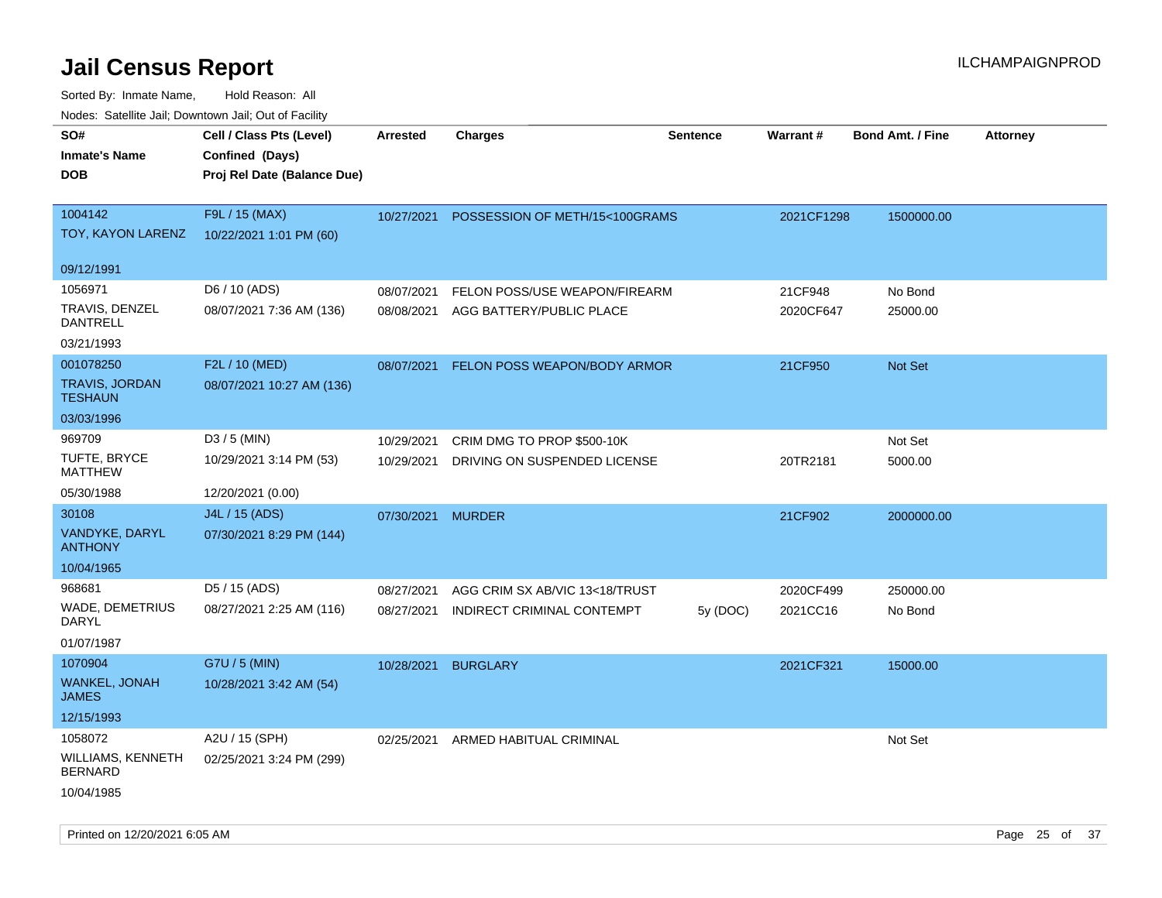| roaco. Odichile Jan, Downtown Jan, Out of Facility |                                                                            |                   |                                    |                 |                 |                         |                 |
|----------------------------------------------------|----------------------------------------------------------------------------|-------------------|------------------------------------|-----------------|-----------------|-------------------------|-----------------|
| SO#<br><b>Inmate's Name</b><br><b>DOB</b>          | Cell / Class Pts (Level)<br>Confined (Days)<br>Proj Rel Date (Balance Due) | <b>Arrested</b>   | <b>Charges</b>                     | <b>Sentence</b> | <b>Warrant#</b> | <b>Bond Amt. / Fine</b> | <b>Attorney</b> |
| 1004142<br>TOY, KAYON LARENZ                       | F9L / 15 (MAX)<br>10/22/2021 1:01 PM (60)                                  | 10/27/2021        | POSSESSION OF METH/15<100GRAMS     |                 | 2021CF1298      | 1500000.00              |                 |
| 09/12/1991                                         |                                                                            |                   |                                    |                 |                 |                         |                 |
| 1056971                                            | D6 / 10 (ADS)                                                              | 08/07/2021        | FELON POSS/USE WEAPON/FIREARM      |                 | 21CF948         | No Bond                 |                 |
| <b>TRAVIS, DENZEL</b><br><b>DANTRELL</b>           | 08/07/2021 7:36 AM (136)                                                   | 08/08/2021        | AGG BATTERY/PUBLIC PLACE           |                 | 2020CF647       | 25000.00                |                 |
| 03/21/1993                                         |                                                                            |                   |                                    |                 |                 |                         |                 |
| 001078250                                          | F2L / 10 (MED)                                                             | 08/07/2021        | FELON POSS WEAPON/BODY ARMOR       |                 | 21CF950         | Not Set                 |                 |
| <b>TRAVIS, JORDAN</b><br><b>TESHAUN</b>            | 08/07/2021 10:27 AM (136)                                                  |                   |                                    |                 |                 |                         |                 |
| 03/03/1996                                         |                                                                            |                   |                                    |                 |                 |                         |                 |
| 969709                                             | $D3/5$ (MIN)                                                               | 10/29/2021        | CRIM DMG TO PROP \$500-10K         |                 |                 | Not Set                 |                 |
| TUFTE, BRYCE<br><b>MATTHEW</b>                     | 10/29/2021 3:14 PM (53)                                                    | 10/29/2021        | DRIVING ON SUSPENDED LICENSE       |                 | 20TR2181        | 5000.00                 |                 |
| 05/30/1988                                         | 12/20/2021 (0.00)                                                          |                   |                                    |                 |                 |                         |                 |
| 30108                                              | J4L / 15 (ADS)                                                             | 07/30/2021 MURDER |                                    |                 | 21CF902         | 2000000.00              |                 |
| VANDYKE, DARYL<br><b>ANTHONY</b>                   | 07/30/2021 8:29 PM (144)                                                   |                   |                                    |                 |                 |                         |                 |
| 10/04/1965                                         |                                                                            |                   |                                    |                 |                 |                         |                 |
| 968681                                             | D5 / 15 (ADS)                                                              | 08/27/2021        | AGG CRIM SX AB/VIC 13<18/TRUST     |                 | 2020CF499       | 250000.00               |                 |
| WADE, DEMETRIUS<br>DARYL                           | 08/27/2021 2:25 AM (116)                                                   | 08/27/2021        | INDIRECT CRIMINAL CONTEMPT         | 5y(DOC)         | 2021CC16        | No Bond                 |                 |
| 01/07/1987                                         |                                                                            |                   |                                    |                 |                 |                         |                 |
| 1070904                                            | G7U / 5 (MIN)                                                              | 10/28/2021        | <b>BURGLARY</b>                    |                 | 2021CF321       | 15000.00                |                 |
| WANKEL, JONAH<br><b>JAMES</b>                      | 10/28/2021 3:42 AM (54)                                                    |                   |                                    |                 |                 |                         |                 |
| 12/15/1993                                         |                                                                            |                   |                                    |                 |                 |                         |                 |
| 1058072                                            | A2U / 15 (SPH)                                                             |                   | 02/25/2021 ARMED HABITUAL CRIMINAL |                 |                 | Not Set                 |                 |
| WILLIAMS, KENNETH<br><b>BERNARD</b>                | 02/25/2021 3:24 PM (299)                                                   |                   |                                    |                 |                 |                         |                 |
| 10/04/1985                                         |                                                                            |                   |                                    |                 |                 |                         |                 |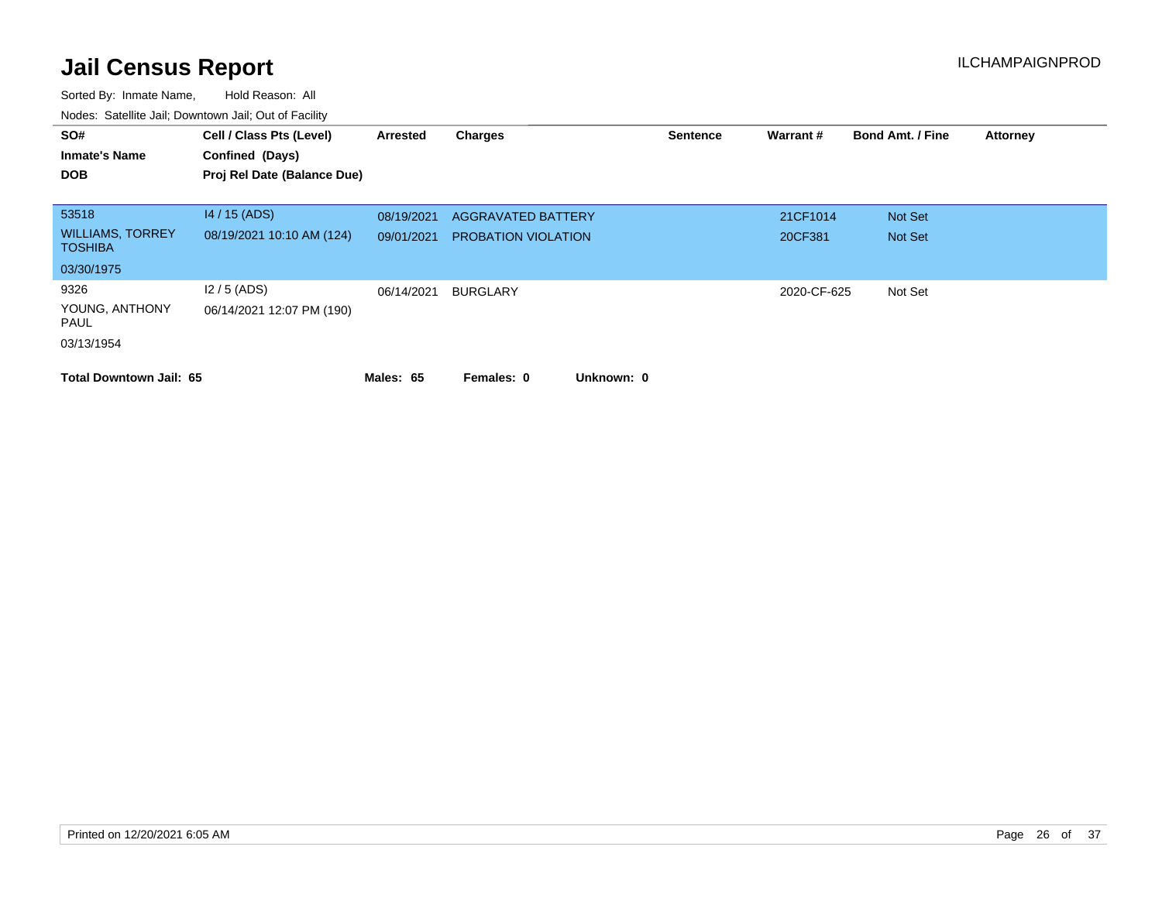| SO#<br><b>Inmate's Name</b><br><b>DOB</b> | Cell / Class Pts (Level)<br>Confined (Days)<br>Proj Rel Date (Balance Due) | Arrested   | <b>Charges</b>             | <b>Sentence</b> | Warrant#    | <b>Bond Amt. / Fine</b> | <b>Attorney</b> |
|-------------------------------------------|----------------------------------------------------------------------------|------------|----------------------------|-----------------|-------------|-------------------------|-----------------|
| 53518                                     | $14/15$ (ADS)                                                              | 08/19/2021 | <b>AGGRAVATED BATTERY</b>  |                 | 21CF1014    | Not Set                 |                 |
| <b>WILLIAMS, TORREY</b><br><b>TOSHIBA</b> | 08/19/2021 10:10 AM (124)                                                  | 09/01/2021 | <b>PROBATION VIOLATION</b> |                 | 20CF381     | Not Set                 |                 |
| 03/30/1975                                |                                                                            |            |                            |                 |             |                         |                 |
| 9326                                      | $12/5$ (ADS)                                                               | 06/14/2021 | BURGLARY                   |                 | 2020-CF-625 | Not Set                 |                 |
| YOUNG, ANTHONY<br>PAUL                    | 06/14/2021 12:07 PM (190)                                                  |            |                            |                 |             |                         |                 |
| 03/13/1954                                |                                                                            |            |                            |                 |             |                         |                 |
| <b>Total Downtown Jail: 65</b>            |                                                                            | Males: 65  | Unknown: 0<br>Females: 0   |                 |             |                         |                 |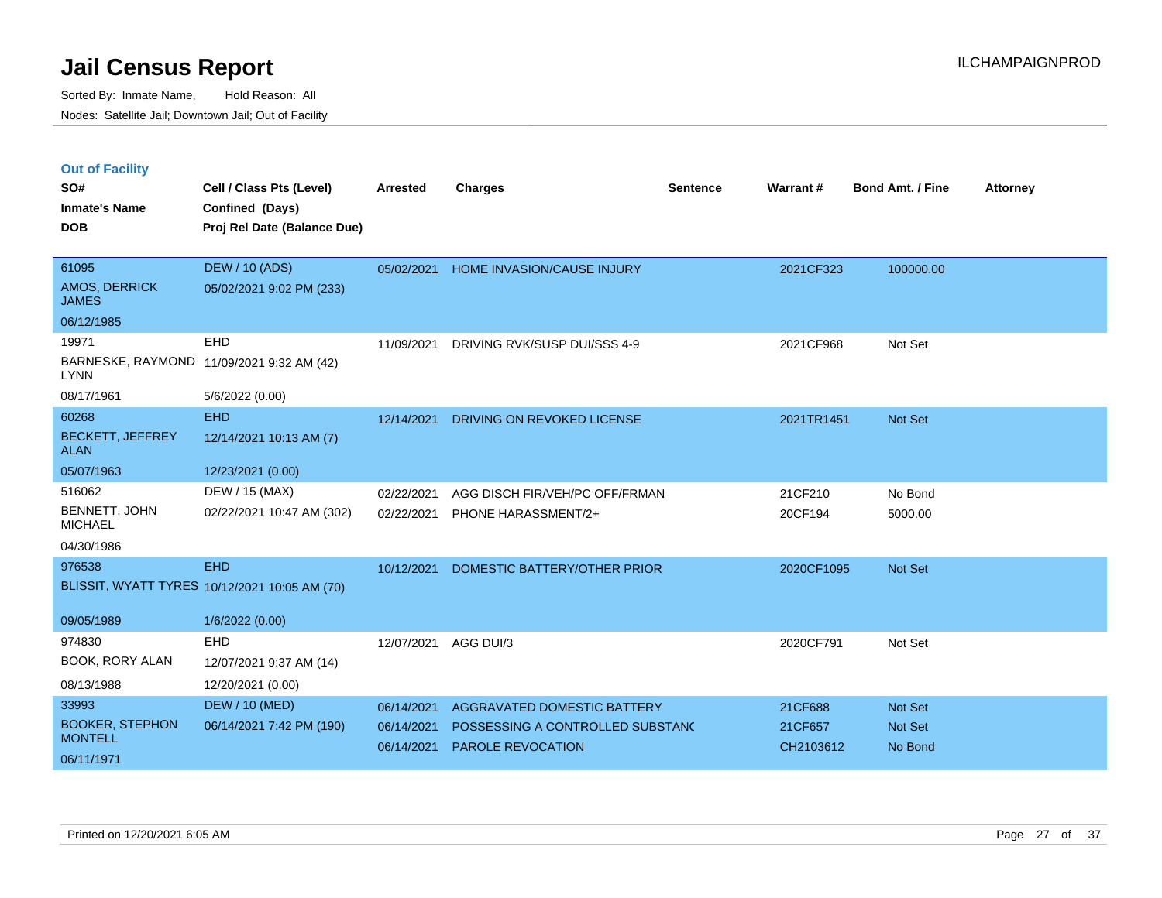|  | <b>Out of Facility</b> |  |
|--|------------------------|--|

| SO#<br><b>Inmate's Name</b><br><b>DOB</b>                       | Cell / Class Pts (Level)<br>Confined (Days)<br>Proj Rel Date (Balance Due) | <b>Arrested</b>                        | <b>Charges</b>                                                                       | <b>Sentence</b> | Warrant#                        | <b>Bond Amt. / Fine</b>       | <b>Attorney</b> |
|-----------------------------------------------------------------|----------------------------------------------------------------------------|----------------------------------------|--------------------------------------------------------------------------------------|-----------------|---------------------------------|-------------------------------|-----------------|
| 61095<br>AMOS, DERRICK<br><b>JAMES</b>                          | <b>DEW / 10 (ADS)</b><br>05/02/2021 9:02 PM (233)                          | 05/02/2021                             | <b>HOME INVASION/CAUSE INJURY</b>                                                    |                 | 2021CF323                       | 100000.00                     |                 |
| 06/12/1985                                                      |                                                                            |                                        |                                                                                      |                 |                                 |                               |                 |
| 19971<br><b>LYNN</b>                                            | EHD<br>BARNESKE, RAYMOND 11/09/2021 9:32 AM (42)                           | 11/09/2021                             | DRIVING RVK/SUSP DUI/SSS 4-9                                                         |                 | 2021CF968                       | Not Set                       |                 |
| 08/17/1961                                                      | 5/6/2022 (0.00)                                                            |                                        |                                                                                      |                 |                                 |                               |                 |
| 60268<br><b>BECKETT, JEFFREY</b><br><b>ALAN</b>                 | <b>EHD</b><br>12/14/2021 10:13 AM (7)                                      | 12/14/2021                             | DRIVING ON REVOKED LICENSE                                                           |                 | 2021TR1451                      | <b>Not Set</b>                |                 |
| 05/07/1963                                                      | 12/23/2021 (0.00)                                                          |                                        |                                                                                      |                 |                                 |                               |                 |
| 516062<br>BENNETT, JOHN<br><b>MICHAEL</b><br>04/30/1986         | DEW / 15 (MAX)<br>02/22/2021 10:47 AM (302)                                | 02/22/2021<br>02/22/2021               | AGG DISCH FIR/VEH/PC OFF/FRMAN<br>PHONE HARASSMENT/2+                                |                 | 21CF210<br>20CF194              | No Bond<br>5000.00            |                 |
| 976538                                                          | <b>EHD</b><br>BLISSIT, WYATT TYRES 10/12/2021 10:05 AM (70)                | 10/12/2021                             | DOMESTIC BATTERY/OTHER PRIOR                                                         |                 | 2020CF1095                      | <b>Not Set</b>                |                 |
| 09/05/1989                                                      | 1/6/2022 (0.00)                                                            |                                        |                                                                                      |                 |                                 |                               |                 |
| 974830<br>BOOK, RORY ALAN                                       | <b>EHD</b><br>12/07/2021 9:37 AM (14)                                      | 12/07/2021                             | AGG DUI/3                                                                            |                 | 2020CF791                       | Not Set                       |                 |
| 08/13/1988                                                      | 12/20/2021 (0.00)                                                          |                                        |                                                                                      |                 |                                 |                               |                 |
| 33993<br><b>BOOKER, STEPHON</b><br><b>MONTELL</b><br>06/11/1971 | <b>DEW / 10 (MED)</b><br>06/14/2021 7:42 PM (190)                          | 06/14/2021<br>06/14/2021<br>06/14/2021 | AGGRAVATED DOMESTIC BATTERY<br>POSSESSING A CONTROLLED SUBSTANC<br>PAROLE REVOCATION |                 | 21CF688<br>21CF657<br>CH2103612 | Not Set<br>Not Set<br>No Bond |                 |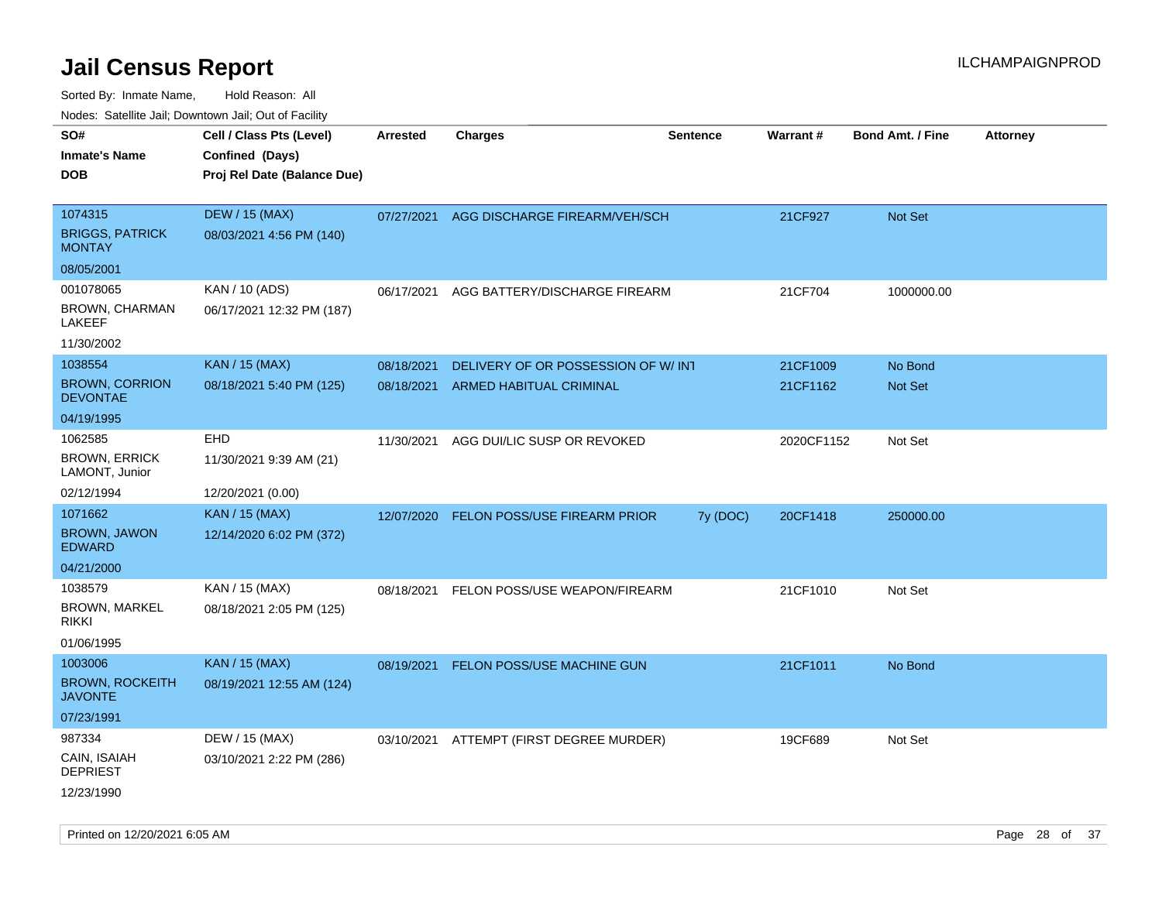| rouco. Calcillo Jali, Downtown Jali, Out of Facility |                                             |                 |                                          |                 |            |                         |                 |
|------------------------------------------------------|---------------------------------------------|-----------------|------------------------------------------|-----------------|------------|-------------------------|-----------------|
| SO#<br>Inmate's Name                                 | Cell / Class Pts (Level)<br>Confined (Days) | <b>Arrested</b> | <b>Charges</b>                           | <b>Sentence</b> | Warrant#   | <b>Bond Amt. / Fine</b> | <b>Attorney</b> |
| <b>DOB</b>                                           | Proj Rel Date (Balance Due)                 |                 |                                          |                 |            |                         |                 |
| 1074315                                              | <b>DEW / 15 (MAX)</b>                       |                 | 07/27/2021 AGG DISCHARGE FIREARM/VEH/SCH |                 | 21CF927    | Not Set                 |                 |
| <b>BRIGGS, PATRICK</b><br><b>MONTAY</b>              | 08/03/2021 4:56 PM (140)                    |                 |                                          |                 |            |                         |                 |
| 08/05/2001                                           |                                             |                 |                                          |                 |            |                         |                 |
| 001078065                                            | KAN / 10 (ADS)                              | 06/17/2021      | AGG BATTERY/DISCHARGE FIREARM            |                 | 21CF704    | 1000000.00              |                 |
| BROWN, CHARMAN<br>LAKEEF                             | 06/17/2021 12:32 PM (187)                   |                 |                                          |                 |            |                         |                 |
| 11/30/2002                                           |                                             |                 |                                          |                 |            |                         |                 |
| 1038554                                              | <b>KAN / 15 (MAX)</b>                       | 08/18/2021      | DELIVERY OF OR POSSESSION OF W/ INT      |                 | 21CF1009   | No Bond                 |                 |
| <b>BROWN, CORRION</b><br><b>DEVONTAE</b>             | 08/18/2021 5:40 PM (125)                    | 08/18/2021      | <b>ARMED HABITUAL CRIMINAL</b>           |                 | 21CF1162   | <b>Not Set</b>          |                 |
| 04/19/1995                                           |                                             |                 |                                          |                 |            |                         |                 |
| 1062585                                              | EHD                                         | 11/30/2021      | AGG DUI/LIC SUSP OR REVOKED              |                 | 2020CF1152 | Not Set                 |                 |
| <b>BROWN, ERRICK</b><br>LAMONT, Junior               | 11/30/2021 9:39 AM (21)                     |                 |                                          |                 |            |                         |                 |
| 02/12/1994                                           | 12/20/2021 (0.00)                           |                 |                                          |                 |            |                         |                 |
| 1071662                                              | <b>KAN / 15 (MAX)</b>                       | 12/07/2020      | FELON POSS/USE FIREARM PRIOR             | 7y (DOC)        | 20CF1418   | 250000.00               |                 |
| <b>BROWN, JAWON</b><br>EDWARD                        | 12/14/2020 6:02 PM (372)                    |                 |                                          |                 |            |                         |                 |
| 04/21/2000                                           |                                             |                 |                                          |                 |            |                         |                 |
| 1038579                                              | KAN / 15 (MAX)                              | 08/18/2021      | FELON POSS/USE WEAPON/FIREARM            |                 | 21CF1010   | Not Set                 |                 |
| <b>BROWN, MARKEL</b><br>rikki                        | 08/18/2021 2:05 PM (125)                    |                 |                                          |                 |            |                         |                 |
| 01/06/1995                                           |                                             |                 |                                          |                 |            |                         |                 |
| 1003006                                              | <b>KAN / 15 (MAX)</b>                       | 08/19/2021      | FELON POSS/USE MACHINE GUN               |                 | 21CF1011   | No Bond                 |                 |
| <b>BROWN, ROCKEITH</b><br>JAVONTE                    | 08/19/2021 12:55 AM (124)                   |                 |                                          |                 |            |                         |                 |
| 07/23/1991                                           |                                             |                 |                                          |                 |            |                         |                 |
| 987334                                               | DEW / 15 (MAX)                              | 03/10/2021      | ATTEMPT (FIRST DEGREE MURDER)            |                 | 19CF689    | Not Set                 |                 |
| CAIN, ISAIAH<br><b>DEPRIEST</b>                      | 03/10/2021 2:22 PM (286)                    |                 |                                          |                 |            |                         |                 |
| 12/23/1990                                           |                                             |                 |                                          |                 |            |                         |                 |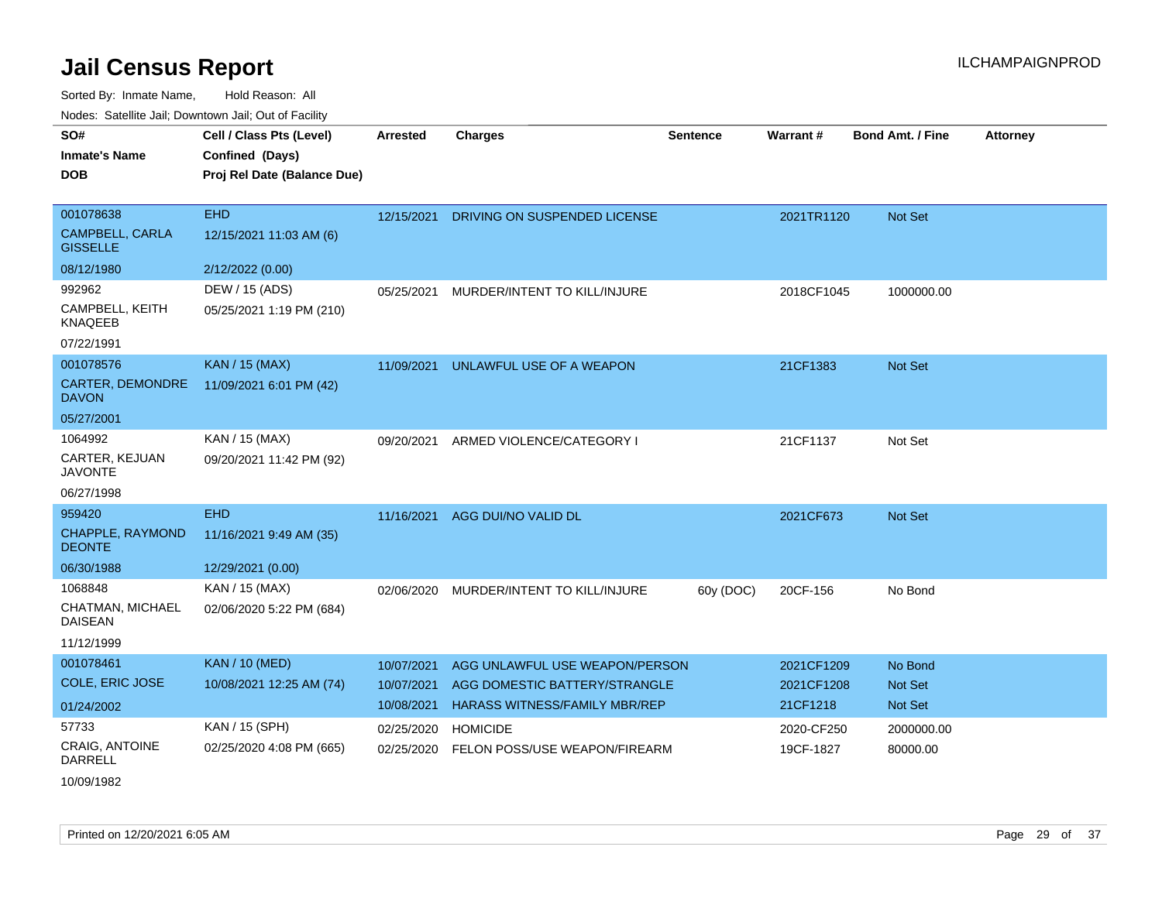| SO#                                       | Cell / Class Pts (Level)    | <b>Arrested</b> | <b>Charges</b>                       | <b>Sentence</b> | Warrant#   | <b>Bond Amt. / Fine</b> | <b>Attorney</b> |
|-------------------------------------------|-----------------------------|-----------------|--------------------------------------|-----------------|------------|-------------------------|-----------------|
| <b>Inmate's Name</b>                      | Confined (Days)             |                 |                                      |                 |            |                         |                 |
| <b>DOB</b>                                | Proj Rel Date (Balance Due) |                 |                                      |                 |            |                         |                 |
|                                           |                             |                 |                                      |                 |            |                         |                 |
| 001078638                                 | <b>EHD</b>                  | 12/15/2021      | DRIVING ON SUSPENDED LICENSE         |                 | 2021TR1120 | Not Set                 |                 |
| <b>CAMPBELL, CARLA</b><br><b>GISSELLE</b> | 12/15/2021 11:03 AM (6)     |                 |                                      |                 |            |                         |                 |
| 08/12/1980                                | 2/12/2022 (0.00)            |                 |                                      |                 |            |                         |                 |
| 992962                                    | DEW / 15 (ADS)              | 05/25/2021      | MURDER/INTENT TO KILL/INJURE         |                 | 2018CF1045 | 1000000.00              |                 |
| CAMPBELL, KEITH<br><b>KNAQEEB</b>         | 05/25/2021 1:19 PM (210)    |                 |                                      |                 |            |                         |                 |
| 07/22/1991                                |                             |                 |                                      |                 |            |                         |                 |
| 001078576                                 | <b>KAN / 15 (MAX)</b>       | 11/09/2021      | UNLAWFUL USE OF A WEAPON             |                 | 21CF1383   | <b>Not Set</b>          |                 |
| <b>CARTER, DEMONDRE</b><br><b>DAVON</b>   | 11/09/2021 6:01 PM (42)     |                 |                                      |                 |            |                         |                 |
| 05/27/2001                                |                             |                 |                                      |                 |            |                         |                 |
| 1064992                                   | KAN / 15 (MAX)              | 09/20/2021      | ARMED VIOLENCE/CATEGORY I            |                 | 21CF1137   | Not Set                 |                 |
| CARTER, KEJUAN<br><b>JAVONTE</b>          | 09/20/2021 11:42 PM (92)    |                 |                                      |                 |            |                         |                 |
| 06/27/1998                                |                             |                 |                                      |                 |            |                         |                 |
| 959420                                    | <b>EHD</b>                  | 11/16/2021      | AGG DUI/NO VALID DL                  |                 | 2021CF673  | <b>Not Set</b>          |                 |
| CHAPPLE, RAYMOND<br><b>DEONTE</b>         | 11/16/2021 9:49 AM (35)     |                 |                                      |                 |            |                         |                 |
| 06/30/1988                                | 12/29/2021 (0.00)           |                 |                                      |                 |            |                         |                 |
| 1068848                                   | KAN / 15 (MAX)              | 02/06/2020      | MURDER/INTENT TO KILL/INJURE         | 60y (DOC)       | 20CF-156   | No Bond                 |                 |
| CHATMAN, MICHAEL<br><b>DAISEAN</b>        | 02/06/2020 5:22 PM (684)    |                 |                                      |                 |            |                         |                 |
| 11/12/1999                                |                             |                 |                                      |                 |            |                         |                 |
| 001078461                                 | <b>KAN / 10 (MED)</b>       | 10/07/2021      | AGG UNLAWFUL USE WEAPON/PERSON       |                 | 2021CF1209 | No Bond                 |                 |
| <b>COLE, ERIC JOSE</b>                    | 10/08/2021 12:25 AM (74)    | 10/07/2021      | AGG DOMESTIC BATTERY/STRANGLE        |                 | 2021CF1208 | <b>Not Set</b>          |                 |
| 01/24/2002                                |                             | 10/08/2021      | <b>HARASS WITNESS/FAMILY MBR/REP</b> |                 | 21CF1218   | <b>Not Set</b>          |                 |
| 57733                                     | KAN / 15 (SPH)              | 02/25/2020      | <b>HOMICIDE</b>                      |                 | 2020-CF250 | 2000000.00              |                 |
| CRAIG, ANTOINE<br><b>DARRELL</b>          | 02/25/2020 4:08 PM (665)    | 02/25/2020      | FELON POSS/USE WEAPON/FIREARM        |                 | 19CF-1827  | 80000.00                |                 |
| 10/09/1982                                |                             |                 |                                      |                 |            |                         |                 |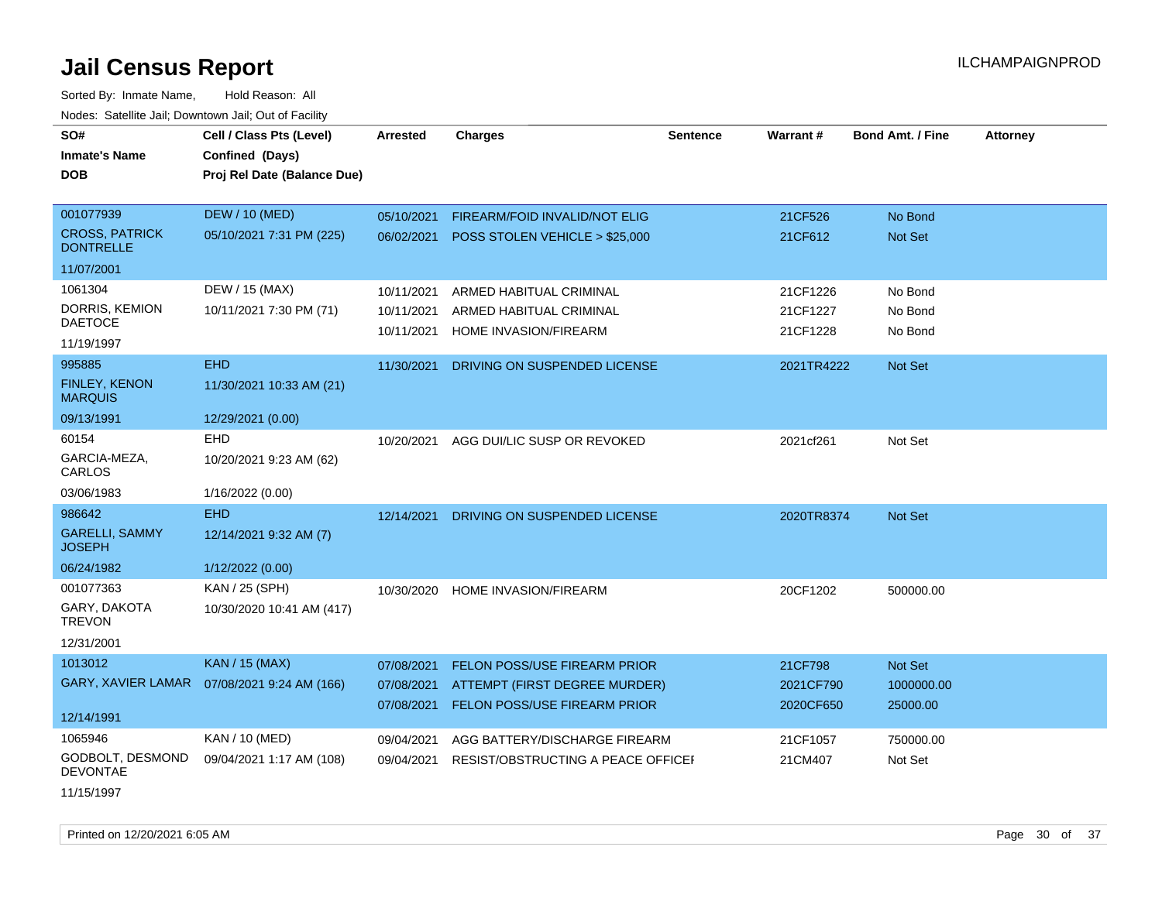Sorted By: Inmate Name, Hold Reason: All Nodes: Satellite Jail; Downtown Jail; Out of Facility

| wacs. Calcillic Jali, Downtown Jali, Out of Facility |                             |                 |                                   |                 |            |                         |                 |
|------------------------------------------------------|-----------------------------|-----------------|-----------------------------------|-----------------|------------|-------------------------|-----------------|
| SO#                                                  | Cell / Class Pts (Level)    | <b>Arrested</b> | <b>Charges</b>                    | <b>Sentence</b> | Warrant#   | <b>Bond Amt. / Fine</b> | <b>Attorney</b> |
| Inmate's Name                                        | Confined (Days)             |                 |                                   |                 |            |                         |                 |
| DOB                                                  | Proj Rel Date (Balance Due) |                 |                                   |                 |            |                         |                 |
|                                                      |                             |                 |                                   |                 |            |                         |                 |
| 001077939                                            | <b>DEW / 10 (MED)</b>       | 05/10/2021      | FIREARM/FOID INVALID/NOT ELIG     |                 | 21CF526    | No Bond                 |                 |
| <b>CROSS, PATRICK</b><br><b>DONTRELLE</b>            | 05/10/2021 7:31 PM (225)    | 06/02/2021      | POSS STOLEN VEHICLE > \$25,000    |                 | 21CF612    | <b>Not Set</b>          |                 |
| 11/07/2001                                           |                             |                 |                                   |                 |            |                         |                 |
| 1061304                                              | DEW / 15 (MAX)              | 10/11/2021      | ARMED HABITUAL CRIMINAL           |                 | 21CF1226   | No Bond                 |                 |
| DORRIS, KEMION                                       | 10/11/2021 7:30 PM (71)     | 10/11/2021      | ARMED HABITUAL CRIMINAL           |                 | 21CF1227   | No Bond                 |                 |
| <b>DAETOCE</b>                                       |                             | 10/11/2021      | HOME INVASION/FIREARM             |                 | 21CF1228   | No Bond                 |                 |
| 11/19/1997                                           |                             |                 |                                   |                 |            |                         |                 |
| 995885                                               | <b>EHD</b>                  | 11/30/2021      | DRIVING ON SUSPENDED LICENSE      |                 | 2021TR4222 | <b>Not Set</b>          |                 |
| <b>FINLEY, KENON</b><br><b>MARQUIS</b>               | 11/30/2021 10:33 AM (21)    |                 |                                   |                 |            |                         |                 |
| 09/13/1991                                           | 12/29/2021 (0.00)           |                 |                                   |                 |            |                         |                 |
| 60154                                                | <b>EHD</b>                  | 10/20/2021      | AGG DUI/LIC SUSP OR REVOKED       |                 | 2021cf261  | Not Set                 |                 |
| GARCIA-MEZA,<br>CARLOS                               | 10/20/2021 9:23 AM (62)     |                 |                                   |                 |            |                         |                 |
| 03/06/1983                                           | 1/16/2022 (0.00)            |                 |                                   |                 |            |                         |                 |
| 986642                                               | <b>EHD</b>                  | 12/14/2021      | DRIVING ON SUSPENDED LICENSE      |                 | 2020TR8374 | Not Set                 |                 |
| <b>GARELLI, SAMMY</b><br><b>JOSEPH</b>               | 12/14/2021 9:32 AM (7)      |                 |                                   |                 |            |                         |                 |
| 06/24/1982                                           | 1/12/2022 (0.00)            |                 |                                   |                 |            |                         |                 |
| 001077363                                            | KAN / 25 (SPH)              | 10/30/2020      | HOME INVASION/FIREARM             |                 | 20CF1202   | 500000.00               |                 |
| GARY, DAKOTA<br><b>TREVON</b>                        | 10/30/2020 10:41 AM (417)   |                 |                                   |                 |            |                         |                 |
| 12/31/2001                                           |                             |                 |                                   |                 |            |                         |                 |
| 1013012                                              | <b>KAN / 15 (MAX)</b>       | 07/08/2021      | FELON POSS/USE FIREARM PRIOR      |                 | 21CF798    | Not Set                 |                 |
| GARY, XAVIER LAMAR                                   | 07/08/2021 9:24 AM (166)    | 07/08/2021      | ATTEMPT (FIRST DEGREE MURDER)     |                 | 2021CF790  | 1000000.00              |                 |
|                                                      |                             | 07/08/2021      | FELON POSS/USE FIREARM PRIOR      |                 | 2020CF650  | 25000.00                |                 |
| 12/14/1991                                           |                             |                 |                                   |                 |            |                         |                 |
| 1065946                                              | KAN / 10 (MED)              | 09/04/2021      | AGG BATTERY/DISCHARGE FIREARM     |                 | 21CF1057   | 750000.00               |                 |
| GODBOLT, DESMOND<br><b>DEVONTAE</b>                  | 09/04/2021 1:17 AM (108)    | 09/04/2021      | RESIST/OBSTRUCTING A PEACE OFFICE |                 | 21CM407    | Not Set                 |                 |
| 11/15/1997                                           |                             |                 |                                   |                 |            |                         |                 |

Printed on 12/20/2021 6:05 AM Page 30 of 37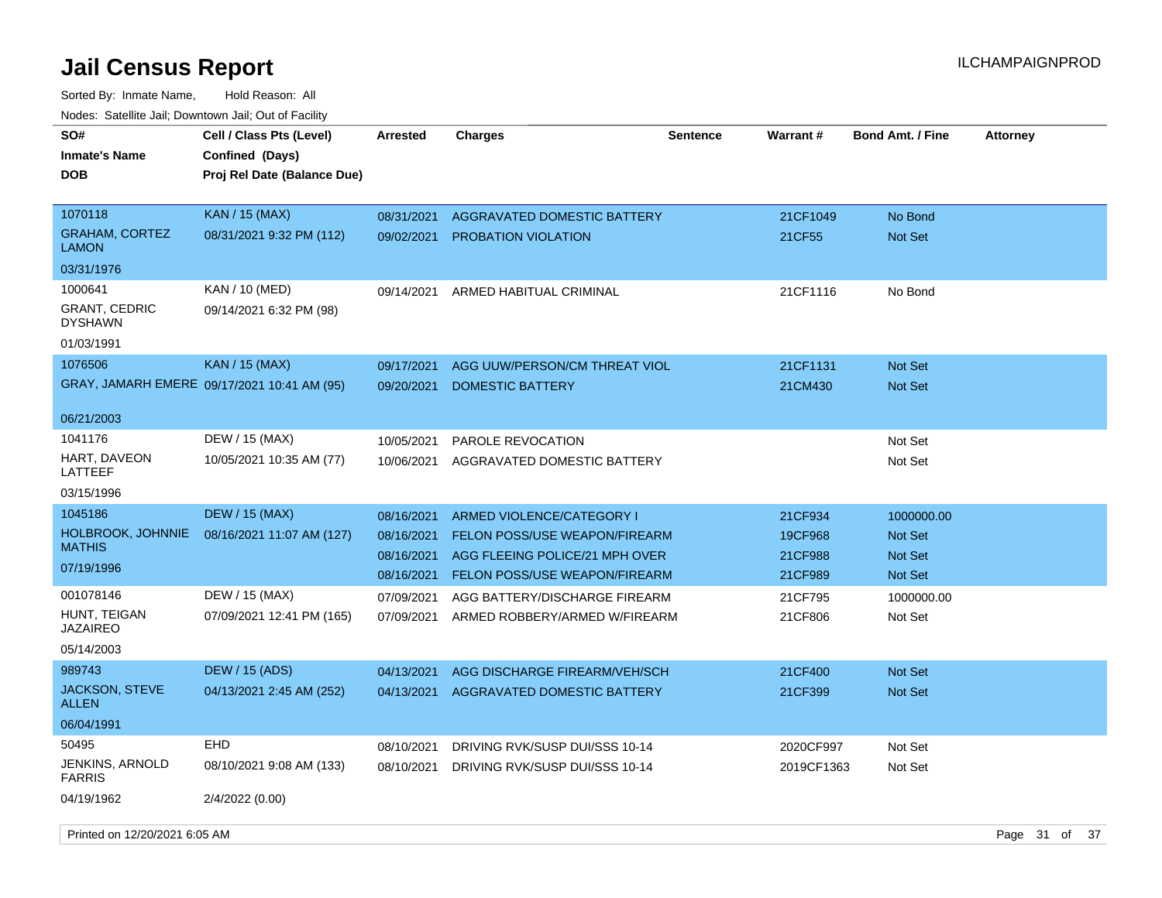Sorted By: Inmate Name, Hold Reason: All Nodes: Satellite Jail; Downtown Jail; Out of Facility

| roacs. Catellite Jall, Downtown Jall, Out of Facility |                                                                            |                 |                                      |          |            |                  |                 |
|-------------------------------------------------------|----------------------------------------------------------------------------|-----------------|--------------------------------------|----------|------------|------------------|-----------------|
| SO#<br><b>Inmate's Name</b><br><b>DOB</b>             | Cell / Class Pts (Level)<br>Confined (Days)<br>Proj Rel Date (Balance Due) | <b>Arrested</b> | <b>Charges</b>                       | Sentence | Warrant#   | Bond Amt. / Fine | <b>Attorney</b> |
| 1070118                                               | KAN / 15 (MAX)                                                             | 08/31/2021      | AGGRAVATED DOMESTIC BATTERY          |          | 21CF1049   | No Bond          |                 |
| <b>GRAHAM, CORTEZ</b><br><b>LAMON</b>                 | 08/31/2021 9:32 PM (112)                                                   | 09/02/2021      | <b>PROBATION VIOLATION</b>           |          | 21CF55     | <b>Not Set</b>   |                 |
| 03/31/1976                                            |                                                                            |                 |                                      |          |            |                  |                 |
| 1000641                                               | KAN / 10 (MED)                                                             | 09/14/2021      | ARMED HABITUAL CRIMINAL              |          | 21CF1116   | No Bond          |                 |
| <b>GRANT, CEDRIC</b><br><b>DYSHAWN</b>                | 09/14/2021 6:32 PM (98)                                                    |                 |                                      |          |            |                  |                 |
| 01/03/1991                                            |                                                                            |                 |                                      |          |            |                  |                 |
| 1076506                                               | <b>KAN / 15 (MAX)</b>                                                      | 09/17/2021      | AGG UUW/PERSON/CM THREAT VIOL        |          | 21CF1131   | <b>Not Set</b>   |                 |
|                                                       | GRAY, JAMARH EMERE 09/17/2021 10:41 AM (95)                                | 09/20/2021      | <b>DOMESTIC BATTERY</b>              |          | 21CM430    | Not Set          |                 |
| 06/21/2003                                            |                                                                            |                 |                                      |          |            |                  |                 |
| 1041176                                               | DEW / 15 (MAX)                                                             | 10/05/2021      | <b>PAROLE REVOCATION</b>             |          |            | Not Set          |                 |
| HART, DAVEON<br>LATTEEF                               | 10/05/2021 10:35 AM (77)                                                   | 10/06/2021      | AGGRAVATED DOMESTIC BATTERY          |          |            | Not Set          |                 |
| 03/15/1996                                            |                                                                            |                 |                                      |          |            |                  |                 |
| 1045186                                               | <b>DEW / 15 (MAX)</b>                                                      | 08/16/2021      | ARMED VIOLENCE/CATEGORY I            |          | 21CF934    | 1000000.00       |                 |
| HOLBROOK, JOHNNIE                                     | 08/16/2021 11:07 AM (127)                                                  | 08/16/2021      | <b>FELON POSS/USE WEAPON/FIREARM</b> |          | 19CF968    | <b>Not Set</b>   |                 |
| <b>MATHIS</b>                                         |                                                                            | 08/16/2021      | AGG FLEEING POLICE/21 MPH OVER       |          | 21CF988    | Not Set          |                 |
| 07/19/1996                                            |                                                                            | 08/16/2021      | <b>FELON POSS/USE WEAPON/FIREARM</b> |          | 21CF989    | <b>Not Set</b>   |                 |
| 001078146                                             | DEW / 15 (MAX)                                                             | 07/09/2021      | AGG BATTERY/DISCHARGE FIREARM        |          | 21CF795    | 1000000.00       |                 |
| HUNT, TEIGAN<br><b>JAZAIREO</b>                       | 07/09/2021 12:41 PM (165)                                                  | 07/09/2021      | ARMED ROBBERY/ARMED W/FIREARM        |          | 21CF806    | Not Set          |                 |
| 05/14/2003                                            |                                                                            |                 |                                      |          |            |                  |                 |
| 989743                                                | <b>DEW / 15 (ADS)</b>                                                      | 04/13/2021      | AGG DISCHARGE FIREARM/VEH/SCH        |          | 21CF400    | <b>Not Set</b>   |                 |
| <b>JACKSON, STEVE</b><br><b>ALLEN</b>                 | 04/13/2021 2:45 AM (252)                                                   | 04/13/2021      | AGGRAVATED DOMESTIC BATTERY          |          | 21CF399    | Not Set          |                 |
| 06/04/1991                                            |                                                                            |                 |                                      |          |            |                  |                 |
| 50495                                                 | EHD                                                                        | 08/10/2021      | DRIVING RVK/SUSP DUI/SSS 10-14       |          | 2020CF997  | Not Set          |                 |
| <b>JENKINS, ARNOLD</b><br><b>FARRIS</b>               | 08/10/2021 9:08 AM (133)                                                   | 08/10/2021      | DRIVING RVK/SUSP DUI/SSS 10-14       |          | 2019CF1363 | Not Set          |                 |
| 04/19/1962                                            | 2/4/2022 (0.00)                                                            |                 |                                      |          |            |                  |                 |

Printed on 12/20/2021 6:05 AM **Page 31 of 37**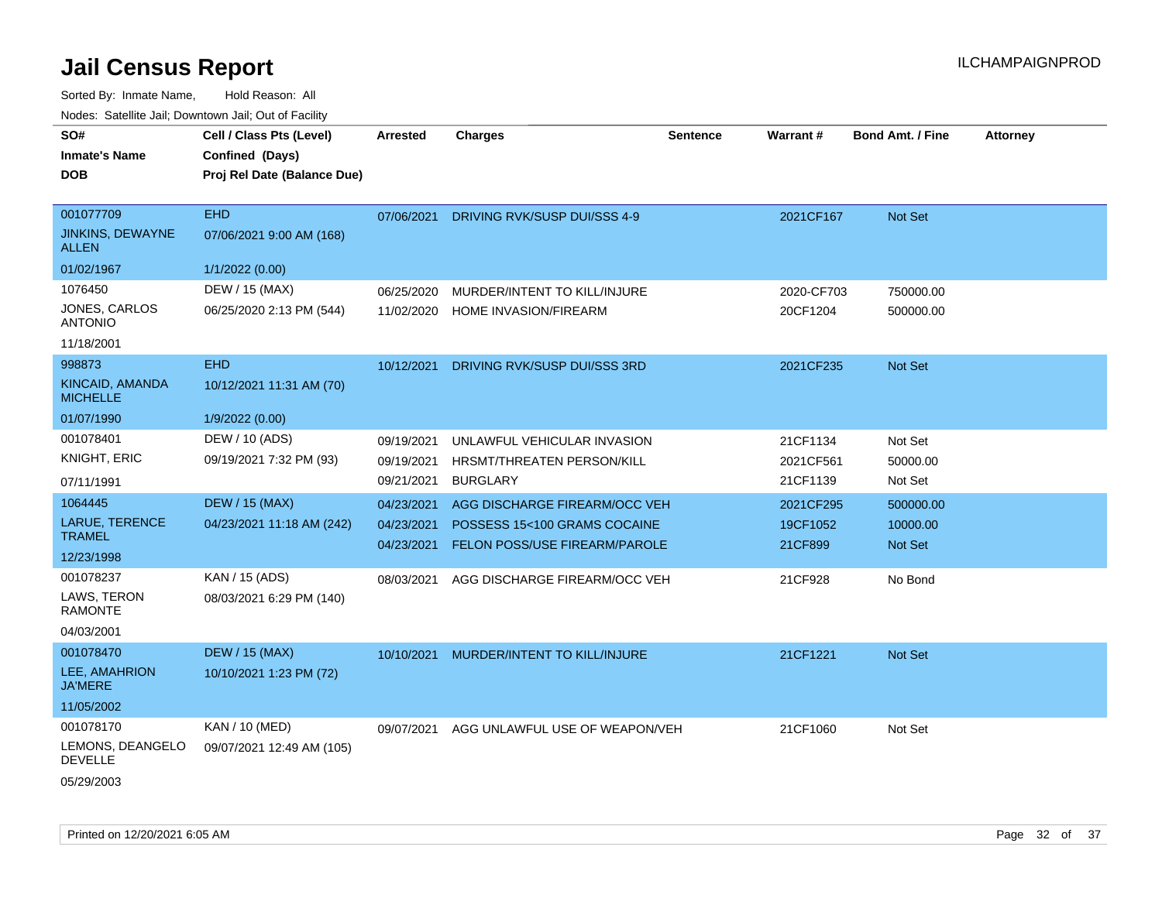Sorted By: Inmate Name, Hold Reason: All

| Nodes: Satellite Jail; Downtown Jail; Out of Facility |                             |            |                                |                 |                 |                         |                 |  |
|-------------------------------------------------------|-----------------------------|------------|--------------------------------|-----------------|-----------------|-------------------------|-----------------|--|
| SO#                                                   | Cell / Class Pts (Level)    | Arrested   | <b>Charges</b>                 | <b>Sentence</b> | <b>Warrant#</b> | <b>Bond Amt. / Fine</b> | <b>Attorney</b> |  |
| <b>Inmate's Name</b>                                  | Confined (Days)             |            |                                |                 |                 |                         |                 |  |
| <b>DOB</b>                                            | Proj Rel Date (Balance Due) |            |                                |                 |                 |                         |                 |  |
|                                                       |                             |            |                                |                 |                 |                         |                 |  |
| 001077709                                             | <b>EHD</b>                  | 07/06/2021 | DRIVING RVK/SUSP DUI/SSS 4-9   |                 | 2021CF167       | Not Set                 |                 |  |
| JINKINS, DEWAYNE<br><b>ALLEN</b>                      | 07/06/2021 9:00 AM (168)    |            |                                |                 |                 |                         |                 |  |
| 01/02/1967                                            | 1/1/2022 (0.00)             |            |                                |                 |                 |                         |                 |  |
| 1076450                                               | DEW / 15 (MAX)              | 06/25/2020 | MURDER/INTENT TO KILL/INJURE   |                 | 2020-CF703      | 750000.00               |                 |  |
| <b>JONES, CARLOS</b><br><b>ANTONIO</b>                | 06/25/2020 2:13 PM (544)    | 11/02/2020 | HOME INVASION/FIREARM          |                 | 20CF1204        | 500000.00               |                 |  |
| 11/18/2001                                            |                             |            |                                |                 |                 |                         |                 |  |
| 998873                                                | <b>EHD</b>                  | 10/12/2021 | DRIVING RVK/SUSP DUI/SSS 3RD   |                 | 2021CF235       | Not Set                 |                 |  |
| KINCAID, AMANDA<br><b>MICHELLE</b>                    | 10/12/2021 11:31 AM (70)    |            |                                |                 |                 |                         |                 |  |
| 01/07/1990                                            | 1/9/2022 (0.00)             |            |                                |                 |                 |                         |                 |  |
| 001078401                                             | DEW / 10 (ADS)              | 09/19/2021 | UNLAWFUL VEHICULAR INVASION    |                 | 21CF1134        | Not Set                 |                 |  |
| KNIGHT, ERIC                                          | 09/19/2021 7:32 PM (93)     | 09/19/2021 | HRSMT/THREATEN PERSON/KILL     |                 | 2021CF561       | 50000.00                |                 |  |
| 07/11/1991                                            |                             | 09/21/2021 | <b>BURGLARY</b>                |                 | 21CF1139        | Not Set                 |                 |  |
| 1064445                                               | <b>DEW / 15 (MAX)</b>       | 04/23/2021 | AGG DISCHARGE FIREARM/OCC VEH  |                 | 2021CF295       | 500000.00               |                 |  |
| LARUE, TERENCE                                        | 04/23/2021 11:18 AM (242)   | 04/23/2021 | POSSESS 15<100 GRAMS COCAINE   |                 | 19CF1052        | 10000.00                |                 |  |
| <b>TRAMEL</b>                                         |                             | 04/23/2021 | FELON POSS/USE FIREARM/PAROLE  |                 | 21CF899         | Not Set                 |                 |  |
| 12/23/1998                                            |                             |            |                                |                 |                 |                         |                 |  |
| 001078237                                             | KAN / 15 (ADS)              | 08/03/2021 | AGG DISCHARGE FIREARM/OCC VEH  |                 | 21CF928         | No Bond                 |                 |  |
| LAWS, TERON<br><b>RAMONTE</b>                         | 08/03/2021 6:29 PM (140)    |            |                                |                 |                 |                         |                 |  |
| 04/03/2001                                            |                             |            |                                |                 |                 |                         |                 |  |
| 001078470                                             | <b>DEW / 15 (MAX)</b>       | 10/10/2021 | MURDER/INTENT TO KILL/INJURE   |                 | 21CF1221        | Not Set                 |                 |  |
| LEE, AMAHRION<br><b>JA'MERE</b>                       | 10/10/2021 1:23 PM (72)     |            |                                |                 |                 |                         |                 |  |
| 11/05/2002                                            |                             |            |                                |                 |                 |                         |                 |  |
| 001078170                                             | KAN / 10 (MED)              | 09/07/2021 | AGG UNLAWFUL USE OF WEAPON/VEH |                 | 21CF1060        | Not Set                 |                 |  |
| LEMONS, DEANGELO<br><b>DEVELLE</b>                    | 09/07/2021 12:49 AM (105)   |            |                                |                 |                 |                         |                 |  |
| 05/29/2003                                            |                             |            |                                |                 |                 |                         |                 |  |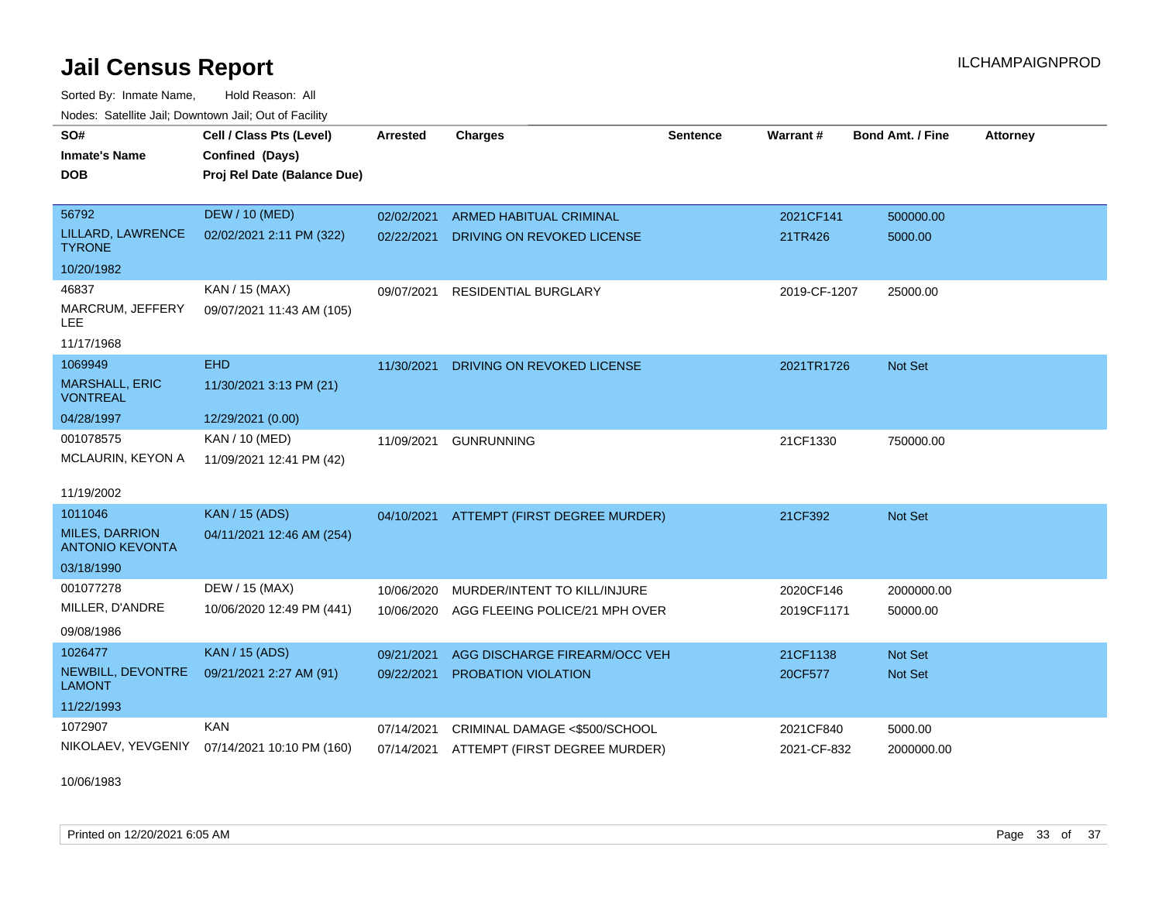Sorted By: Inmate Name, Hold Reason: All Nodes: Satellite Jail; Downtown Jail; Out of Facility

| SO#                                             | Cell / Class Pts (Level)    | Arrested   | <b>Charges</b>                           | <b>Sentence</b> | <b>Warrant#</b> | <b>Bond Amt. / Fine</b> | <b>Attorney</b> |
|-------------------------------------------------|-----------------------------|------------|------------------------------------------|-----------------|-----------------|-------------------------|-----------------|
| <b>Inmate's Name</b>                            | Confined (Days)             |            |                                          |                 |                 |                         |                 |
| <b>DOB</b>                                      | Proj Rel Date (Balance Due) |            |                                          |                 |                 |                         |                 |
|                                                 |                             |            |                                          |                 |                 |                         |                 |
| 56792                                           | <b>DEW / 10 (MED)</b>       | 02/02/2021 | <b>ARMED HABITUAL CRIMINAL</b>           |                 | 2021CF141       | 500000.00               |                 |
| LILLARD, LAWRENCE<br><b>TYRONE</b>              | 02/02/2021 2:11 PM (322)    | 02/22/2021 | DRIVING ON REVOKED LICENSE               |                 | 21TR426         | 5000.00                 |                 |
| 10/20/1982                                      |                             |            |                                          |                 |                 |                         |                 |
| 46837                                           | KAN / 15 (MAX)              | 09/07/2021 | <b>RESIDENTIAL BURGLARY</b>              |                 | 2019-CF-1207    | 25000.00                |                 |
| MARCRUM, JEFFERY<br><b>LEE</b>                  | 09/07/2021 11:43 AM (105)   |            |                                          |                 |                 |                         |                 |
| 11/17/1968                                      |                             |            |                                          |                 |                 |                         |                 |
| 1069949                                         | <b>EHD</b>                  | 11/30/2021 | DRIVING ON REVOKED LICENSE               |                 | 2021TR1726      | <b>Not Set</b>          |                 |
| <b>MARSHALL, ERIC</b><br><b>VONTREAL</b>        | 11/30/2021 3:13 PM (21)     |            |                                          |                 |                 |                         |                 |
| 04/28/1997                                      | 12/29/2021 (0.00)           |            |                                          |                 |                 |                         |                 |
| 001078575                                       | KAN / 10 (MED)              | 11/09/2021 | <b>GUNRUNNING</b>                        |                 | 21CF1330        | 750000.00               |                 |
| MCLAURIN, KEYON A                               | 11/09/2021 12:41 PM (42)    |            |                                          |                 |                 |                         |                 |
| 11/19/2002                                      |                             |            |                                          |                 |                 |                         |                 |
| 1011046                                         | <b>KAN</b> / 15 (ADS)       |            | 04/10/2021 ATTEMPT (FIRST DEGREE MURDER) |                 | 21CF392         | Not Set                 |                 |
| <b>MILES, DARRION</b><br><b>ANTONIO KEVONTA</b> | 04/11/2021 12:46 AM (254)   |            |                                          |                 |                 |                         |                 |
| 03/18/1990                                      |                             |            |                                          |                 |                 |                         |                 |
| 001077278                                       | DEW / 15 (MAX)              | 10/06/2020 | MURDER/INTENT TO KILL/INJURE             |                 | 2020CF146       | 2000000.00              |                 |
| MILLER, D'ANDRE                                 | 10/06/2020 12:49 PM (441)   | 10/06/2020 | AGG FLEEING POLICE/21 MPH OVER           |                 | 2019CF1171      | 50000.00                |                 |
| 09/08/1986                                      |                             |            |                                          |                 |                 |                         |                 |
| 1026477                                         | <b>KAN / 15 (ADS)</b>       | 09/21/2021 | AGG DISCHARGE FIREARM/OCC VEH            |                 | 21CF1138        | Not Set                 |                 |
| NEWBILL, DEVONTRE<br><b>LAMONT</b>              | 09/21/2021 2:27 AM (91)     | 09/22/2021 | PROBATION VIOLATION                      |                 | 20CF577         | Not Set                 |                 |
| 11/22/1993                                      |                             |            |                                          |                 |                 |                         |                 |
| 1072907                                         | <b>KAN</b>                  | 07/14/2021 | CRIMINAL DAMAGE <\$500/SCHOOL            |                 | 2021CF840       | 5000.00                 |                 |
| NIKOLAEV, YEVGENIY                              | 07/14/2021 10:10 PM (160)   |            | 07/14/2021 ATTEMPT (FIRST DEGREE MURDER) |                 | 2021-CF-832     | 2000000.00              |                 |

10/06/1983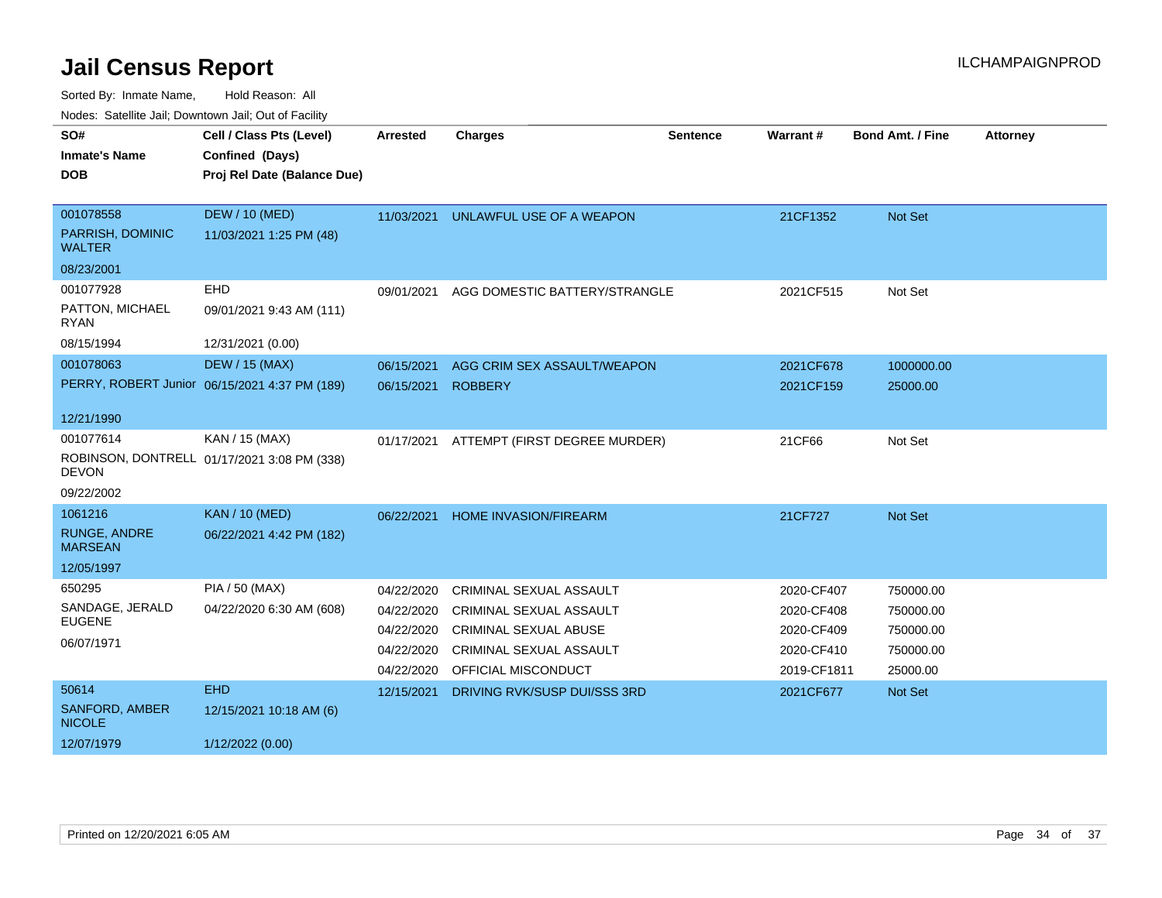| SO#<br><b>Inmate's Name</b><br><b>DOB</b> | Cell / Class Pts (Level)<br>Confined (Days)<br>Proj Rel Date (Balance Due) | <b>Arrested</b> | <b>Charges</b>                 | <b>Sentence</b> | Warrant#    | <b>Bond Amt. / Fine</b> | <b>Attorney</b> |
|-------------------------------------------|----------------------------------------------------------------------------|-----------------|--------------------------------|-----------------|-------------|-------------------------|-----------------|
| 001078558                                 | <b>DEW / 10 (MED)</b>                                                      | 11/03/2021      | UNLAWFUL USE OF A WEAPON       |                 | 21CF1352    | Not Set                 |                 |
| PARRISH, DOMINIC<br><b>WALTER</b>         | 11/03/2021 1:25 PM (48)                                                    |                 |                                |                 |             |                         |                 |
| 08/23/2001                                |                                                                            |                 |                                |                 |             |                         |                 |
| 001077928                                 | EHD                                                                        | 09/01/2021      | AGG DOMESTIC BATTERY/STRANGLE  |                 | 2021CF515   | Not Set                 |                 |
| PATTON, MICHAEL<br>RYAN                   | 09/01/2021 9:43 AM (111)                                                   |                 |                                |                 |             |                         |                 |
| 08/15/1994                                | 12/31/2021 (0.00)                                                          |                 |                                |                 |             |                         |                 |
| 001078063                                 | <b>DEW / 15 (MAX)</b>                                                      | 06/15/2021      | AGG CRIM SEX ASSAULT/WEAPON    |                 | 2021CF678   | 1000000.00              |                 |
|                                           | PERRY, ROBERT Junior 06/15/2021 4:37 PM (189)                              | 06/15/2021      | <b>ROBBERY</b>                 |                 | 2021CF159   | 25000.00                |                 |
| 12/21/1990                                |                                                                            |                 |                                |                 |             |                         |                 |
| 001077614                                 | KAN / 15 (MAX)                                                             | 01/17/2021      | ATTEMPT (FIRST DEGREE MURDER)  |                 | 21CF66      | Not Set                 |                 |
| <b>DEVON</b>                              | ROBINSON, DONTRELL 01/17/2021 3:08 PM (338)                                |                 |                                |                 |             |                         |                 |
| 09/22/2002                                |                                                                            |                 |                                |                 |             |                         |                 |
| 1061216                                   | <b>KAN / 10 (MED)</b>                                                      | 06/22/2021      | <b>HOME INVASION/FIREARM</b>   |                 | 21CF727     | Not Set                 |                 |
| <b>RUNGE, ANDRE</b><br><b>MARSEAN</b>     | 06/22/2021 4:42 PM (182)                                                   |                 |                                |                 |             |                         |                 |
| 12/05/1997                                |                                                                            |                 |                                |                 |             |                         |                 |
| 650295                                    | PIA / 50 (MAX)                                                             | 04/22/2020      | <b>CRIMINAL SEXUAL ASSAULT</b> |                 | 2020-CF407  | 750000.00               |                 |
| SANDAGE, JERALD                           | 04/22/2020 6:30 AM (608)                                                   | 04/22/2020      | <b>CRIMINAL SEXUAL ASSAULT</b> |                 | 2020-CF408  | 750000.00               |                 |
| <b>EUGENE</b>                             |                                                                            | 04/22/2020      | <b>CRIMINAL SEXUAL ABUSE</b>   |                 | 2020-CF409  | 750000.00               |                 |
| 06/07/1971                                |                                                                            | 04/22/2020      | <b>CRIMINAL SEXUAL ASSAULT</b> |                 | 2020-CF410  | 750000.00               |                 |
|                                           |                                                                            | 04/22/2020      | OFFICIAL MISCONDUCT            |                 | 2019-CF1811 | 25000.00                |                 |
| 50614                                     | <b>EHD</b>                                                                 | 12/15/2021      | DRIVING RVK/SUSP DUI/SSS 3RD   |                 | 2021CF677   | Not Set                 |                 |
| SANFORD, AMBER<br><b>NICOLE</b>           | 12/15/2021 10:18 AM (6)                                                    |                 |                                |                 |             |                         |                 |
| 12/07/1979                                | 1/12/2022 (0.00)                                                           |                 |                                |                 |             |                         |                 |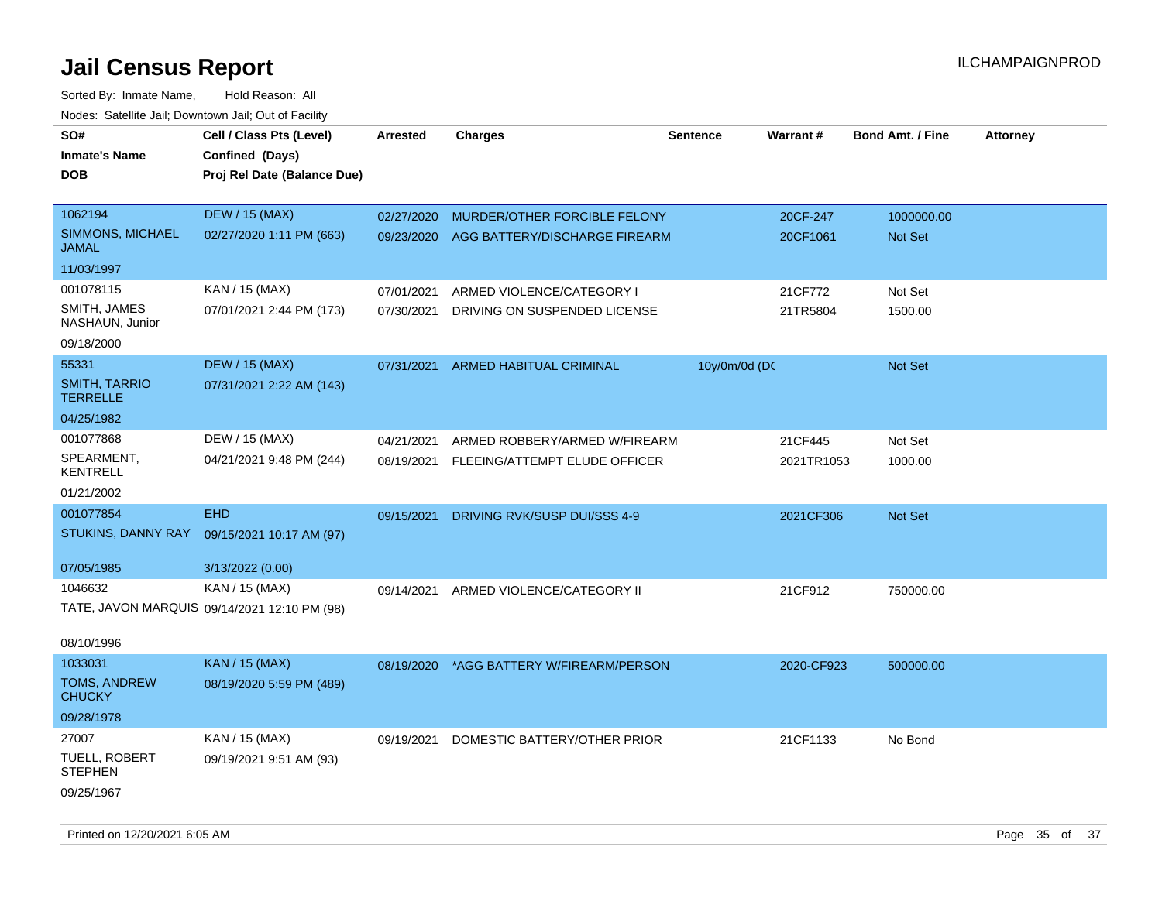| Todoo. Catolino can, Bowritown can, Oat or I domt<br>SO#<br><b>Inmate's Name</b><br><b>DOB</b> | Cell / Class Pts (Level)<br>Confined (Days)<br>Proj Rel Date (Balance Due) | Arrested   | <b>Charges</b>                | <b>Sentence</b> | <b>Warrant#</b> | <b>Bond Amt. / Fine</b> | <b>Attorney</b> |
|------------------------------------------------------------------------------------------------|----------------------------------------------------------------------------|------------|-------------------------------|-----------------|-----------------|-------------------------|-----------------|
| 1062194                                                                                        | <b>DEW / 15 (MAX)</b>                                                      | 02/27/2020 | MURDER/OTHER FORCIBLE FELONY  |                 | 20CF-247        | 1000000.00              |                 |
| SIMMONS, MICHAEL<br><b>JAMAL</b>                                                               | 02/27/2020 1:11 PM (663)                                                   | 09/23/2020 | AGG BATTERY/DISCHARGE FIREARM |                 | 20CF1061        | Not Set                 |                 |
| 11/03/1997                                                                                     |                                                                            |            |                               |                 |                 |                         |                 |
| 001078115                                                                                      | KAN / 15 (MAX)                                                             | 07/01/2021 | ARMED VIOLENCE/CATEGORY I     |                 | 21CF772         | Not Set                 |                 |
| SMITH, JAMES<br>NASHAUN, Junior                                                                | 07/01/2021 2:44 PM (173)                                                   | 07/30/2021 | DRIVING ON SUSPENDED LICENSE  |                 | 21TR5804        | 1500.00                 |                 |
| 09/18/2000                                                                                     |                                                                            |            |                               |                 |                 |                         |                 |
| 55331                                                                                          | <b>DEW / 15 (MAX)</b>                                                      | 07/31/2021 | ARMED HABITUAL CRIMINAL       | 10y/0m/0d (DC   |                 | Not Set                 |                 |
| <b>SMITH, TARRIO</b><br><b>TERRELLE</b>                                                        | 07/31/2021 2:22 AM (143)                                                   |            |                               |                 |                 |                         |                 |
| 04/25/1982                                                                                     |                                                                            |            |                               |                 |                 |                         |                 |
| 001077868                                                                                      | DEW / 15 (MAX)                                                             | 04/21/2021 | ARMED ROBBERY/ARMED W/FIREARM |                 | 21CF445         | Not Set                 |                 |
| SPEARMENT,<br><b>KENTRELL</b>                                                                  | 04/21/2021 9:48 PM (244)                                                   | 08/19/2021 | FLEEING/ATTEMPT ELUDE OFFICER |                 | 2021TR1053      | 1000.00                 |                 |
| 01/21/2002                                                                                     |                                                                            |            |                               |                 |                 |                         |                 |
| 001077854                                                                                      | <b>EHD</b>                                                                 | 09/15/2021 | DRIVING RVK/SUSP DUI/SSS 4-9  |                 | 2021CF306       | <b>Not Set</b>          |                 |
| STUKINS, DANNY RAY                                                                             | 09/15/2021 10:17 AM (97)                                                   |            |                               |                 |                 |                         |                 |
| 07/05/1985                                                                                     | 3/13/2022 (0.00)                                                           |            |                               |                 |                 |                         |                 |
| 1046632                                                                                        | KAN / 15 (MAX)                                                             | 09/14/2021 | ARMED VIOLENCE/CATEGORY II    |                 | 21CF912         | 750000.00               |                 |
|                                                                                                | TATE, JAVON MARQUIS 09/14/2021 12:10 PM (98)                               |            |                               |                 |                 |                         |                 |
| 08/10/1996                                                                                     |                                                                            |            |                               |                 |                 |                         |                 |
| 1033031<br>TOMS, ANDREW                                                                        | KAN / 15 (MAX)                                                             | 08/19/2020 | *AGG BATTERY W/FIREARM/PERSON |                 | 2020-CF923      | 500000.00               |                 |
| <b>CHUCKY</b>                                                                                  | 08/19/2020 5:59 PM (489)                                                   |            |                               |                 |                 |                         |                 |
| 09/28/1978                                                                                     |                                                                            |            |                               |                 |                 |                         |                 |
| 27007                                                                                          | KAN / 15 (MAX)                                                             | 09/19/2021 | DOMESTIC BATTERY/OTHER PRIOR  |                 | 21CF1133        | No Bond                 |                 |
| <b>TUELL, ROBERT</b><br><b>STEPHEN</b>                                                         | 09/19/2021 9:51 AM (93)                                                    |            |                               |                 |                 |                         |                 |
| 09/25/1967                                                                                     |                                                                            |            |                               |                 |                 |                         |                 |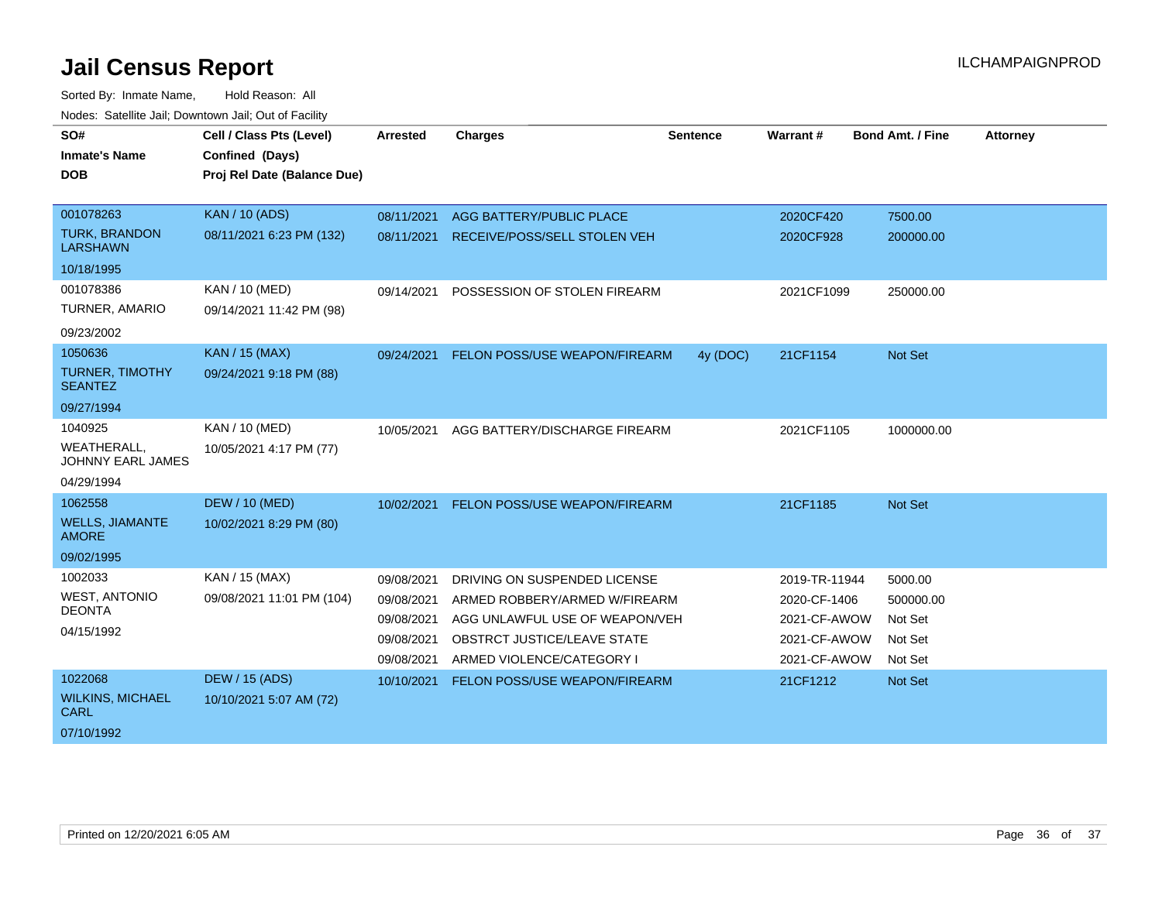| SO#<br><b>Inmate's Name</b><br><b>DOB</b> | Cell / Class Pts (Level)<br>Confined (Days)<br>Proj Rel Date (Balance Due) | <b>Arrested</b> | <b>Charges</b>                       | <b>Sentence</b> | Warrant#      | <b>Bond Amt. / Fine</b> | <b>Attorney</b> |
|-------------------------------------------|----------------------------------------------------------------------------|-----------------|--------------------------------------|-----------------|---------------|-------------------------|-----------------|
| 001078263                                 | <b>KAN / 10 (ADS)</b>                                                      | 08/11/2021      | AGG BATTERY/PUBLIC PLACE             |                 | 2020CF420     | 7500.00                 |                 |
| <b>TURK, BRANDON</b><br><b>LARSHAWN</b>   | 08/11/2021 6:23 PM (132)                                                   | 08/11/2021      | RECEIVE/POSS/SELL STOLEN VEH         |                 | 2020CF928     | 200000.00               |                 |
| 10/18/1995                                |                                                                            |                 |                                      |                 |               |                         |                 |
| 001078386                                 | <b>KAN / 10 (MED)</b>                                                      | 09/14/2021      | POSSESSION OF STOLEN FIREARM         |                 | 2021CF1099    | 250000.00               |                 |
| <b>TURNER, AMARIO</b>                     | 09/14/2021 11:42 PM (98)                                                   |                 |                                      |                 |               |                         |                 |
| 09/23/2002                                |                                                                            |                 |                                      |                 |               |                         |                 |
| 1050636                                   | <b>KAN / 15 (MAX)</b>                                                      | 09/24/2021      | FELON POSS/USE WEAPON/FIREARM        | 4y (DOC)        | 21CF1154      | Not Set                 |                 |
| <b>TURNER, TIMOTHY</b><br><b>SEANTEZ</b>  | 09/24/2021 9:18 PM (88)                                                    |                 |                                      |                 |               |                         |                 |
| 09/27/1994                                |                                                                            |                 |                                      |                 |               |                         |                 |
| 1040925                                   | KAN / 10 (MED)                                                             | 10/05/2021      | AGG BATTERY/DISCHARGE FIREARM        |                 | 2021CF1105    | 1000000.00              |                 |
| WEATHERALL,<br><b>JOHNNY EARL JAMES</b>   | 10/05/2021 4:17 PM (77)                                                    |                 |                                      |                 |               |                         |                 |
| 04/29/1994                                |                                                                            |                 |                                      |                 |               |                         |                 |
| 1062558                                   | <b>DEW / 10 (MED)</b>                                                      | 10/02/2021      | <b>FELON POSS/USE WEAPON/FIREARM</b> |                 | 21CF1185      | Not Set                 |                 |
| <b>WELLS, JIAMANTE</b><br><b>AMORE</b>    | 10/02/2021 8:29 PM (80)                                                    |                 |                                      |                 |               |                         |                 |
| 09/02/1995                                |                                                                            |                 |                                      |                 |               |                         |                 |
| 1002033                                   | KAN / 15 (MAX)                                                             | 09/08/2021      | DRIVING ON SUSPENDED LICENSE         |                 | 2019-TR-11944 | 5000.00                 |                 |
| <b>WEST, ANTONIO</b>                      | 09/08/2021 11:01 PM (104)                                                  | 09/08/2021      | ARMED ROBBERY/ARMED W/FIREARM        |                 | 2020-CF-1406  | 500000.00               |                 |
| <b>DEONTA</b>                             |                                                                            | 09/08/2021      | AGG UNLAWFUL USE OF WEAPON/VEH       |                 | 2021-CF-AWOW  | Not Set                 |                 |
| 04/15/1992                                |                                                                            | 09/08/2021      | <b>OBSTRCT JUSTICE/LEAVE STATE</b>   |                 | 2021-CF-AWOW  | Not Set                 |                 |
|                                           |                                                                            | 09/08/2021      | ARMED VIOLENCE/CATEGORY I            |                 | 2021-CF-AWOW  | Not Set                 |                 |
| 1022068                                   | <b>DEW / 15 (ADS)</b>                                                      | 10/10/2021      | <b>FELON POSS/USE WEAPON/FIREARM</b> |                 | 21CF1212      | Not Set                 |                 |
| <b>WILKINS, MICHAEL</b><br><b>CARL</b>    | 10/10/2021 5:07 AM (72)                                                    |                 |                                      |                 |               |                         |                 |
| 07/10/1992                                |                                                                            |                 |                                      |                 |               |                         |                 |